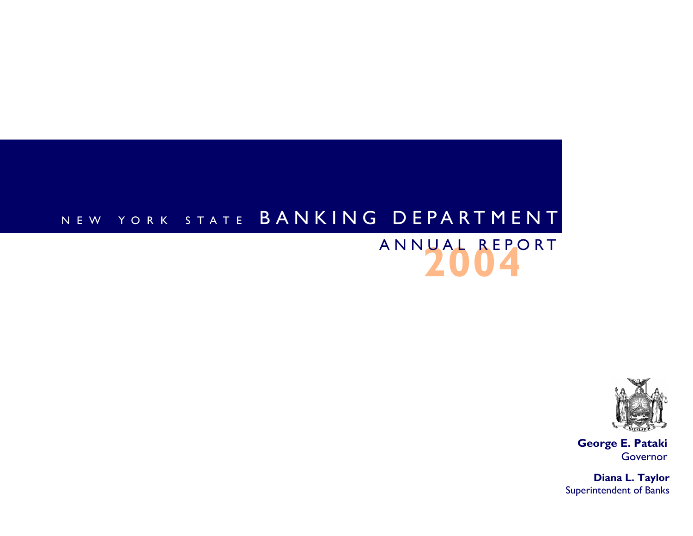# NEW YORK STATE B A N K I N G D E P A R T M E N T

# **2004**ANNUAL REPORT



**George E. Pataki**  Governor

**Diana L. Taylor**  Superintendent of Banks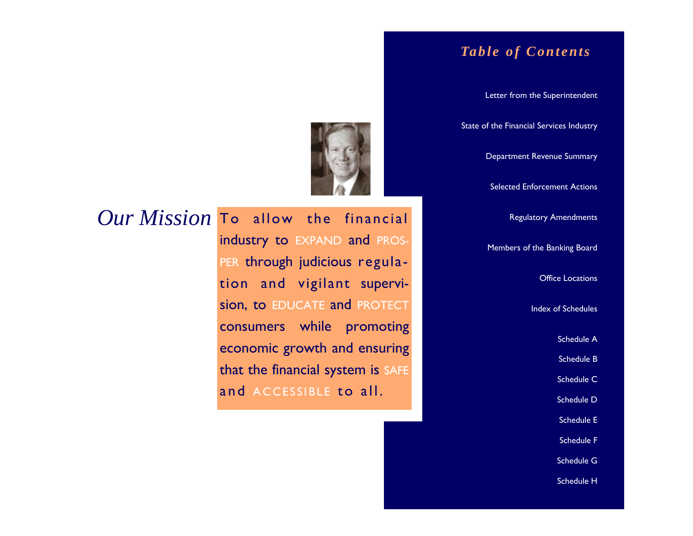# *Table of Contents*

Letter from the Superintendent

State of the Financial Services Industry

Department Revenue Summary

Selected Enforcement Actions

Regulatory Amendments

Members of the Banking Board

Office Locations

Index of Schedules

Schedule A

Schedule B

Schedule C

Schedule D

Schedule E

Schedule F

Schedule G

Schedule H



 $Our Mission$  To allow the financial industry to EXPAND and PROS-PER through judicious regulation and vigilant supervision, to EDUCATE and PROTECT consumers while promoting economic growth and ensuring that the financial system is SAFE and ACCESSIBLE to all.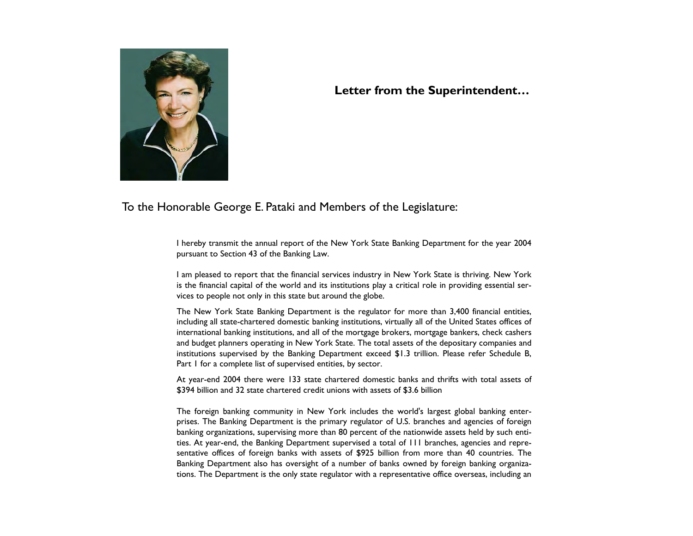

**Letter from the Superintendent…** 

To the Honorable George E. Pataki and Members of the Legislature:

I hereby transmit the annual report of the New York State Banking Department for the year 2004 pursuant to Section 43 of the Banking Law.

I am pleased to report that the financial services industry in New York State is thriving. New York is the financial capital of the world and its institutions play a critical role in providing essential services to people not only in this state but around the globe.

The New York State Banking Department is the regulator for more than 3,400 financial entities, including all state-chartered domestic banking institutions, virtually all of the United States offices of international banking institutions, and all of the mortgage brokers, mortgage bankers, check cashers and budget planners operating in New York State. The total assets of the depositary companies and institutions supervised by the Banking Department exceed \$1.3 trillion. Please refer Schedule B, Part 1 for a complete list of supervised entities, by sector.

At year-end 2004 there were 133 state chartered domestic banks and thrifts with total assets of \$394 billion and 32 state chartered credit unions with assets of \$3.6 billion

The foreign banking community in New York includes the world's largest global banking enterprises. The Banking Department is the primary regulator of U.S. branches and agencies of foreign banking organizations, supervising more than 80 percent of the nationwide assets held by such entities. At year-end, the Banking Department supervised a total of 111 branches, agencies and representative offices of foreign banks with assets of \$925 billion from more than 40 countries. The Banking Department also has oversight of a number of banks owned by foreign banking organizations. The Department is the only state regulator with a representative office overseas, including an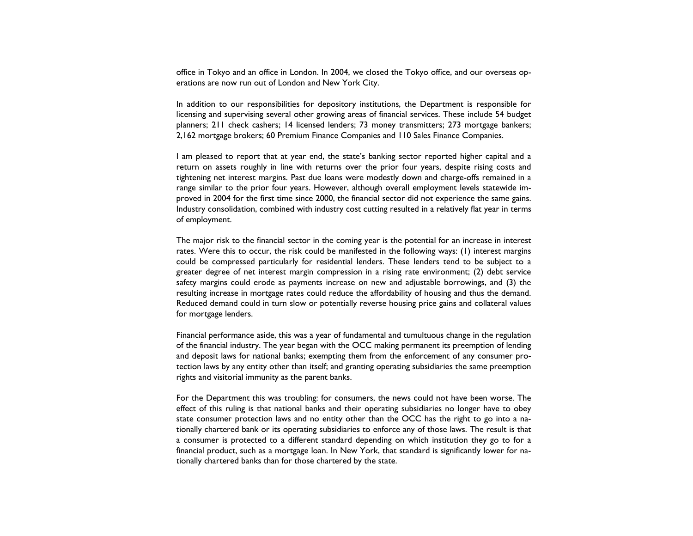office in Tokyo and an office in London. In 2004, we closed the Tokyo office, and our overseas operations are now run out of London and New York City.

In addition to our responsibilities for depository institutions, the Department is responsible for licensing and supervising several other growing areas of financial services. These include 54 budget planners; 211 check cashers; 14 licensed lenders; 73 money transmitters; 273 mortgage bankers; 2,162 mortgage brokers; 60 Premium Finance Companies and 110 Sales Finance Companies.

I am pleased to report that at year end, the state's banking sector reported higher capital and a return on assets roughly in line with returns over the prior four years, despite rising costs and tightening net interest margins. Past due loans were modestly down and charge-offs remained in a range similar to the prior four years. However, although overall employment levels statewide improved in 2004 for the first time since 2000, the financial sector did not experience the same gains. Industry consolidation, combined with industry cost cutting resulted in a relatively flat year in terms of employment.

The major risk to the financial sector in the coming year is the potential for an increase in interest rates. Were this to occur, the risk could be manifested in the following ways: (1) interest margins could be compressed particularly for residential lenders. These lenders tend to be subject to a greater degree of net interest margin compression in a rising rate environment; (2) debt service safety margins could erode as payments increase on new and adjustable borrowings, and (3) the resulting increase in mortgage rates could reduce the affordability of housing and thus the demand. Reduced demand could in turn slow or potentially reverse housing price gains and collateral values for mortgage lenders.

Financial performance aside, this was a year of fundamental and tumultuous change in the regulation of the financial industry. The year began with the OCC making permanent its preemption of lending and deposit laws for national banks; exempting them from the enforcement of any consumer protection laws by any entity other than itself; and granting operating subsidiaries the same preemption rights and visitorial immunity as the parent banks.

For the Department this was troubling: for consumers, the news could not have been worse. The effect of this ruling is that national banks and their operating subsidiaries no longer have to obey state consumer protection laws and no entity other than the OCC has the right to go into a nationally chartered bank or its operating subsidiaries to enforce any of those laws. The result is that a consumer is protected to a different standard depending on which institution they go to for a financial product, such as a mortgage loan. In New York, that standard is significantly lower for nationally chartered banks than for those chartered by the state.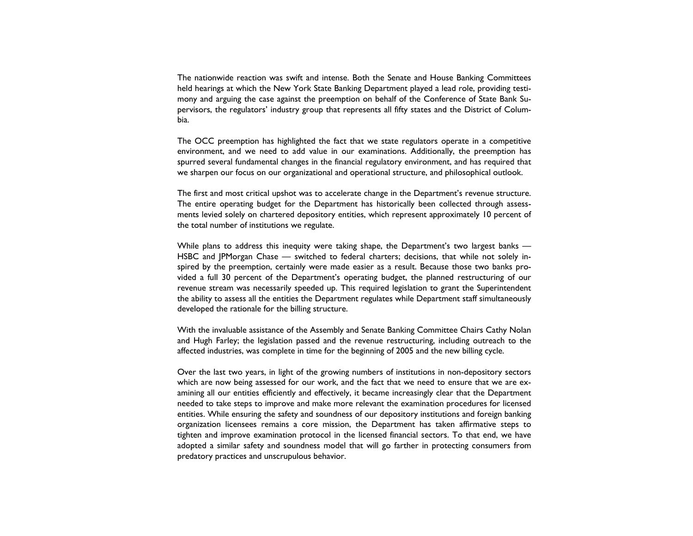The nationwide reaction was swift and intense. Both the Senate and House Banking Committees held hearings at which the New York State Banking Department played a lead role, providing testimony and arguing the case against the preemption on behalf of the Conference of State Bank Supervisors, the regulators' industry group that represents all fifty states and the District of Columbia.

The OCC preemption has highlighted the fact that we state regulators operate in a competitive environment, and we need to add value in our examinations. Additionally, the preemption has spurred several fundamental changes in the financial regulatory environment, and has required that we sharpen our focus on our organizational and operational structure, and philosophical outlook.

The first and most critical upshot was to accelerate change in the Department's revenue structure. The entire operating budget for the Department has historically been collected through assessments levied solely on chartered depository entities, which represent approximately 10 percent of the total number of institutions we regulate.

While plans to address this inequity were taking shape, the Department's two largest banks — HSBC and JPMorgan Chase — switched to federal charters; decisions, that while not solely inspired by the preemption, certainly were made easier as a result. Because those two banks provided a full 30 percent of the Department's operating budget, the planned restructuring of our revenue stream was necessarily speeded up. This required legislation to grant the Superintendent the ability to assess all the entities the Department regulates while Department staff simultaneously developed the rationale for the billing structure.

With the invaluable assistance of the Assembly and Senate Banking Committee Chairs Cathy Nolan and Hugh Farley; the legislation passed and the revenue restructuring, including outreach to the affected industries, was complete in time for the beginning of 2005 and the new billing cycle.

Over the last two years, in light of the growing numbers of institutions in non-depository sectors which are now being assessed for our work, and the fact that we need to ensure that we are examining all our entities efficiently and effectively, it became increasingly clear that the Department needed to take steps to improve and make more relevant the examination procedures for licensed entities. While ensuring the safety and soundness of our depository institutions and foreign banking organization licensees remains a core mission, the Department has taken affirmative steps to tighten and improve examination protocol in the licensed financial sectors. To that end, we have adopted a similar safety and soundness model that will go farther in protecting consumers from predatory practices and unscrupulous behavior.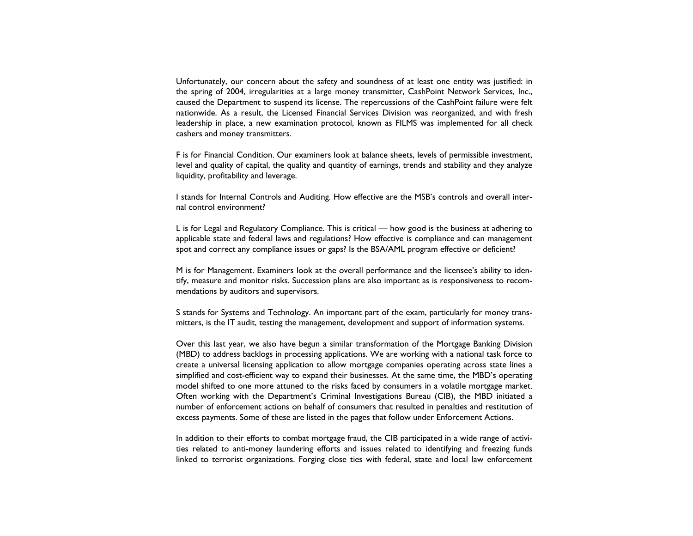Unfortunately, our concern about the safety and soundness of at least one entity was justified: in the spring of 2004, irregularities at a large money transmitter, CashPoint Network Services, Inc., caused the Department to suspend its license. The repercussions of the CashPoint failure were felt nationwide. As a result, the Licensed Financial Services Division was reorganized, and with fresh leadership in place, a new examination protocol, known as FILMS was implemented for all check cashers and money transmitters.

F is for Financial Condition. Our examiners look at balance sheets, levels of permissible investment, level and quality of capital, the quality and quantity of earnings, trends and stability and they analyze liquidity, profitability and leverage.

I stands for Internal Controls and Auditing. How effective are the MSB's controls and overall internal control environment?

L is for Legal and Regulatory Compliance. This is critical — how good is the business at adhering to applicable state and federal laws and regulations? How effective is compliance and can management spot and correct any compliance issues or gaps? Is the BSA/AML program effective or deficient?

M is for Management. Examiners look at the overall performance and the licensee's ability to identify, measure and monitor risks. Succession plans are also important as is responsiveness to recommendations by auditors and supervisors.

S stands for Systems and Technology. An important part of the exam, particularly for money transmitters, is the IT audit, testing the management, development and support of information systems.

Over this last year, we also have begun a similar transformation of the Mortgage Banking Division (MBD) to address backlogs in processing applications. We are working with a national task force to create a universal licensing application to allow mortgage companies operating across state lines a simplified and cost-efficient way to expand their businesses. At the same time, the MBD's operating model shifted to one more attuned to the risks faced by consumers in a volatile mortgage market. Often working with the Department's Criminal Investigations Bureau (CIB), the MBD initiated a number of enforcement actions on behalf of consumers that resulted in penalties and restitution of excess payments. Some of these are listed in the pages that follow under Enforcement Actions.

In addition to their efforts to combat mortgage fraud, the CIB participated in a wide range of activities related to anti-money laundering efforts and issues related to identifying and freezing funds linked to terrorist organizations. Forging close ties with federal, state and local law enforcement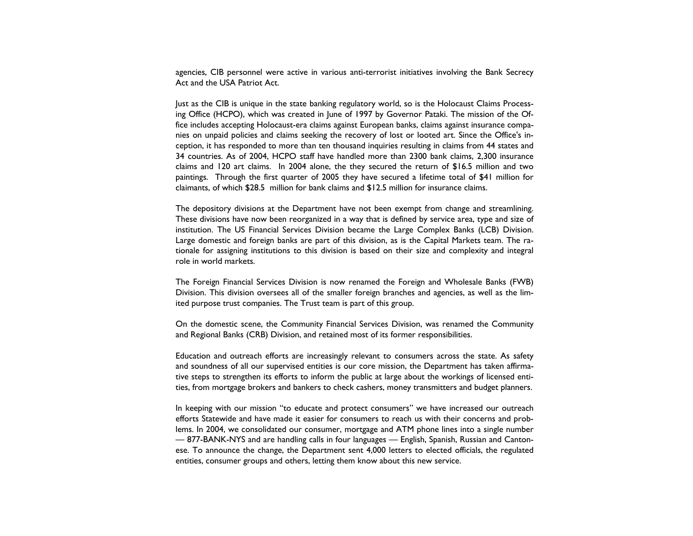agencies, CIB personnel were active in various anti-terrorist initiatives involving the Bank Secrecy Act and the USA Patriot Act.

Just as the CIB is unique in the state banking regulatory world, so is the Holocaust Claims Processing Office (HCPO), which was created in June of 1997 by Governor Pataki. The mission of the Office includes accepting Holocaust-era claims against European banks, claims against insurance companies on unpaid policies and claims seeking the recovery of lost or looted art. Since the Office's inception, it has responded to more than ten thousand inquiries resulting in claims from 44 states and 34 countries. As of 2004, HCPO staff have handled more than 2300 bank claims, 2,300 insurance claims and 120 art claims. In 2004 alone, the they secured the return of \$16.5 million and two paintings. Through the first quarter of 2005 they have secured a lifetime total of \$41 million for claimants, of which \$28.5 million for bank claims and \$12.5 million for insurance claims.

The depository divisions at the Department have not been exempt from change and streamlining. These divisions have now been reorganized in a way that is defined by service area, type and size of institution. The US Financial Services Division became the Large Complex Banks (LCB) Division. Large domestic and foreign banks are part of this division, as is the Capital Markets team. The rationale for assigning institutions to this division is based on their size and complexity and integral role in world markets.

The Foreign Financial Services Division is now renamed the Foreign and Wholesale Banks (FWB) Division. This division oversees all of the smaller foreign branches and agencies, as well as the limited purpose trust companies. The Trust team is part of this group.

On the domestic scene, the Community Financial Services Division, was renamed the Community and Regional Banks (CRB) Division, and retained most of its former responsibilities.

Education and outreach efforts are increasingly relevant to consumers across the state. As safety and soundness of all our supervised entities is our core mission, the Department has taken affirmative steps to strengthen its efforts to inform the public at large about the workings of licensed entities, from mortgage brokers and bankers to check cashers, money transmitters and budget planners.

In keeping with our mission "to educate and protect consumers" we have increased our outreach efforts Statewide and have made it easier for consumers to reach us with their concerns and problems. In 2004, we consolidated our consumer, mortgage and ATM phone lines into a single number — 877-BANK-NYS and are handling calls in four languages — English, Spanish, Russian and Cantonese. To announce the change, the Department sent 4,000 letters to elected officials, the regulated entities, consumer groups and others, letting them know about this new service.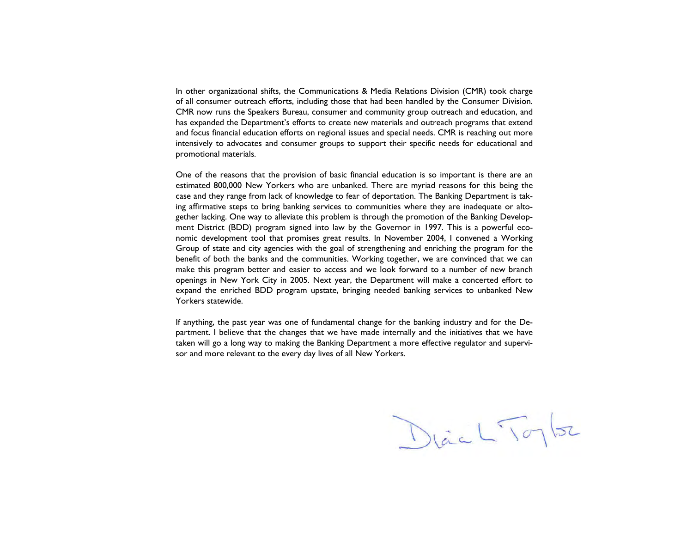In other organizational shifts, the Communications & Media Relations Division (CMR) took charge of all consumer outreach efforts, including those that had been handled by the Consumer Division. CMR now runs the Speakers Bureau, consumer and community group outreach and education, and has expanded the Department's efforts to create new materials and outreach programs that extend and focus financial education efforts on regional issues and special needs. CMR is reaching out more intensively to advocates and consumer groups to support their specific needs for educational and promotional materials.

One of the reasons that the provision of basic financial education is so important is there are an estimated 800,000 New Yorkers who are unbanked. There are myriad reasons for this being the case and they range from lack of knowledge to fear of deportation. The Banking Department is taking affirmative steps to bring banking services to communities where they are inadequate or altogether lacking. One way to alleviate this problem is through the promotion of the Banking Development District (BDD) program signed into law by the Governor in 1997. This is a powerful economic development tool that promises great results. In November 2004, I convened a Working Group of state and city agencies with the goal of strengthening and enriching the program for the benefit of both the banks and the communities. Working together, we are convinced that we can make this program better and easier to access and we look forward to a number of new branch openings in New York City in 2005. Next year, the Department will make a concerted effort to expand the enriched BDD program upstate, bringing needed banking services to unbanked New Yorkers statewide.

If anything, the past year was one of fundamental change for the banking industry and for the Department. I believe that the changes that we have made internally and the initiatives that we have taken will go a long way to making the Banking Department a more effective regulator and supervisor and more relevant to the every day lives of all New Yorkers.

Diac L'Toylor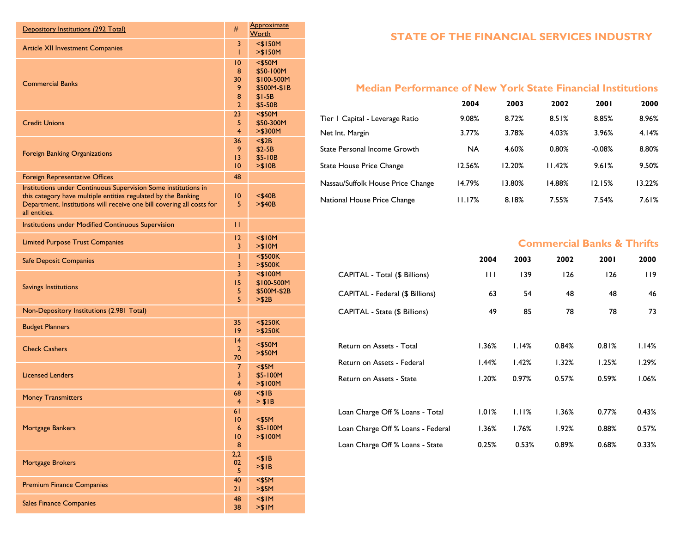| Depository Institutions (292 Total)                                                                                                                                                                                       | #                                                      | <b>Approximate</b><br>Worth                                               |
|---------------------------------------------------------------------------------------------------------------------------------------------------------------------------------------------------------------------------|--------------------------------------------------------|---------------------------------------------------------------------------|
| <b>Article XII Investment Companies</b>                                                                                                                                                                                   | 3<br>Т                                                 | $<$ \$150M<br>> \$150M                                                    |
| <b>Commercial Banks</b>                                                                                                                                                                                                   | $\overline{10}$<br>8<br>30<br>9<br>8<br>$\overline{2}$ | $<$ \$50M<br>\$50-100M<br>\$100-500M<br>\$500M-\$1B<br>$$I-5B$<br>\$5-50B |
| <b>Credit Unions</b>                                                                                                                                                                                                      | 23 <sup>°</sup><br>5<br>$\overline{\mathbf{4}}$        | $<$ \$50M<br>\$50-300M<br>>\$300M                                         |
| <b>Foreign Banking Organizations</b>                                                                                                                                                                                      | 36 <sub>1</sub><br>9<br>$\overline{13}$<br>10          | $<$ \$2B<br>$$2-5B$<br>\$5-10B<br>> \$10B                                 |
| Foreign Representative Offices                                                                                                                                                                                            | 48                                                     |                                                                           |
| Institutions under Continuous Supervision Some institutions in<br>this category have multiple entities regulated by the Banking<br>Department. Institutions will receive one bill covering all costs for<br>all entities. | $\overline{10}$<br>5                                   | $<$ \$40B<br>> \$40B                                                      |
| Institutions under Modified Continuous Supervision                                                                                                                                                                        | П                                                      |                                                                           |
| <b>Limited Purpose Trust Companies</b>                                                                                                                                                                                    | $\overline{2}$<br>3                                    | $<$ \$10M<br>> \$10M                                                      |
| <b>Safe Deposit Companies</b>                                                                                                                                                                                             | Т<br>3                                                 | $<$ \$500K<br>>\$500K                                                     |
| <b>Savings Institutions</b>                                                                                                                                                                                               | 3<br>15<br>5<br>5                                      | $<$ \$100M<br>\$100-500M<br>\$500M-\$2B<br>> \$2B                         |
| Non-Depository Institutions (2.981 Total)                                                                                                                                                                                 |                                                        |                                                                           |
| <b>Budget Planners</b>                                                                                                                                                                                                    | 35<br>$ 9\rangle$                                      | $<$ \$250K<br>> \$250K                                                    |
| <b>Check Cashers</b>                                                                                                                                                                                                      | 4<br>$\overline{2}$<br>70                              | $<$ \$50M<br>$>$ \$50M                                                    |
| <b>Licensed Lenders</b>                                                                                                                                                                                                   | 7<br>3<br>4                                            | $<$ \$5M<br>\$5-100M<br>> \$100M                                          |
| <b>Money Transmitters</b>                                                                                                                                                                                                 | 68<br>4                                                | $<$ \$1B<br>> \$IB                                                        |
| <b>Mortgage Bankers</b>                                                                                                                                                                                                   | 61<br>$\overline{10}$<br>6<br>$\overline{10}$<br>8     | $<$ \$5M<br>\$5-100M<br>> \$100M                                          |
| Mortgage Brokers                                                                                                                                                                                                          | 2,2<br>02<br>5                                         | $<$ \$1B<br>> \$IB                                                        |
| <b>Premium Finance Companies</b>                                                                                                                                                                                          | 40<br>21                                               | $<$ \$5M<br>> \$5M                                                        |
| <b>Sales Finance Companies</b>                                                                                                                                                                                            | 48<br>38                                               | $<$ \$IM<br>> \$1M                                                        |

## **STATE OF THE FINANCIAL SERVICES INDUSTRY**

# **Median Performance of New York State Financial Institutions**

|                                   | 2004      | 2003   | 2002   | 2001     | 2000   |
|-----------------------------------|-----------|--------|--------|----------|--------|
| Tier   Capital - Leverage Ratio   | 9.08%     | 8.72%  | 8.51%  | 8.85%    | 8.96%  |
| Net Int. Margin                   | 3.77%     | 3.78%  | 4.03%  | 3.96%    | 4.14%  |
| State Personal Income Growth      | <b>NA</b> | 4.60%  | 0.80%  | $-0.08%$ | 8.80%  |
| <b>State House Price Change</b>   | 12.56%    | 12.20% | 11.42% | 9.61%    | 9.50%  |
| Nassau/Suffolk House Price Change | 14.79%    | 13.80% | 14.88% | 12.15%   | 13.22% |
| National House Price Change       | 11.17%    | 8.18%  | 7.55%  | 7.54%    | 7.61%  |

## **Commercial Banks & Thrifts**

|                                   | 2004  | 2003  | 2002  | 2001  | 2000  |
|-----------------------------------|-------|-------|-------|-------|-------|
| CAPITAL - Total (\$ Billions)     | Ш     | 139   | 126   | 126   | 119   |
| CAPITAL - Federal (\$ Billions)   | 63    | 54    | 48    | 48    | 46    |
| CAPITAL - State (\$ Billions)     | 49    | 85    | 78    | 78    | 73    |
|                                   |       |       |       |       |       |
| Return on Assets - Total          | 1.36% | 1.14% | 0.84% | 0.81% | 1.14% |
| Return on Assets - Federal        | 1.44% | 1.42% | 1.32% | 1.25% | l.29% |
| Return on Assets - State          | 1.20% | 0.97% | 0.57% | 0.59% | 1.06% |
|                                   |       |       |       |       |       |
| Loan Charge Off % Loans - Total   | 1.01% | 1.11% | 1.36% | 0.77% | 0.43% |
| Loan Charge Off % Loans - Federal | 1.36% | 1.76% | 1.92% | 0.88% | 0.57% |
| Loan Charge Off % Loans - State   | 0.25% | 0.53% | 0.89% | 0.68% | 0.33% |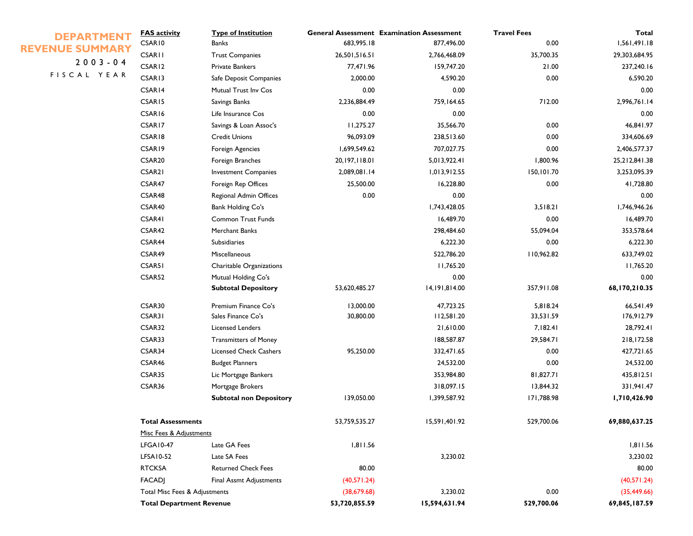| <b>DEPARTMENT</b>      | <b>FAS activity</b>             | <b>Type of Institution</b>     |                 | <b>General Assessment Examination Assessment</b> | <b>Travel Fees</b> | <b>Total</b>  |
|------------------------|---------------------------------|--------------------------------|-----------------|--------------------------------------------------|--------------------|---------------|
| <b>REVENUE SUMMARY</b> | CSAR10                          | <b>Banks</b>                   | 683,995.18      | 877,496.00                                       | 0.00               | 1,561,491.18  |
| $2003 - 04$            | <b>CSARII</b>                   | <b>Trust Companies</b>         | 26,501,516.51   | 2,766,468.09                                     | 35,700.35          | 29,303,684.95 |
| FISCAL YEAR            | CSAR12                          | <b>Private Bankers</b>         | 77,471.96       | 159,747.20                                       | 21.00              | 237,240.16    |
|                        | CSAR13                          | Safe Deposit Companies         | 2,000.00        | 4,590.20                                         | 0.00               | 6,590.20      |
|                        | CSAR14                          | Mutual Trust Inv Cos           | 0.00            | 0.00                                             |                    | 0.00          |
|                        | CSAR15                          | Savings Banks                  | 2,236,884.49    | 759,164.65                                       | 712.00             | 2,996,761.14  |
|                        | CSAR16                          | Life Insurance Cos             | 0.00            | 0.00                                             |                    | 0.00          |
|                        | CSAR17                          | Savings & Loan Assoc's         | 11,275.27       | 35,566.70                                        | 0.00               | 46,841.97     |
|                        | CSAR18                          | <b>Credit Unions</b>           | 96,093.09       | 238,513.60                                       | 0.00               | 334,606.69    |
|                        | CSAR19                          | Foreign Agencies               | 1,699,549.62    | 707,027.75                                       | 0.00               | 2,406,577.37  |
|                        | CSAR <sub>20</sub>              | Foreign Branches               | 20, 197, 118.01 | 5,013,922.41                                     | 1,800.96           | 25,212,841.38 |
|                        | CSAR21                          | <b>Investment Companies</b>    | 2,089,081.14    | 1,013,912.55                                     | 150,101.70         | 3,253,095.39  |
|                        | CSAR47                          | Foreign Rep Offices            | 25,500.00       | 16,228.80                                        | 0.00               | 41,728.80     |
|                        | CSAR48                          | Regional Admin Offices         | 0.00            | 0.00                                             |                    | 0.00          |
|                        | CSAR40                          | <b>Bank Holding Co's</b>       |                 | 1,743,428.05                                     | 3,518.21           | 1,746,946.26  |
|                        | CSAR41                          | <b>Common Trust Funds</b>      |                 | 16,489.70                                        | 0.00               | 16,489.70     |
|                        | CSAR42                          | Merchant Banks                 |                 | 298,484.60                                       | 55,094.04          | 353,578.64    |
|                        | CSAR44                          | <b>Subsidiaries</b>            |                 | 6,222.30                                         | 0.00               | 6,222.30      |
|                        | CSAR49                          | Miscellaneous                  |                 | 522,786.20                                       | 110,962.82         | 633,749.02    |
|                        | CSAR51                          | Charitable Organizations       |                 | 11,765.20                                        |                    | 11,765.20     |
|                        | CSAR52                          | Mutual Holding Co's            |                 | 0.00                                             |                    | 0.00          |
|                        |                                 | <b>Subtotal Depository</b>     | 53,620,485.27   | 14,191,814.00                                    | 357,911.08         | 68,170,210.35 |
|                        | CSAR30                          | Premium Finance Co's           | 13,000.00       | 47,723.25                                        | 5,818.24           | 66,541.49     |
|                        | CSAR31                          | Sales Finance Co's             | 30,800.00       | 112,581.20                                       | 33,531.59          | 176,912.79    |
|                        | CSAR32                          | <b>Licensed Lenders</b>        |                 | 21,610.00                                        | 7,182.41           | 28,792.41     |
|                        | CSAR33                          | <b>Transmitters of Money</b>   |                 | 188,587.87                                       | 29,584.71          | 218,172.58    |
|                        | CSAR34                          | <b>Licensed Check Cashers</b>  | 95,250.00       | 332,471.65                                       | 0.00               | 427,721.65    |
|                        | CSAR46                          | <b>Budget Planners</b>         |                 | 24,532.00                                        | 0.00               | 24,532.00     |
|                        | CSAR35                          | Lic Mortgage Bankers           |                 | 353,984.80                                       | 81,827.71          | 435,812.51    |
|                        | CSAR36                          | Mortgage Brokers               |                 | 318,097.15                                       | 13,844.32          | 331,941.47    |
|                        |                                 | <b>Subtotal non Depository</b> | 139,050.00      | 1,399,587.92                                     | 171,788.98         | 1,710,426.90  |
|                        | <b>Total Assessments</b>        |                                | 53,759,535.27   | 15,591,401.92                                    | 529,700.06         | 69,880,637.25 |
|                        | Misc Fees & Adjustments         |                                |                 |                                                  |                    |               |
|                        | <b>LFGA10-47</b>                | Late GA Fees                   | 1,811.56        |                                                  |                    | 1,811.56      |
|                        | LFSA10-52                       | Late SA Fees                   |                 | 3,230.02                                         |                    | 3,230.02      |
|                        | <b>RTCKSA</b>                   | <b>Returned Check Fees</b>     | 80.00           |                                                  |                    | 80.00         |
|                        | <b>FACADJ</b>                   | Final Assmt Adjustments        | (40,571.24)     |                                                  |                    | (40,571.24)   |
|                        | Total Misc Fees & Adjustments   |                                | (38, 679.68)    | 3,230.02                                         | 0.00               | (35, 449.66)  |
|                        | <b>Total Department Revenue</b> |                                | 53,720,855.59   | 15,594,631.94                                    | 529,700.06         | 69,845,187.59 |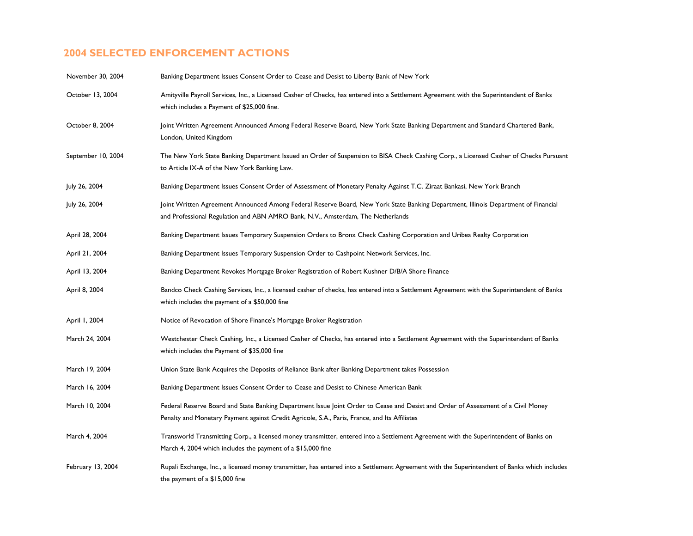# **2004 SELECTED ENFORCEMENT ACTIONS**

| November 30, 2004  | Banking Department Issues Consent Order to Cease and Desist to Liberty Bank of New York                                                                                                                                            |
|--------------------|------------------------------------------------------------------------------------------------------------------------------------------------------------------------------------------------------------------------------------|
| October 13, 2004   | Amityville Payroll Services, Inc., a Licensed Casher of Checks, has entered into a Settlement Agreement with the Superintendent of Banks<br>which includes a Payment of \$25,000 fine.                                             |
| October 8, 2004    | Joint Written Agreement Announced Among Federal Reserve Board, New York State Banking Department and Standard Chartered Bank,<br>London, United Kingdom                                                                            |
| September 10, 2004 | The New York State Banking Department Issued an Order of Suspension to BISA Check Cashing Corp., a Licensed Casher of Checks Pursuant<br>to Article IX-A of the New York Banking Law.                                              |
| July 26, 2004      | Banking Department Issues Consent Order of Assessment of Monetary Penalty Against T.C. Ziraat Bankasi, New York Branch                                                                                                             |
| July 26, 2004      | Joint Written Agreement Announced Among Federal Reserve Board, New York State Banking Department, Illinois Department of Financial<br>and Professional Regulation and ABN AMRO Bank, N.V., Amsterdam, The Netherlands              |
| April 28, 2004     | Banking Department Issues Temporary Suspension Orders to Bronx Check Cashing Corporation and Uribea Realty Corporation                                                                                                             |
| April 21, 2004     | Banking Department Issues Temporary Suspension Order to Cashpoint Network Services, Inc.                                                                                                                                           |
| April 13, 2004     | Banking Department Revokes Mortgage Broker Registration of Robert Kushner D/B/A Shore Finance                                                                                                                                      |
| April 8, 2004      | Bandco Check Cashing Services, Inc., a licensed casher of checks, has entered into a Settlement Agreement with the Superintendent of Banks<br>which includes the payment of a \$50,000 fine                                        |
| April 1, 2004      | Notice of Revocation of Shore Finance's Mortgage Broker Registration                                                                                                                                                               |
| March 24, 2004     | Westchester Check Cashing, Inc., a Licensed Casher of Checks, has entered into a Settlement Agreement with the Superintendent of Banks<br>which includes the Payment of \$35,000 fine                                              |
| March 19, 2004     | Union State Bank Acquires the Deposits of Reliance Bank after Banking Department takes Possession                                                                                                                                  |
| March 16, 2004     | Banking Department Issues Consent Order to Cease and Desist to Chinese American Bank                                                                                                                                               |
| March 10, 2004     | Federal Reserve Board and State Banking Department Issue Joint Order to Cease and Desist and Order of Assessment of a Civil Money<br>Penalty and Monetary Payment against Credit Agricole, S.A., Paris, France, and Its Affiliates |
| March 4, 2004      | Transworld Transmitting Corp., a licensed money transmitter, entered into a Settlement Agreement with the Superintendent of Banks on<br>March 4, 2004 which includes the payment of a \$15,000 fine                                |
| February 13, 2004  | Rupali Exchange, Inc., a licensed money transmitter, has entered into a Settlement Agreement with the Superintendent of Banks which includes<br>the payment of a \$15,000 fine                                                     |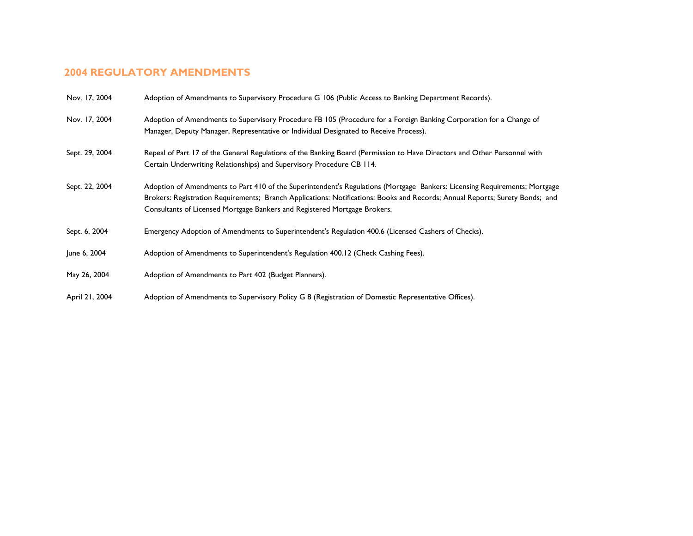# **2004 REGULATORY AMENDMENTS**

| Nov. 17, 2004  | Adoption of Amendments to Supervisory Procedure G 106 (Public Access to Banking Department Records).                                                                                                                                                                                                                                    |
|----------------|-----------------------------------------------------------------------------------------------------------------------------------------------------------------------------------------------------------------------------------------------------------------------------------------------------------------------------------------|
| Nov. 17, 2004  | Adoption of Amendments to Supervisory Procedure FB 105 (Procedure for a Foreign Banking Corporation for a Change of<br>Manager, Deputy Manager, Representative or Individual Designated to Receive Process).                                                                                                                            |
| Sept. 29, 2004 | Repeal of Part 17 of the General Regulations of the Banking Board (Permission to Have Directors and Other Personnel with<br>Certain Underwriting Relationships) and Supervisory Procedure CB 114.                                                                                                                                       |
| Sept. 22, 2004 | Adoption of Amendments to Part 410 of the Superintendent's Regulations (Mortgage Bankers: Licensing Requirements; Mortgage<br>Brokers: Registration Requirements; Branch Applications: Notifications: Books and Records; Annual Reports; Surety Bonds; and<br>Consultants of Licensed Mortgage Bankers and Registered Mortgage Brokers. |
| Sept. 6, 2004  | Emergency Adoption of Amendments to Superintendent's Regulation 400.6 (Licensed Cashers of Checks).                                                                                                                                                                                                                                     |
| June 6, 2004   | Adoption of Amendments to Superintendent's Regulation 400.12 (Check Cashing Fees).                                                                                                                                                                                                                                                      |
| May 26, 2004   | Adoption of Amendments to Part 402 (Budget Planners).                                                                                                                                                                                                                                                                                   |
| April 21, 2004 | Adoption of Amendments to Supervisory Policy G 8 (Registration of Domestic Representative Offices).                                                                                                                                                                                                                                     |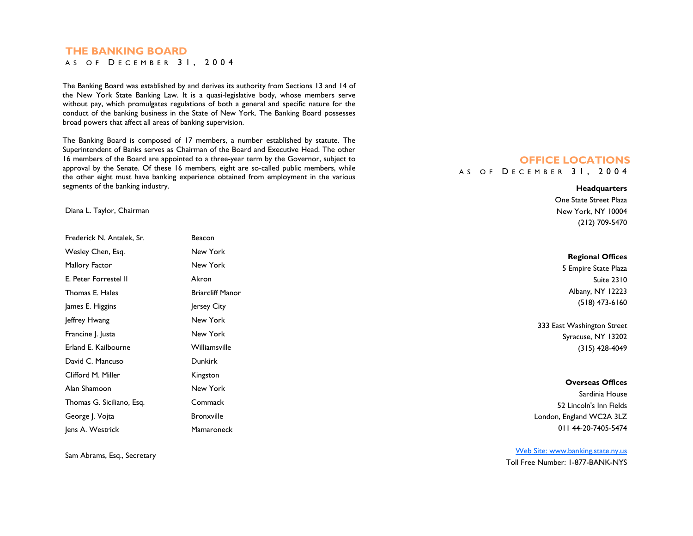## **THE BANKING BOARD**

A S O F D ECEMBER 31, 2004

The Banking Board was established by and derives its authority from Sections 13 and 14 of the New York State Banking Law. It is a quasi-legislative body, whose members serve without pay, which promulgates regulations of both a general and specific nature for the conduct of the banking business in the State of New York. The Banking Board possesses broad powers that affect all areas of banking supervision.

The Banking Board is composed of 17 members, a number established by statute. The Superintendent of Banks serves as Chairman of the Board and Executive Head. The other 16 members of the Board are appointed to a three-year term by the Governor, subject to approval by the Senate. Of these 16 members, eight are so-called public members, while the other eight must have banking experience obtained from employment in the various segments of the banking industry.

Diana L. Taylor, Chairman

| Frederick N. Antalek. Sr. | Beacon                  |
|---------------------------|-------------------------|
| Wesley Chen, Esq.         | New York                |
| Mallory Factor            | New York                |
| E. Peter Forrestel II     | Akron                   |
| Thomas E. Hales           | <b>Briarcliff Manor</b> |
| James E. Higgins          | Jersey City             |
| Jeffrey Hwang             | New York                |
| Francine J. Justa         | New York                |
| Erland E. Kailbourne      | Williamsville           |
| David C. Mancuso          | <b>Dunkirk</b>          |
| Clifford M. Miller        | Kingston                |
| Alan Shamoon              | New York                |
| Thomas G. Siciliano, Esq. | Commack                 |
| George J. Vojta           | <b>Bronxville</b>       |
| Jens A. Westrick          | Mamaroneck              |

Sam Abrams, Esq., Secretary

## **OFFICE LOCATIONS** A S O F D ECEMBER 31, 2004

#### **Headquarters**

One State Street Plaza New York, NY 10004 (212) 709-5470

| 'esley Chen, Esq.        | New York                | <b>Regional Offices</b>    |
|--------------------------|-------------------------|----------------------------|
| allory Factor            | New York                | 5 Empire State Plaza       |
| Peter Forrestel II       | Akron                   | <b>Suite 2310</b>          |
| iomas E. Hales           | <b>Briarcliff Manor</b> | Albany, NY 12223           |
| nes E. Higgins           | Jersey City             | $(518)$ 473-6160           |
| frey Hwang               | New York                | 333 East Washington Street |
| ancine  .  usta          | New York                | Syracuse, NY 13202         |
| land E. Kailbourne       | Williamsville           | $(315)$ 428-4049           |
| avid C. Mancuso          | <b>Dunkirk</b>          |                            |
| ifford M. Miller         | Kingston                |                            |
| an Shamoon               | New York                | <b>Overseas Offices</b>    |
|                          | Commack                 | Sardinia House             |
| iomas G. Siciliano, Esq. |                         | 52 Lincoln's Inn Fields    |
| eorge J. Vojta           | <b>Bronxville</b>       | London, England WC2A 3LZ   |
| as A Wostrick            | Mamaroneck              | 011 44-20-7405-5474        |

Web Site: www.banking.state.ny.us Toll Free Number: 1-877-BANK-NYS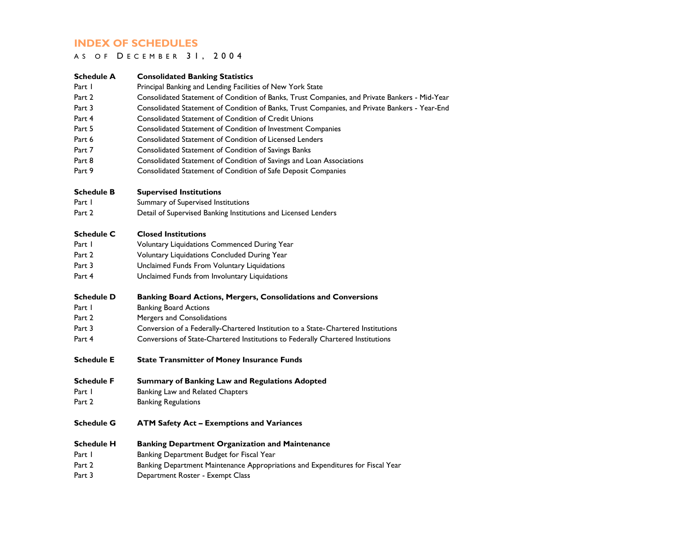## **INDEX OF SCHEDULES**

### A S O F D ECEMBER 31, 2004

| Schedule A        | <b>Consolidated Banking Statistics</b>                                                        |
|-------------------|-----------------------------------------------------------------------------------------------|
| Part I            | Principal Banking and Lending Facilities of New York State                                    |
| Part 2            | Consolidated Statement of Condition of Banks, Trust Companies, and Private Bankers - Mid-Year |
| Part 3            | Consolidated Statement of Condition of Banks, Trust Companies, and Private Bankers - Year-End |
| Part 4            | <b>Consolidated Statement of Condition of Credit Unions</b>                                   |
| Part 5            | Consolidated Statement of Condition of Investment Companies                                   |
| Part 6            | <b>Consolidated Statement of Condition of Licensed Lenders</b>                                |
| Part 7            | Consolidated Statement of Condition of Savings Banks                                          |
| Part 8            | Consolidated Statement of Condition of Savings and Loan Associations                          |
| Part 9            | Consolidated Statement of Condition of Safe Deposit Companies                                 |
| <b>Schedule B</b> | <b>Supervised Institutions</b>                                                                |
| Part I            | Summary of Supervised Institutions                                                            |
| Part 2            | Detail of Supervised Banking Institutions and Licensed Lenders                                |
| <b>Schedule C</b> | <b>Closed Institutions</b>                                                                    |
| Part I            | Voluntary Liquidations Commenced During Year                                                  |
| Part 2            | Voluntary Liquidations Concluded During Year                                                  |
| Part 3            | Unclaimed Funds From Voluntary Liquidations                                                   |
| Part 4            | Unclaimed Funds from Involuntary Liquidations                                                 |
| <b>Schedule D</b> | <b>Banking Board Actions, Mergers, Consolidations and Conversions</b>                         |
| Part 1            | <b>Banking Board Actions</b>                                                                  |
| Part 2            | Mergers and Consolidations                                                                    |
| Part 3            | Conversion of a Federally-Chartered Institution to a State-Chartered Institutions             |
| Part 4            | Conversions of State-Chartered Institutions to Federally Chartered Institutions               |
| <b>Schedule E</b> | <b>State Transmitter of Money Insurance Funds</b>                                             |
| <b>Schedule F</b> | Summary of Banking Law and Regulations Adopted                                                |
| Part 1            | Banking Law and Related Chapters                                                              |
| Part 2            | <b>Banking Regulations</b>                                                                    |
| <b>Schedule G</b> | <b>ATM Safety Act - Exemptions and Variances</b>                                              |
| <b>Schedule H</b> | <b>Banking Department Organization and Maintenance</b>                                        |
| Part I            | Banking Department Budget for Fiscal Year                                                     |
| Part 2            | Banking Department Maintenance Appropriations and Expenditures for Fiscal Year                |
| Part 3            | Department Roster - Exempt Class                                                              |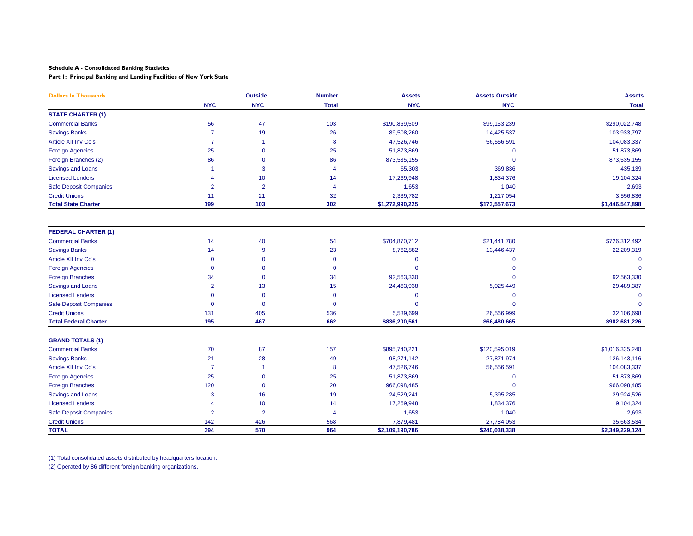**Part 1: Principal Banking and Lending Facilities of New York State**

| <b>Dollars In Thousands</b>   |                | <b>Outside</b> | <b>Number</b>  | <b>Assets</b>               | <b>Assets Outside</b> | <b>Assets</b>   |  |
|-------------------------------|----------------|----------------|----------------|-----------------------------|-----------------------|-----------------|--|
|                               | <b>NYC</b>     | <b>NYC</b>     | <b>Total</b>   | <b>NYC</b>                  | <b>NYC</b>            | <b>Total</b>    |  |
| <b>STATE CHARTER (1)</b>      |                |                |                |                             |                       |                 |  |
| <b>Commercial Banks</b>       | 56             | 47             | 103            | \$190,869,509               | \$99,153,239          | \$290,022,748   |  |
| <b>Savings Banks</b>          | $\overline{7}$ | 19             | 26             | 89,508,260                  | 14,425,537            | 103,933,797     |  |
| <b>Article XII Inv Co's</b>   | $\overline{7}$ |                | 8              | 47,526,746<br>56,556,591    |                       | 104,083,337     |  |
| <b>Foreign Agencies</b>       | 25             | $\mathbf{0}$   | 25             | 51,873,869                  | $\mathbf 0$           | 51,873,869      |  |
| Foreign Branches (2)          | 86             | $\Omega$       | 86             | 873,535,155                 | $\mathbf{0}$          | 873,535,155     |  |
| Savings and Loans             |                | 3              | $\overline{4}$ | 65,303                      | 369,836               | 435,139         |  |
| <b>Licensed Lenders</b>       | Δ              | 10             | 14             | 17,269,948                  | 1,834,376             | 19,104,324      |  |
| <b>Safe Deposit Companies</b> | $\overline{2}$ | $\overline{2}$ | $\overline{4}$ | 1,653                       | 1,040                 | 2,693           |  |
| <b>Credit Unions</b>          | 11             | 21             | 32             | 2,339,782                   | 1,217,054             | 3,556,836       |  |
| <b>Total State Charter</b>    | 199            | 103            | 302            | \$1,272,990,225             | \$173,557,673         | \$1,446,547,898 |  |
| <b>FEDERAL CHARTER (1)</b>    |                |                |                |                             |                       |                 |  |
| <b>Commercial Banks</b>       | 14             | 40             | 54             | \$704,870,712               | \$21,441,780          | \$726,312,492   |  |
| <b>Savings Banks</b>          | 14             | 9              | 23             | 8,762,882                   | 13,446,437            | 22,209,319      |  |
| Article XII Inv Co's          | $\mathbf 0$    | $\Omega$       | $\mathbf 0$    | $\mathbf 0$<br>$\mathbf{0}$ |                       | $\mathbf 0$     |  |
| <b>Foreign Agencies</b>       | $\mathbf 0$    | $\Omega$       | $\Omega$       | $\Omega$                    | $\Omega$              | $\Omega$        |  |
| <b>Foreign Branches</b>       | 34             | $\Omega$       | 34             | 92,563,330                  | $\Omega$              | 92,563,330      |  |
| Savings and Loans             | $\overline{2}$ | 13             | 15             | 24,463,938                  | 5,025,449             | 29,489,387      |  |
| <b>Licensed Lenders</b>       | $\Omega$       | $\mathbf{0}$   | $\Omega$       | $\overline{0}$              | $\mathbf 0$           | $\Omega$        |  |
| <b>Safe Deposit Companies</b> | $\Omega$       | $\mathbf{0}$   | $\Omega$       | $\Omega$                    | $\Omega$              | $\Omega$        |  |
| <b>Credit Unions</b>          | 131            | 405            | 536            | 5,539,699                   | 26,566,999            | 32,106,698      |  |
| <b>Total Federal Charter</b>  | 195            | 467            | 662            | \$836,200,561               | \$66,480,665          | \$902,681,226   |  |
| <b>GRAND TOTALS (1)</b>       |                |                |                |                             |                       |                 |  |
| <b>Commercial Banks</b>       | 70             | 87             | 157            | \$895,740,221               | \$120,595,019         | \$1,016,335,240 |  |
| <b>Savings Banks</b>          | 21             | 28             | 49             | 98,271,142                  | 27,871,974            | 126, 143, 116   |  |
| Article XII Inv Co's          | $\overline{7}$ | -1             | 8              | 47,526,746                  | 56,556,591            | 104,083,337     |  |
| <b>Foreign Agencies</b>       | 25             | $\mathbf{0}$   | 25             | 51,873,869                  | $\mathbf 0$           | 51,873,869      |  |
| <b>Foreign Branches</b>       | 120            | $\mathbf{0}$   | 120            | 966,098,485                 | $\mathbf{0}$          | 966,098,485     |  |
| Savings and Loans             | 3              | 16             | 19             | 24,529,241                  | 5,395,285             | 29,924,526      |  |
| <b>Licensed Lenders</b>       |                | 10             | 14             | 17,269,948                  | 1,834,376             | 19,104,324      |  |
| <b>Safe Deposit Companies</b> | $\overline{2}$ | $\overline{2}$ | $\overline{4}$ | 1,653                       | 1,040                 | 2,693           |  |
| <b>Credit Unions</b>          | 142            | 426            | 568            | 7,879,481                   | 27,784,053            | 35,663,534      |  |
| <b>TOTAL</b>                  | 394            | 570            | 964            | \$2,109,190,786             | \$240,038,338         | \$2,349,229,124 |  |

(1) Total consolidated assets distributed by headquarters location.

(2) Operated by 86 different foreign banking organizations.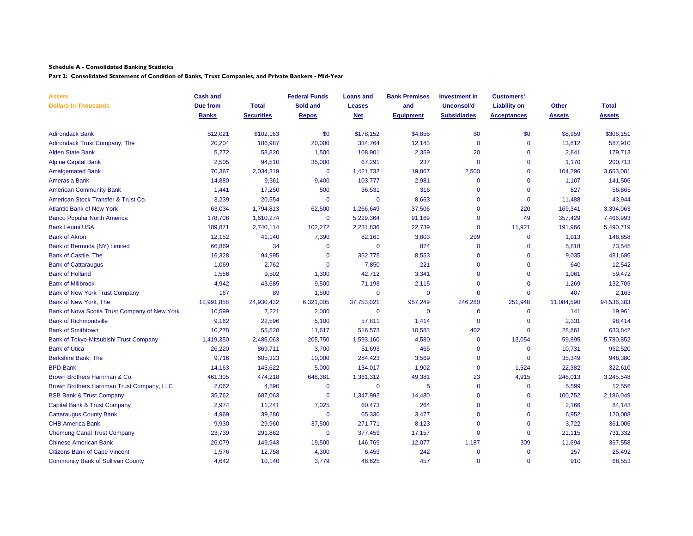**Part 2: Consolidated Statement of Condition of Banks, Trust Companies, and Private Bankers - Mid-Year**

| <b>Assets</b>                                 | <b>Cash and</b> |                   | <b>Federal Funds</b> | <b>Loans and</b> | <b>Bank Premises</b> | <b>Investment</b> in | <b>Customers'</b>   |               |               |
|-----------------------------------------------|-----------------|-------------------|----------------------|------------------|----------------------|----------------------|---------------------|---------------|---------------|
| <b>Dollars In Thousands</b>                   | Due from        | <b>Total</b>      | Sold and             | <b>Leases</b>    | and                  | <b>Unconsol'd</b>    | <b>Liability on</b> | <b>Other</b>  | <b>Total</b>  |
|                                               | <b>Banks</b>    | <b>Securities</b> | Repos                | <b>Net</b>       | <b>Equipment</b>     | <b>Subsidiaries</b>  | <b>Acceptances</b>  | <b>Assets</b> | <b>Assets</b> |
| <b>Adirondack Bank</b>                        | \$12,021        | \$102,163         | \$0                  | \$178,152        | \$4,856              | \$0                  | \$0                 | \$8,959       | \$306,151     |
| Adirondack Trust Company, The                 | 20,204          | 186,987           | 20,000               | 334,764          | 12,143               | $\mathbf{0}$         | $\mathbf 0$         | 13,812        | 587,910       |
| Alden State Bank                              | 5,272           | 58,820            | 1,500                | 108,901          | 2,359                | 20                   | $\mathbf 0$         | 2,841         | 179,713       |
| <b>Alpine Capital Bank</b>                    | 2,505           | 94,510            | 35,000               | 67,291           | 237                  | $\Omega$             | $\mathbf 0$         | 1.170         | 200,713       |
| <b>Amalgamated Bank</b>                       | 70,367          | 2,034,319         | $\mathbf 0$          | 1,421,732        | 19,867               | 2,500                | $\mathbf 0$         | 104,296       | 3,653,081     |
| Amerasia Bank                                 | 14,880          | 9,361             | 9,400                | 103,777          | 2,981                | $\mathbf 0$          | $\mathbf 0$         | 1,107         | 141,506       |
| <b>American Community Bank</b>                | 1,441           | 17,250            | 500                  | 36,531           | 316                  | $\mathbf{0}$         | $\mathbf 0$         | 827           | 56,865        |
| American Stock Transfer & Trust Co.           | 3,239           | 20,554            | $\Omega$             | 0                | 8,663                | $\mathbf 0$          | $\mathbf 0$         | 11,488        | 43,944        |
| <b>Atlantic Bank of New York</b>              | 63,034          | 1,794,813         | 62,500               | 1,266,649        | 37,506               | $\Omega$             | 220                 | 169,341       | 3,394,063     |
| <b>Banco Popular North America</b>            | 178,708         | 1,610,274         | $\mathbf{0}$         | 5,229,364        | 91,169               | $\mathbf{0}$         | 49                  | 357,429       | 7,466,993     |
| <b>Bank Leumi USA</b>                         | 189,871         | 2,740,114         | 102,272              | 2,231,836        | 22,739               | $\mathbf 0$          | 11,921              | 191,966       | 5,490,719     |
| <b>Bank of Akron</b>                          | 12,152          | 41,140            | 7,390                | 82,161           | 3,803                | 299                  | $\mathbf 0$         | 1,913         | 148,858       |
| Bank of Bermuda (NY) Limited                  | 66,869          | 34                | $\mathbf{0}$         | $\mathbf 0$      | 824                  | $\mathbf 0$          | $\mathbf 0$         | 5,818         | 73,545        |
| <b>Bank of Castile, The</b>                   | 16,328          | 94,995            | $\mathbf 0$          | 352,775          | 8,553                | $\mathbf 0$          | $\Omega$            | 9,035         | 481,686       |
| <b>Bank of Cattaraugus</b>                    | 1,069           | 2,762             | $\mathbf{0}$         | 7,850            | 221                  | $\mathbf{0}$         | $\Omega$            | 640           | 12,542        |
| <b>Bank of Holland</b>                        | 1,556           | 9,502             | 1,300                | 42,712           | 3,341                | $\overline{0}$       | $\mathbf 0$         | 1,061         | 59,472        |
| <b>Bank of Millbrook</b>                      | 4,942           | 43,685            | 9,500                | 71,198           | 2,115                | $\Omega$             | $\Omega$            | 1,269         | 132,709       |
| Bank of New York Trust Company                | 167             | 89                | 1,500                | $\mathbf 0$      | $\mathbf 0$          | $\mathbf{0}$         | $\mathbf 0$         | 407           | 2,163         |
| Bank of New York. The                         | 12,991,858      | 24,930,432        | 6,321,005            | 37,753,021       | 957,249              | 246,280              | 251,948             | 11,084,590    | 94,536,383    |
| Bank of Nova Scotia Trust Company of New York | 10,599          | 7,221             | 2,000                | $\mathbf 0$      | $\mathbf 0$          | $\mathbf 0$          | $\mathbf 0$         | 141           | 19,961        |
| <b>Bank of Richmondville</b>                  | 9,162           | 22,596            | 5,100                | 57,811           | 1,414                | $\mathbf 0$          | $\mathbf 0$         | 2,331         | 98,414        |
| <b>Bank of Smithtown</b>                      | 10,278          | 55,528            | 11,617               | 516,573          | 10,583               | 402                  | $\Omega$            | 28,861        | 633,842       |
| Bank of Tokyo-Mitsubishi Trust Company        | 1,419,350       | 2,485,063         | 205,750              | 1,593,160        | 4,580                | $\mathbf 0$          | 13,054              | 59,895        | 5,780,852     |
| <b>Bank of Utica</b>                          | 26,220          | 869,711           | 3.700                | 51,693           | 465                  | $\mathbf{0}$         | $\mathbf 0$         | 10,731        | 962,520       |
| Berkshire Bank, The                           | 9,716           | 605,323           | 10,000               | 284,423          | 3,569                | $\mathbf{0}$         | $\mathbf 0$         | 35,349        | 948,380       |
| <b>BPD Bank</b>                               | 14,163          | 143,622           | 5,000                | 134,017          | 1,902                | $\mathbf 0$          | 1,524               | 22,382        | 322,610       |
| Brown Brothers Harriman & Co.                 | 461,305         | 474,218           | 648,381              | 1,361,312        | 49,381               | 23                   | 4,915               | 246,013       | 3,245,548     |
| Brown Brothers Harriman Trust Company, LLC    | 2,062           | 4,890             | $\mathbf 0$          | $\mathbf 0$      | 5                    | $\mathbf 0$          | $\mathbf 0$         | 5,599         | 12,556        |
| <b>BSB Bank &amp; Trust Company</b>           | 35,762          | 687,063           | $\mathbf 0$          | 1,347,992        | 14,480               | $\mathbf 0$          | $\overline{0}$      | 100,752       | 2,186,049     |
| Capital Bank & Trust Company                  | 2,974           | 11,241            | 7,025                | 60,473           | 264                  | $\mathbf{0}$         | $\Omega$            | 2,166         | 84,143        |
| <b>Cattaraugus County Bank</b>                | 4,969           | 39,280            | $\mathbf 0$          | 65,330           | 3,477                | $\Omega$             | $\mathbf 0$         | 6,952         | 120,008       |
| <b>CHB America Bank</b>                       | 9,930           | 29,960            | 37,500               | 271,771          | 8,123                | $\Omega$             | $\mathbf 0$         | 3,722         | 361,006       |
| <b>Chemung Canal Trust Company</b>            | 23,739          | 291,862           | $\mathbf 0$          | 377,459          | 17,157               | $\mathbf{0}$         | $\mathbf 0$         | 21,115        | 731,332       |
| <b>Chinese American Bank</b>                  | 26,079          | 149,943           | 19,500               | 146,769          | 12,077               | 1,187                | 309                 | 11,694        | 367,558       |
| <b>Citizens Bank of Cape Vincent</b>          | 1,576           | 12,758            | 4,300                | 6,459            | 242                  | $\mathbf 0$          | $\mathbf 0$         | 157           | 25,492        |
| <b>Community Bank of Sullivan County</b>      | 4,642           | 10,140            | 3.779                | 48,625           | 457                  | $\mathbf{0}$         | $\Omega$            | 910           | 68,553        |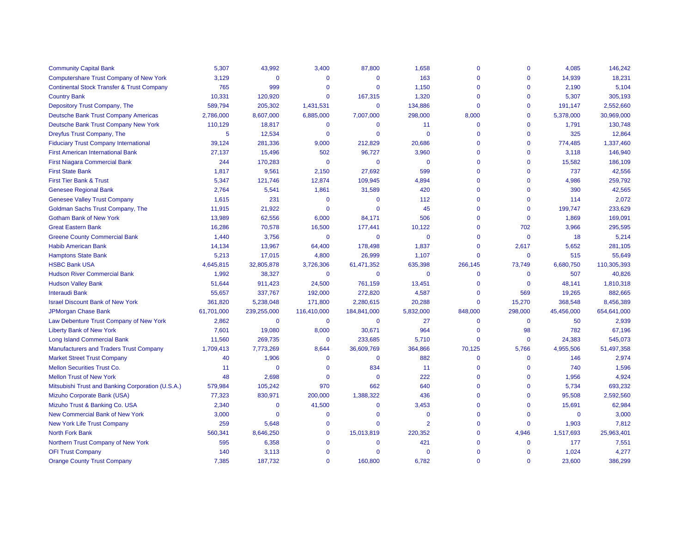| <b>Community Capital Bank</b>                         | 5,307          | 43,992      | 3,400        | 87,800         | 1,658          | $\mathbf{0}$ | $\mathbf 0$ | 4,085       | 146,242     |
|-------------------------------------------------------|----------------|-------------|--------------|----------------|----------------|--------------|-------------|-------------|-------------|
| <b>Computershare Trust Company of New York</b>        | 3,129          | $\Omega$    | $\Omega$     | $\Omega$       | 163            | $\Omega$     | $\Omega$    | 14,939      | 18,231      |
| <b>Continental Stock Transfer &amp; Trust Company</b> | 765            | 999         | $\Omega$     | $\Omega$       | 1,150          | $\mathbf 0$  | $\Omega$    | 2,190       | 5,104       |
| <b>Country Bank</b>                                   | 10,331         | 120,920     | $\Omega$     | 167,315        | 1,320          | $\Omega$     | $\Omega$    | 5,307       | 305,193     |
| Depository Trust Company, The                         | 589,794        | 205,302     | 1,431,531    | $\mathbf 0$    | 134,886        | $\Omega$     | $\Omega$    | 191,147     | 2,552,660   |
| <b>Deutsche Bank Trust Company Americas</b>           | 2,786,000      | 8,607,000   | 6,885,000    | 7,007,000      | 298,000        | 8,000        | $\Omega$    | 5,378,000   | 30,969,000  |
| Deutsche Bank Trust Company New York                  | 110,129        | 18,817      | $\mathbf 0$  | $\mathbf 0$    | 11             | $\mathbf 0$  | $\Omega$    | 1,791       | 130,748     |
| Dreyfus Trust Company, The                            | $\overline{5}$ | 12,534      | $\mathbf{0}$ | $\Omega$       | $\Omega$       | $\Omega$     | $\Omega$    | 325         | 12,864      |
| <b>Fiduciary Trust Company International</b>          | 39,124         | 281,336     | 9,000        | 212,829        | 20,686         | $\Omega$     | $\Omega$    | 774,485     | 1,337,460   |
| <b>First American International Bank</b>              | 27,137         | 15,496      | 502          | 96,727         | 3,960          | $\Omega$     | $\Omega$    | 3,118       | 146,940     |
| <b>First Niagara Commercial Bank</b>                  | 244            | 170,283     | $\mathbf 0$  | $\mathbf 0$    | 0              | $\Omega$     | $\Omega$    | 15,582      | 186,109     |
| <b>First State Bank</b>                               | 1,817          | 9,561       | 2,150        | 27,692         | 599            | $\Omega$     | $\Omega$    | 737         | 42,556      |
| First Tier Bank & Trust                               | 5,347          | 121,746     | 12,874       | 109,945        | 4,894          | $\Omega$     | $\Omega$    | 4,986       | 259,792     |
| <b>Genesee Regional Bank</b>                          | 2,764          | 5,541       | 1,861        | 31,589         | 420            | $\mathbf 0$  | $\Omega$    | 390         | 42,565      |
| <b>Genesee Valley Trust Company</b>                   | 1,615          | 231         | $\mathbf 0$  | $\mathbf 0$    | 112            | $\mathbf 0$  | $\Omega$    | 114         | 2,072       |
| Goldman Sachs Trust Company, The                      | 11,915         | 21,922      | $\mathbf{0}$ | $\Omega$       | 45             | $\Omega$     | $\Omega$    | 199,747     | 233,629     |
| <b>Gotham Bank of New York</b>                        | 13,989         | 62,556      | 6,000        | 84,171         | 506            | $\Omega$     | $\mathbf 0$ | 1,869       | 169,091     |
| <b>Great Eastern Bank</b>                             | 16,286         | 70,578      | 16,500       | 177,441        | 10,122         | $\Omega$     | 702         | 3,966       | 295,595     |
| <b>Greene County Commercial Bank</b>                  | 1,440          | 3,756       | $\mathbf 0$  | $\Omega$       | $\mathbf 0$    | $\mathbf{0}$ | $\mathbf 0$ | 18          | 5,214       |
| <b>Habib American Bank</b>                            | 14,134         | 13,967      | 64,400       | 178,498        | 1,837          | $\mathbf 0$  | 2,617       | 5,652       | 281,105     |
| <b>Hamptons State Bank</b>                            | 5,213          | 17,015      | 4,800        | 26,999         | 1,107          | $\mathbf 0$  | $\mathbf 0$ | 515         | 55,649      |
| <b>HSBC Bank USA</b>                                  | 4,645,815      | 32,805,878  | 3,726,306    | 61,471,352     | 635,398        | 266,145      | 73,749      | 6,680,750   | 110,305,393 |
| <b>Hudson River Commercial Bank</b>                   | 1,992          | 38,327      | $\mathbf 0$  | $\mathbf 0$    | $\mathbf 0$    | $\mathbf 0$  | $\mathbf 0$ | 507         | 40,826      |
| <b>Hudson Valley Bank</b>                             | 51,644         | 911,423     | 24,500       | 761,159        | 13,451         | $\mathbf 0$  | $\mathbf 0$ | 48,141      | 1,810,318   |
| <b>Interaudi Bank</b>                                 | 55,657         | 337,767     | 192,000      | 272,820        | 4,587          | $\Omega$     | 569         | 19,265      | 882,665     |
| <b>Israel Discount Bank of New York</b>               | 361,820        | 5,238,048   | 171,800      | 2,280,615      | 20,288         | $\mathbf 0$  | 15,270      | 368,548     | 8,456,389   |
| <b>JPMorgan Chase Bank</b>                            | 61,701,000     | 239,255,000 | 116,410,000  | 184,841,000    | 5,832,000      | 848,000      | 298,000     | 45,456,000  | 654,641,000 |
| Law Debenture Trust Company of New York               | 2,862          | $\mathbf 0$ | $\mathbf 0$  | $\overline{0}$ | 27             | $\mathbf 0$  | $\mathbf 0$ | 50          | 2,939       |
| <b>Liberty Bank of New York</b>                       | 7,601          | 19,080      | 8,000        | 30,671         | 964            | $\mathbf 0$  | 98          | 782         | 67,196      |
| <b>Long Island Commercial Bank</b>                    | 11,560         | 269,735     | $\mathbf 0$  | 233,685        | 5,710          | $\mathbf 0$  | $\mathbf 0$ | 24,383      | 545,073     |
| <b>Manufacturers and Traders Trust Company</b>        | 1,709,413      | 7,773,269   | 8,644        | 36,609,769     | 364,866        | 70,125       | 5,766       | 4,955,506   | 51,497,358  |
| <b>Market Street Trust Company</b>                    | 40             | 1,906       | $\mathbf 0$  | $\overline{0}$ | 882            | $\mathbf 0$  | $\mathbf 0$ | 146         | 2,974       |
| <b>Mellon Securities Trust Co.</b>                    | 11             | $\Omega$    | $\Omega$     | 834            | 11             | $\Omega$     | $\Omega$    | 740         | 1,596       |
| <b>Mellon Trust of New York</b>                       | 48             | 2,698       | $\mathbf 0$  | $\Omega$       | 222            | $\mathbf 0$  | $\mathbf 0$ | 1,956       | 4,924       |
| Mitsubishi Trust and Banking Corporation (U.S.A.)     | 579,984        | 105,242     | 970          | 662            | 640            | $\mathbf 0$  | $\mathbf 0$ | 5,734       | 693,232     |
| Mizuho Corporate Bank (USA)                           | 77,323         | 830,971     | 200,000      | 1,388,322      | 436            | $\Omega$     | $\mathbf 0$ | 95,508      | 2,592,560   |
| Mizuho Trust & Banking Co. USA                        | 2,340          | $\Omega$    | 41,500       | $\Omega$       | 3,453          | $\Omega$     | $\Omega$    | 15,691      | 62,984      |
| New Commercial Bank of New York                       | 3,000          | $\Omega$    | $\mathbf 0$  | $\Omega$       | $\mathbf{0}$   | $\mathbf 0$  | $\mathbf 0$ | $\mathbf 0$ | 3,000       |
| New York Life Trust Company                           | 259            | 5,648       | $\mathbf 0$  | $\Omega$       | $\overline{2}$ | $\Omega$     | $\mathbf 0$ | 1,903       | 7,812       |
| <b>North Fork Bank</b>                                | 560,341        | 8,646,250   | $\Omega$     | 15,013,819     | 220,352        | $\Omega$     | 4,946       | 1,517,693   | 25,963,401  |
| Northern Trust Company of New York                    | 595            | 6,358       | $\Omega$     | $\Omega$       | 421            | $\Omega$     | $\Omega$    | 177         | 7,551       |
| <b>OFI Trust Company</b>                              | 140            | 3,113       | $\mathbf 0$  | $\Omega$       | $\Omega$       | $\Omega$     | $\mathbf 0$ | 1,024       | 4,277       |
| <b>Orange County Trust Company</b>                    | 7.385          | 187.732     | $\Omega$     | 160.800        | 6.782          | $\Omega$     | $\Omega$    | 23.600      | 386.299     |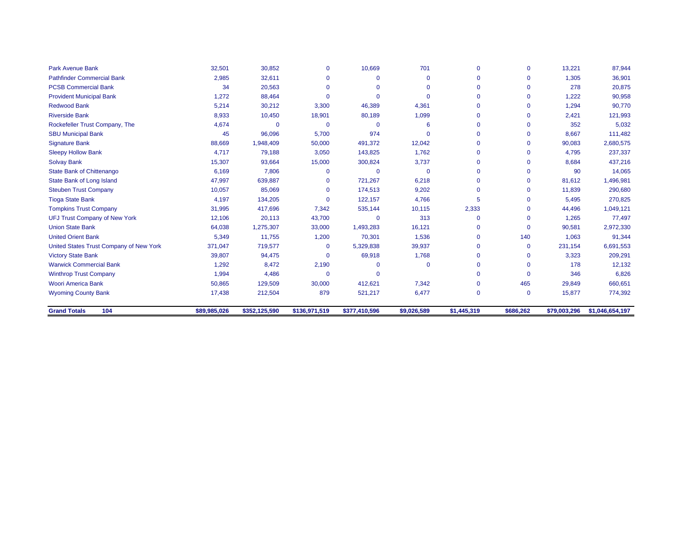| <b>Park Avenue Bank</b>                 | 32,501       | 30,852        | $\mathbf{0}$  | 10,669        | 701         | $\Omega$    | $\mathbf 0$  | 13,221       | 87,944          |
|-----------------------------------------|--------------|---------------|---------------|---------------|-------------|-------------|--------------|--------------|-----------------|
| <b>Pathfinder Commercial Bank</b>       | 2,985        | 32,611        | $\Omega$      | 0             | $\mathbf 0$ | $\Omega$    | $\mathbf 0$  | 1,305        | 36,901          |
| <b>PCSB Commercial Bank</b>             | 34           | 20,563        | $\Omega$      | $\Omega$      | $\Omega$    | $\Omega$    | $\Omega$     | 278          | 20,875          |
| <b>Provident Municipal Bank</b>         | 1,272        | 88,464        | $\Omega$      | $\Omega$      | $\Omega$    | $\Omega$    | $\Omega$     | 1,222        | 90,958          |
| <b>Redwood Bank</b>                     | 5,214        | 30,212        | 3,300         | 46,389        | 4,361       | $\Omega$    | $\mathbf{0}$ | 1,294        | 90,770          |
| <b>Riverside Bank</b>                   | 8,933        | 10,450        | 18,901        | 80,189        | 1,099       |             | $\mathbf 0$  | 2,421        | 121,993         |
| Rockefeller Trust Company, The          | 4,674        | $\Omega$      | $\Omega$      | $\Omega$      | 6           | $\Omega$    | $\Omega$     | 352          | 5,032           |
| <b>SBU Municipal Bank</b>               | 45           | 96,096        | 5,700         | 974           | $\Omega$    | $\Omega$    | $\mathbf 0$  | 8,667        | 111,482         |
| <b>Signature Bank</b>                   | 88,669       | 1,948,409     | 50,000        | 491,372       | 12,042      | 0           | $\Omega$     | 90,083       | 2,680,575       |
| <b>Sleepy Hollow Bank</b>               | 4,717        | 79,188        | 3,050         | 143,825       | 1,762       | $\Omega$    | $\mathbf 0$  | 4,795        | 237,337         |
| <b>Solvay Bank</b>                      | 15,307       | 93,664        | 15,000        | 300,824       | 3,737       | $\Omega$    | $\Omega$     | 8,684        | 437,216         |
| State Bank of Chittenango               | 6,169        | 7,806         | $\Omega$      | $\Omega$      | $\mathbf 0$ | $\Omega$    | $\mathbf{0}$ | 90           | 14,065          |
| State Bank of Long Island               | 47,997       | 639,887       | $\Omega$      | 721,267       | 6,218       | $\Omega$    | $\Omega$     | 81,612       | 1,496,981       |
| <b>Steuben Trust Company</b>            | 10,057       | 85,069        | $\Omega$      | 174,513       | 9,202       |             | $\mathbf{0}$ | 11,839       | 290,680         |
| <b>Tioga State Bank</b>                 | 4,197        | 134,205       | $\Omega$      | 122,157       | 4,766       | 5           | $\mathbf{0}$ | 5,495        | 270,825         |
| <b>Tompkins Trust Company</b>           | 31,995       | 417,696       | 7,342         | 535,144       | 10,115      | 2,333       | $\Omega$     | 44,496       | 1,049,121       |
| <b>UFJ Trust Company of New York</b>    | 12,106       | 20,113        | 43,700        | $\Omega$      | 313         | $\Omega$    | $\Omega$     | 1,265        | 77,497          |
| <b>Union State Bank</b>                 | 64,038       | 1,275,307     | 33,000        | 1,493,283     | 16,121      | $\Omega$    | $\mathbf 0$  | 90,581       | 2,972,330       |
| <b>United Orient Bank</b>               | 5,349        | 11,755        | 1,200         | 70,301        | 1,536       | $\Omega$    | 140          | 1,063        | 91,344          |
| United States Trust Company of New York | 371,047      | 719,577       | $\Omega$      | 5,329,838     | 39,937      | $\Omega$    | $\mathbf{0}$ | 231,154      | 6,691,553       |
| <b>Victory State Bank</b>               | 39,807       | 94,475        | $\Omega$      | 69,918        | 1,768       | $\Omega$    | $\mathbf{0}$ | 3,323        | 209,291         |
| <b>Warwick Commercial Bank</b>          | 1,292        | 8,472         | 2,190         | $\Omega$      | $\mathbf 0$ | $\Omega$    | $\Omega$     | 178          | 12,132          |
| <b>Winthrop Trust Company</b>           | 1,994        | 4,486         | $\mathbf 0$   | $\Omega$      |             | $\Omega$    | $\mathbf 0$  | 346          | 6,826           |
| <b>Woori America Bank</b>               | 50,865       | 129,509       | 30,000        | 412,621       | 7,342       | 0           | 465          | 29,849       | 660,651         |
| <b>Wyoming County Bank</b>              | 17,438       | 212,504       | 879           | 521,217       | 6,477       | $\Omega$    | $\mathbf 0$  | 15,877       | 774,392         |
| <b>Grand Totals</b><br>104              | \$89,985,026 | \$352,125,590 | \$136,971,519 | \$377,410,596 | \$9,026,589 | \$1,445,319 | \$686,262    | \$79,003,296 | \$1,046,654,197 |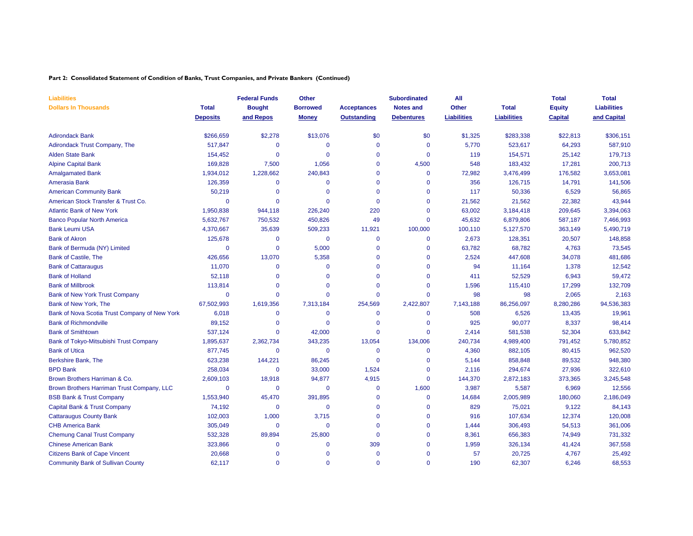#### **Part 2: Consolidated Statement of Condition of Banks, Trust Companies, and Private Bankers (Continued)**

| <b>Liabilities</b>                            |                 | <b>Federal Funds</b> | Other           |                    | <b>Subordinated</b> | All                |                    | <b>Total</b>   | <b>Total</b>       |
|-----------------------------------------------|-----------------|----------------------|-----------------|--------------------|---------------------|--------------------|--------------------|----------------|--------------------|
| <b>Dollars In Thousands</b>                   | <b>Total</b>    | <b>Bought</b>        | <b>Borrowed</b> | <b>Acceptances</b> | <b>Notes and</b>    | <b>Other</b>       | <b>Total</b>       | <b>Equity</b>  | <b>Liabilities</b> |
|                                               | <b>Deposits</b> | and Repos            | <b>Money</b>    | <b>Outstanding</b> | <b>Debentures</b>   | <b>Liabilities</b> | <b>Liabilities</b> | <b>Capital</b> | and Capital        |
| <b>Adirondack Bank</b>                        | \$266,659       | \$2,278              | \$13,076        | \$0                | \$0                 | \$1,325            | \$283,338          | \$22,813       | \$306,151          |
| <b>Adirondack Trust Company, The</b>          | 517,847         | $\mathbf{0}$         | $\mathbf 0$     | $\Omega$           | $\mathbf{0}$        | 5,770              | 523,617            | 64,293         | 587,910            |
| <b>Alden State Bank</b>                       | 154,452         | $\mathbf{0}$         | $\Omega$        | $\Omega$           | $\mathbf 0$         | 119                | 154,571            | 25,142         | 179,713            |
| <b>Alpine Capital Bank</b>                    | 169,828         | 7,500                | 1,056           | $\Omega$           | 4,500               | 548                | 183,432            | 17,281         | 200,713            |
| <b>Amalgamated Bank</b>                       | 1,934,012       | 1,228,662            | 240,843         | $\Omega$           | $\mathbf{0}$        | 72,982             | 3,476,499          | 176,582        | 3,653,081          |
| Amerasia Bank                                 | 126,359         | 0                    | $\mathbf 0$     | $\mathbf 0$        | $\mathbf 0$         | 356                | 126,715            | 14,791         | 141,506            |
| <b>American Community Bank</b>                | 50,219          | $\mathbf{0}$         | $\mathbf 0$     | $\Omega$           | $\mathbf{0}$        | 117                | 50,336             | 6,529          | 56,865             |
| American Stock Transfer & Trust Co.           | $\Omega$        | $\overline{0}$       | $\Omega$        | $\Omega$           | $\mathbf 0$         | 21,562             | 21,562             | 22,382         | 43,944             |
| <b>Atlantic Bank of New York</b>              | 1,950,838       | 944,118              | 226,240         | 220                | $\mathbf 0$         | 63,002             | 3,184,418          | 209,645        | 3,394,063          |
| <b>Banco Popular North America</b>            | 5,632,767       | 750,532              | 450,826         | 49                 | $\mathbf 0$         | 45,632             | 6,879,806          | 587,187        | 7,466,993          |
| <b>Bank Leumi USA</b>                         | 4,370,667       | 35,639               | 509,233         | 11,921             | 100,000             | 100,110            | 5,127,570          | 363,149        | 5,490,719          |
| <b>Bank of Akron</b>                          | 125,678         | $\mathbf{0}$         | $\mathbf 0$     | $\Omega$           | $\mathbf 0$         | 2,673              | 128,351            | 20,507         | 148,858            |
| Bank of Bermuda (NY) Limited                  | $\mathbf 0$     | $\mathbf 0$          | 5,000           | $\Omega$           | $\mathbf{0}$        | 63,782             | 68,782             | 4,763          | 73,545             |
| Bank of Castile, The                          | 426,656         | 13,070               | 5,358           | $\Omega$           | $\mathbf 0$         | 2,524              | 447,608            | 34,078         | 481,686            |
| <b>Bank of Cattaraugus</b>                    | 11,070          | $\mathbf{0}$         | $\mathbf 0$     | $\Omega$           | $\mathbf{0}$        | 94                 | 11,164             | 1,378          | 12,542             |
| <b>Bank of Holland</b>                        | 52,118          | $\mathbf{0}$         | $\mathbf 0$     | $\Omega$           | $\mathbf 0$         | 411                | 52,529             | 6,943          | 59,472             |
| <b>Bank of Millbrook</b>                      | 113,814         | $\mathbf{0}$         | $\Omega$        | $\Omega$           | $\Omega$            | 1,596              | 115,410            | 17,299         | 132,709            |
| <b>Bank of New York Trust Company</b>         | $\mathbf 0$     | $\mathbf{0}$         | $\Omega$        | $\Omega$           | $\mathbf 0$         | 98                 | 98                 | 2,065          | 2,163              |
| Bank of New York, The                         | 67,502,993      | 1,619,356            | 7,313,184       | 254,569            | 2,422,807           | 7,143,188          | 86,256,097         | 8,280,286      | 94,536,383         |
| Bank of Nova Scotia Trust Company of New York | 6,018           | $\mathbf{0}$         | $\mathbf 0$     | $\Omega$           | $\mathbf 0$         | 508                | 6,526              | 13,435         | 19,961             |
| <b>Bank of Richmondville</b>                  | 89,152          | 0                    | $\mathbf{0}$    | 0                  | $\mathbf 0$         | 925                | 90,077             | 8,337          | 98,414             |
| <b>Bank of Smithtown</b>                      | 537,124         | 0                    | 42,000          | $\Omega$           | $\mathbf 0$         | 2,414              | 581,538            | 52,304         | 633,842            |
| Bank of Tokyo-Mitsubishi Trust Company        | 1,895,637       | 2,362,734            | 343,235         | 13,054             | 134,006             | 240,734            | 4,989,400          | 791,452        | 5,780,852          |
| <b>Bank of Utica</b>                          | 877,745         | $\mathbf{0}$         | $\mathbf 0$     | $\Omega$           | $\mathbf 0$         | 4,360              | 882,105            | 80,415         | 962,520            |
| Berkshire Bank, The                           | 623,238         | 144,221              | 86,245          | $\Omega$           | $\mathbf 0$         | 5,144              | 858,848            | 89,532         | 948,380            |
| <b>BPD Bank</b>                               | 258,034         | $\mathbf{0}$         | 33,000          | 1,524              | $\mathbf 0$         | 2,116              | 294,674            | 27,936         | 322,610            |
| Brown Brothers Harriman & Co.                 | 2,609,103       | 18,918               | 94,877          | 4,915              | $\mathbf{0}$        | 144,370            | 2,872,183          | 373,365        | 3,245,548          |
| Brown Brothers Harriman Trust Company, LLC    | $\Omega$        | 0                    | $\mathbf 0$     | $\mathbf 0$        | 1,600               | 3,987              | 5,587              | 6,969          | 12,556             |
| <b>BSB Bank &amp; Trust Company</b>           | 1,553,940       | 45,470               | 391,895         | $\Omega$           | $\mathbf{0}$        | 14,684             | 2,005,989          | 180,060        | 2,186,049          |
| Capital Bank & Trust Company                  | 74,192          | $\mathbf{0}$         | $\mathbf 0$     | $\Omega$           | $\mathbf 0$         | 829                | 75,021             | 9,122          | 84,143             |
| <b>Cattaraugus County Bank</b>                | 102,003         | 1,000                | 3,715           | $\Omega$           | $\mathbf 0$         | 916                | 107,634            | 12,374         | 120,008            |
| <b>CHB America Bank</b>                       | 305,049         | $\mathbf{0}$         | $\mathbf 0$     | $\Omega$           | $\Omega$            | 1,444              | 306,493            | 54,513         | 361,006            |
| <b>Chemung Canal Trust Company</b>            | 532,328         | 89,894               | 25,800          | $\mathbf 0$        | $\mathbf 0$         | 8,361              | 656,383            | 74,949         | 731,332            |
| <b>Chinese American Bank</b>                  | 323,866         | $\mathbf{0}$         | $\mathbf 0$     | 309                | $\mathbf 0$         | 1,959              | 326,134            | 41,424         | 367,558            |
| <b>Citizens Bank of Cape Vincent</b>          | 20,668          | $\mathbf{0}$         | $\mathbf 0$     | $\Omega$           | $\Omega$            | 57                 | 20,725             | 4,767          | 25,492             |
| <b>Community Bank of Sullivan County</b>      | 62,117          | $\Omega$             | $\Omega$        | $\Omega$           | $\Omega$            | 190                | 62,307             | 6,246          | 68,553             |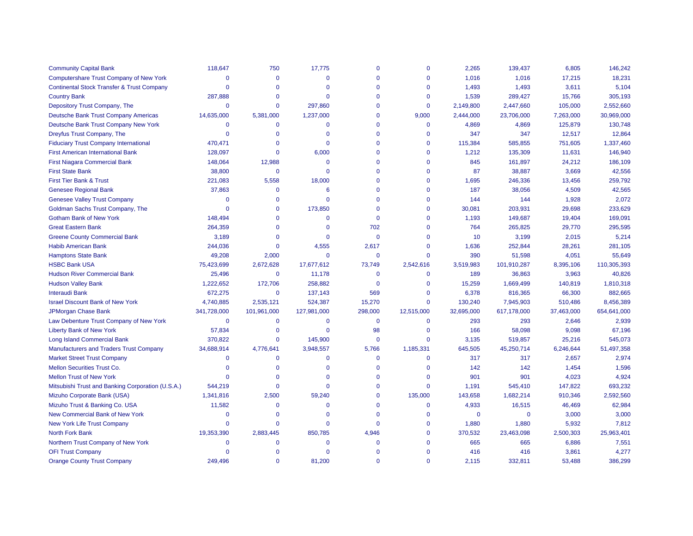| <b>Community Capital Bank</b>                         | 118,647        | 750         | 17,775       | $\mathbf 0$  | $\mathbf 0$    | 2,265       | 139,437     | 6,805      | 146,242     |
|-------------------------------------------------------|----------------|-------------|--------------|--------------|----------------|-------------|-------------|------------|-------------|
| <b>Computershare Trust Company of New York</b>        | $\Omega$       | $\Omega$    | $\Omega$     | $\Omega$     | $\Omega$       | 1,016       | 1,016       | 17,215     | 18,231      |
| <b>Continental Stock Transfer &amp; Trust Company</b> | $\Omega$       | $\Omega$    | $\Omega$     | $\mathbf 0$  | $\Omega$       | 1,493       | 1,493       | 3,611      | 5,104       |
| <b>Country Bank</b>                                   | 287,888        | $\Omega$    | $\Omega$     | $\mathbf{0}$ | $\overline{0}$ | 1,539       | 289,427     | 15,766     | 305,193     |
| Depository Trust Company, The                         | $\Omega$       | $\mathbf 0$ | 297,860      | $\mathbf{0}$ | $\overline{0}$ | 2,149,800   | 2,447,660   | 105,000    | 2,552,660   |
| <b>Deutsche Bank Trust Company Americas</b>           | 14,635,000     | 5,381,000   | 1,237,000    | $\mathbf{0}$ | 9,000          | 2,444,000   | 23,706,000  | 7,263,000  | 30,969,000  |
| Deutsche Bank Trust Company New York                  | $\Omega$       | $\mathbf 0$ | $\Omega$     | $\mathbf{0}$ | $\mathbf 0$    | 4,869       | 4,869       | 125,879    | 130,748     |
| Dreyfus Trust Company, The                            | $\Omega$       | $\mathbf 0$ | $\mathbf{0}$ | $\mathbf 0$  | $\Omega$       | 347         | 347         | 12,517     | 12,864      |
| <b>Fiduciary Trust Company International</b>          | 470,471        | $\Omega$    | $\Omega$     | $\Omega$     | $\Omega$       | 115,384     | 585,855     | 751,605    | 1,337,460   |
| <b>First American International Bank</b>              | 128,097        | $\Omega$    | 6,000        | $\mathbf 0$  | $\Omega$       | 1,212       | 135,309     | 11,631     | 146,940     |
| <b>First Niagara Commercial Bank</b>                  | 148,064        | 12,988      | $\Omega$     | $\mathbf 0$  | $\Omega$       | 845         | 161,897     | 24,212     | 186,109     |
| <b>First State Bank</b>                               | 38,800         | $\mathbf 0$ | $\Omega$     | $\mathbf 0$  | $\Omega$       | 87          | 38,887      | 3,669      | 42,556      |
| First Tier Bank & Trust                               | 221,083        | 5,558       | 18,000       | $\mathbf{0}$ | $\Omega$       | 1,695       | 246,336     | 13,456     | 259,792     |
| <b>Genesee Regional Bank</b>                          | 37,863         | $\mathbf 0$ | 6            | $\Omega$     | $\Omega$       | 187         | 38,056      | 4,509      | 42,565      |
| <b>Genesee Valley Trust Company</b>                   | $\mathbf 0$    | $\Omega$    | $\Omega$     | $\mathbf{0}$ | $\mathbf 0$    | 144         | 144         | 1,928      | 2,072       |
| Goldman Sachs Trust Company, The                      | $\Omega$       | $\Omega$    | 173,850      | $\mathbf{0}$ | $\Omega$       | 30,081      | 203,931     | 29,698     | 233,629     |
| <b>Gotham Bank of New York</b>                        | 148,494        | $\Omega$    | $\Omega$     | $\mathbf{0}$ | $\Omega$       | 1,193       | 149,687     | 19,404     | 169,091     |
| <b>Great Eastern Bank</b>                             | 264,359        | $\Omega$    | $\Omega$     | 702          | $\Omega$       | 764         | 265,825     | 29,770     | 295,595     |
| <b>Greene County Commercial Bank</b>                  | 3,189          | $\Omega$    | $\Omega$     | $\mathbf{0}$ | $\Omega$       | 10          | 3,199       | 2,015      | 5,214       |
| <b>Habib American Bank</b>                            | 244,036        | $\Omega$    | 4,555        | 2,617        | $\Omega$       | 1,636       | 252,844     | 28,261     | 281,105     |
| <b>Hamptons State Bank</b>                            | 49,208         | 2,000       | $\mathbf 0$  | $\mathbf 0$  | $\Omega$       | 390         | 51,598      | 4,051      | 55,649      |
| <b>HSBC Bank USA</b>                                  | 75,423,699     | 2,672,628   | 17,677,612   | 73,749       | 2,542,616      | 3,519,983   | 101,910,287 | 8,395,106  | 110,305,393 |
| <b>Hudson River Commercial Bank</b>                   | 25,496         | $\mathbf 0$ | 11,178       | $\mathbf 0$  | $\mathbf 0$    | 189         | 36,863      | 3,963      | 40,826      |
| <b>Hudson Valley Bank</b>                             | 1,222,652      | 172,706     | 258,882      | $\mathbf 0$  | $\Omega$       | 15,259      | 1,669,499   | 140,819    | 1,810,318   |
| <b>Interaudi Bank</b>                                 | 672,275        | $\mathbf 0$ | 137,143      | 569          | $\Omega$       | 6,378       | 816,365     | 66,300     | 882,665     |
| <b>Israel Discount Bank of New York</b>               | 4,740,885      | 2,535,121   | 524,387      | 15,270       | $\Omega$       | 130,240     | 7,945,903   | 510,486    | 8,456,389   |
| <b>JPMorgan Chase Bank</b>                            | 341,728,000    | 101,961,000 | 127,981,000  | 298,000      | 12,515,000     | 32,695,000  | 617,178,000 | 37,463,000 | 654,641,000 |
| Law Debenture Trust Company of New York               | $\mathbf 0$    | $\mathbf 0$ | $\Omega$     | $\mathbf 0$  | $\mathbf 0$    | 293         | 293         | 2,646      | 2,939       |
| <b>Liberty Bank of New York</b>                       | 57,834         | $\Omega$    | $\mathbf 0$  | 98           | $\mathbf 0$    | 166         | 58,098      | 9,098      | 67,196      |
| Long Island Commercial Bank                           | 370,822        | $\mathbf 0$ | 145,900      | $\mathbf{0}$ | $\mathbf 0$    | 3,135       | 519,857     | 25,216     | 545,073     |
| <b>Manufacturers and Traders Trust Company</b>        | 34,688,914     | 4,776,641   | 3,948,557    | 5,766        | 1,185,331      | 645,505     | 45,250,714  | 6,246,644  | 51,497,358  |
| <b>Market Street Trust Company</b>                    | $\Omega$       | $\Omega$    | $\Omega$     | $\mathbf{0}$ | $\mathbf 0$    | 317         | 317         | 2,657      | 2,974       |
| <b>Mellon Securities Trust Co.</b>                    | $\Omega$       | $\Omega$    | $\Omega$     | $\mathbf 0$  | $\Omega$       | 142         | 142         | 1,454      | 1,596       |
| <b>Mellon Trust of New York</b>                       | $\Omega$       | $\Omega$    | $\Omega$     | $\mathbf{0}$ | $\mathbf 0$    | 901         | 901         | 4,023      | 4,924       |
| Mitsubishi Trust and Banking Corporation (U.S.A.)     | 544,219        | $\Omega$    | $\Omega$     | $\mathbf 0$  | $\Omega$       | 1,191       | 545,410     | 147,822    | 693,232     |
| Mizuho Corporate Bank (USA)                           | 1,341,816      | 2,500       | 59,240       | $\mathbf{0}$ | 135,000        | 143,658     | 1,682,214   | 910,346    | 2,592,560   |
| Mizuho Trust & Banking Co. USA                        | 11,582         | $\Omega$    | $\Omega$     | $\mathbf{0}$ | $\mathbf 0$    | 4,933       | 16,515      | 46,469     | 62,984      |
| New Commercial Bank of New York                       | $\overline{0}$ | $\Omega$    | $\Omega$     | $\mathbf{0}$ | $\mathbf 0$    | $\mathbf 0$ | $\mathbf 0$ | 3,000      | 3,000       |
| New York Life Trust Company                           | $\mathbf 0$    | $\Omega$    | $\Omega$     | $\mathbf{0}$ | $\Omega$       | 1,880       | 1,880       | 5,932      | 7,812       |
| North Fork Bank                                       | 19,353,390     | 2,883,445   | 850,785      | 4,946        | $\Omega$       | 370,532     | 23,463,098  | 2,500,303  | 25,963,401  |
| Northern Trust Company of New York                    | $\Omega$       | $\Omega$    | $\Omega$     | $\mathbf{0}$ | $\Omega$       | 665         | 665         | 6,886      | 7,551       |
| <b>OFI Trust Company</b>                              | 0              | $\Omega$    | $\Omega$     | $\Omega$     | $\Omega$       | 416         | 416         | 3,861      | 4,277       |
| <b>Orange County Trust Company</b>                    | 249.496        | $\Omega$    | 81.200       | $\Omega$     | $\Omega$       | 2.115       | 332.811     | 53.488     | 386,299     |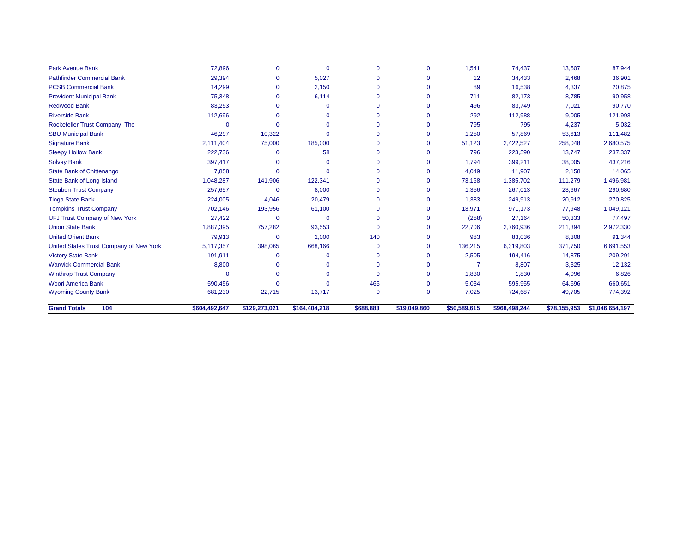| <b>Grand Totals</b><br>104                                 | \$604,492,647 | \$129,273,021 | \$164,404,218 | \$688,883       | \$19,049,860      | \$50,589,615   | \$968,498,244    | \$78,155,953     | \$1,046,654,197  |
|------------------------------------------------------------|---------------|---------------|---------------|-----------------|-------------------|----------------|------------------|------------------|------------------|
|                                                            |               |               |               |                 |                   |                |                  |                  |                  |
| <b>Wyoming County Bank</b>                                 | 681,230       | 22,715        | 13,717        | $\Omega$        | $\mathbf{0}$      | 7,025          | 724,687          | 64,696<br>49,705 | 774,392          |
| <b>Winthrop Trust Company</b><br><b>Woori America Bank</b> | 590,456       | $\Omega$      | $\Omega$      | $\Omega$<br>465 | 0<br>$\mathbf{0}$ | 1,830<br>5,034 | 1,830<br>595,955 | 4,996            | 6,826<br>660,651 |
|                                                            | O             | $\Omega$      |               |                 |                   |                |                  |                  |                  |
| <b>Warwick Commercial Bank</b>                             | 8,800         | $\Omega$      |               | $\Omega$        | O                 |                | 8,807            | 3,325            | 12,132           |
| <b>Victory State Bank</b>                                  | 191,911       | $\Omega$      | $\Omega$      | $\mathbf 0$     | 0                 | 2,505          | 194,416          | 14,875           | 209,291          |
| United States Trust Company of New York                    | 5,117,357     | 398,065       | 668,166       | $\mathbf 0$     | 0                 | 136,215        | 6,319,803        | 371,750          | 6,691,553        |
| <b>United Orient Bank</b>                                  | 79,913        | $\Omega$      | 2,000         | 140             | $\mathbf{0}$      | 983            | 83,036           | 8,308            | 91,344           |
| <b>Union State Bank</b>                                    | 1,887,395     | 757,282       | 93,553        | $\Omega$        | 0                 | 22,706         | 2,760,936        | 211,394          | 2,972,330        |
| <b>UFJ Trust Company of New York</b>                       | 27,422        | $\Omega$      | $\Omega$      | $\Omega$        | $\Omega$          | (258)          | 27,164           | 50,333           | 77,497           |
| <b>Tompkins Trust Company</b>                              | 702,146       | 193,956       | 61,100        | $\mathbf{0}$    | $\Omega$          | 13,971         | 971,173          | 77,948           | 1,049,121        |
| <b>Tioga State Bank</b>                                    | 224,005       | 4,046         | 20,479        | $\mathbf{0}$    | $\Omega$          | 1,383          | 249,913          | 20,912           | 270,825          |
| <b>Steuben Trust Company</b>                               | 257,657       | $\Omega$      | 8,000         | $\mathbf{0}$    | $\mathbf{0}$      | 1,356          | 267,013          | 23,667           | 290,680          |
| State Bank of Long Island                                  | 1,048,287     | 141,906       | 122,341       | $\mathbf 0$     | 0                 | 73,168         | 1,385,702        | 111,279          | 1,496,981        |
| State Bank of Chittenango                                  | 7,858         | $\Omega$      | $\Omega$      | $\Omega$        | $\mathbf{0}$      | 4,049          | 11,907           | 2,158            | 14,065           |
| <b>Solvay Bank</b>                                         | 397,417       | $\Omega$      | $\Omega$      | $\Omega$        | O                 | 1,794          | 399,211          | 38,005           | 437,216          |
| <b>Sleepy Hollow Bank</b>                                  | 222,736       | $\Omega$      | 58            | $\mathbf{0}$    | O                 | 796            | 223,590          | 13,747           | 237,337          |
| <b>Signature Bank</b>                                      | 2,111,404     | 75,000        | 185,000       | $\mathbf{0}$    | $\Omega$          | 51,123         | 2,422,527        | 258,048          | 2,680,575        |
| <b>SBU Municipal Bank</b>                                  | 46,297        | 10,322        | $\Omega$      | $\mathbf{0}$    | 0                 | 1,250          | 57,869           | 53,613           | 111,482          |
| Rockefeller Trust Company, The                             |               | $\Omega$      |               | $\Omega$        | 0                 | 795            | 795              | 4,237            | 5,032            |
| <b>Riverside Bank</b>                                      | 112,696       | $\Omega$      | $\Omega$      | $\Omega$        | O                 | 292            | 112,988          | 9,005            | 121,993          |
| <b>Redwood Bank</b>                                        | 83,253        | O             | $\Omega$      | $\mathbf{0}$    | $\Omega$          | 496            | 83,749           | 7,021            | 90,770           |
| <b>Provident Municipal Bank</b>                            | 75,348        | 0             | 6,114         | $\mathbf{0}$    | O                 | 711            | 82,173           | 8,785            | 90,958           |
| <b>PCSB Commercial Bank</b>                                | 14,299        | 0             | 2,150         | $\mathbf{0}$    | O                 | 89             | 16,538           | 4,337            | 20,875           |
| <b>Pathfinder Commercial Bank</b>                          | 29,394        | $\Omega$      | 5,027         | $\Omega$        | 0                 | 12             | 34,433           | 2,468            | 36,901           |
| <b>Park Avenue Bank</b>                                    | 72,896        | $\Omega$      | $\Omega$      | $\Omega$        | $\mathbf{0}$      | 1,541          | 74,437           | 13,507           | 87,944           |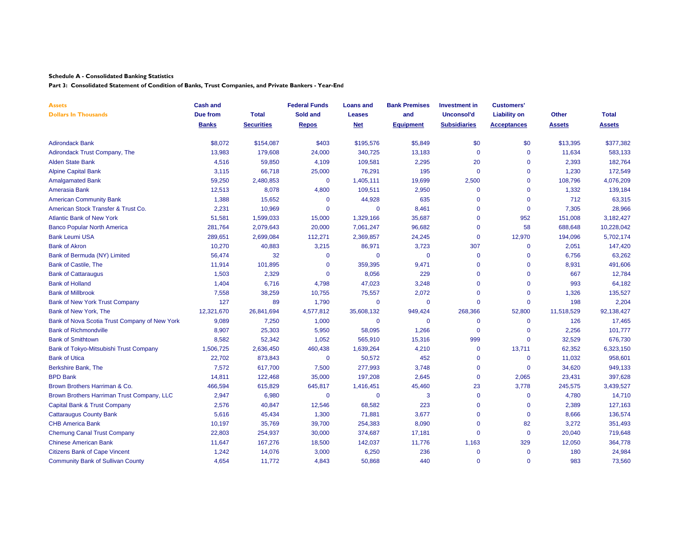**Part 3: Consolidated Statement of Condition of Banks, Trust Companies, and Private Bankers - Year-End**

| <b>Assets</b>                                 | <b>Cash and</b> |                   | <b>Federal Funds</b> | <b>Loans and</b> | <b>Bank Premises</b> | <b>Investment in</b> | <b>Customers'</b>   |               |              |
|-----------------------------------------------|-----------------|-------------------|----------------------|------------------|----------------------|----------------------|---------------------|---------------|--------------|
| <b>Dollars In Thousands</b>                   | Due from        | <b>Total</b>      | Sold and             | <b>Leases</b>    | and                  | Unconsol'd           | <b>Liability on</b> | Other         | <b>Total</b> |
|                                               | <b>Banks</b>    | <b>Securities</b> | <b>Repos</b>         | <b>Net</b>       | <b>Equipment</b>     | <b>Subsidiaries</b>  | <b>Acceptances</b>  | <b>Assets</b> | Assets       |
| <b>Adirondack Bank</b>                        | \$8,072         | \$154,087         | \$403                | \$195,576        | \$5,849              | \$0                  | \$0                 | \$13,395      | \$377,382    |
| Adirondack Trust Company, The                 | 13,983          | 179,608           | 24,000               | 340,725          | 13,183               | $\mathbf 0$          | $\mathbf 0$         | 11,634        | 583,133      |
| Alden State Bank                              | 4,516           | 59,850            | 4,109                | 109,581          | 2,295                | 20                   | 0                   | 2,393         | 182,764      |
| <b>Alpine Capital Bank</b>                    | 3,115           | 66,718            | 25,000               | 76,291           | 195                  | $\overline{0}$       | $\mathbf 0$         | 1,230         | 172,549      |
| <b>Amalgamated Bank</b>                       | 59,250          | 2,480,853         | $\mathbf{0}$         | 1,405,111        | 19,699               | 2,500                | $\Omega$            | 108,796       | 4,076,209    |
| Amerasia Bank                                 | 12,513          | 8,078             | 4,800                | 109,511          | 2,950                | $\mathbf 0$          | $\Omega$            | 1,332         | 139,184      |
| <b>American Community Bank</b>                | 1,388           | 15,652            | $\mathbf{0}$         | 44,928           | 635                  | $\Omega$             | $\overline{0}$      | 712           | 63,315       |
| American Stock Transfer & Trust Co.           | 2,231           | 10,969            | $\Omega$             | $\mathbf 0$      | 8,461                | $\Omega$             | $\mathbf{0}$        | 7,305         | 28,966       |
| <b>Atlantic Bank of New York</b>              | 51,581          | 1,599,033         | 15,000               | 1,329,166        | 35,687               | $\Omega$             | 952                 | 151,008       | 3,182,427    |
| <b>Banco Popular North America</b>            | 281,764         | 2,079,643         | 20,000               | 7,061,247        | 96,682               | $\Omega$             | 58                  | 688,648       | 10,228,042   |
| <b>Bank Leumi USA</b>                         | 289,651         | 2,699,084         | 112,271              | 2,369,857        | 24,245               | $\mathbf 0$          | 12,970              | 194,096       | 5,702,174    |
| <b>Bank of Akron</b>                          | 10,270          | 40,883            | 3,215                | 86,971           | 3,723                | 307                  | $\mathbf 0$         | 2,051         | 147,420      |
| Bank of Bermuda (NY) Limited                  | 56,474          | 32                | $\Omega$             | $\mathbf 0$      | $\mathbf 0$          | $\mathbf 0$          | 0                   | 6,756         | 63,262       |
| <b>Bank of Castile, The</b>                   | 11,914          | 101,895           | $\Omega$             | 359,395          | 9,471                | $\Omega$             | $\mathbf{0}$        | 8,931         | 491,606      |
| <b>Bank of Cattaraugus</b>                    | 1,503           | 2,329             | $\Omega$             | 8,056            | 229                  | $\Omega$             | $\Omega$            | 667           | 12,784       |
| <b>Bank of Holland</b>                        | 1,404           | 6,716             | 4,798                | 47,023           | 3,248                | $\Omega$             | $\overline{0}$      | 993           | 64,182       |
| <b>Bank of Millbrook</b>                      | 7,558           | 38,259            | 10,755               | 75,557           | 2,072                | $\Omega$             | $\Omega$            | 1,326         | 135,527      |
| Bank of New York Trust Company                | 127             | 89                | 1,790                | 0                | $\mathbf 0$          | $\Omega$             | $\mathbf{0}$        | 198           | 2,204        |
| Bank of New York, The                         | 12,321,670      | 26,841,694        | 4,577,812            | 35,608,132       | 949,424              | 268,366              | 52,800              | 11,518,529    | 92,138,427   |
| Bank of Nova Scotia Trust Company of New York | 9,089           | 7,250             | 1,000                | $\mathbf 0$      | $\Omega$             | $\Omega$             | $\mathbf{0}$        | 126           | 17,465       |
| <b>Bank of Richmondville</b>                  | 8,907           | 25,303            | 5,950                | 58,095           | 1,266                | $\mathbf 0$          | $\mathbf 0$         | 2,256         | 101,777      |
| <b>Bank of Smithtown</b>                      | 8,582           | 52,342            | 1,052                | 565,910          | 15,316               | 999                  | $\mathbf 0$         | 32,529        | 676,730      |
| Bank of Tokyo-Mitsubishi Trust Company        | 1,506,725       | 2,636,450         | 460,438              | 1,639,264        | 4,210                | 0                    | 13,711              | 62,352        | 6,323,150    |
| <b>Bank of Utica</b>                          | 22,702          | 873,843           | $\mathbf 0$          | 50,572           | 452                  | $\mathbf 0$          | $\mathbf 0$         | 11,032        | 958,601      |
| Berkshire Bank, The                           | 7,572           | 617,700           | 7,500                | 277,993          | 3,748                | $\Omega$             | $\mathbf{0}$        | 34,620        | 949,133      |
| <b>BPD Bank</b>                               | 14,811          | 122,468           | 35,000               | 197,208          | 2,645                | $\Omega$             | 2,065               | 23,431        | 397,628      |
| Brown Brothers Harriman & Co.                 | 466,594         | 615,829           | 645,817              | 1,416,451        | 45,460               | 23                   | 3,778               | 245,575       | 3,439,527    |
| Brown Brothers Harriman Trust Company, LLC    | 2,947           | 6,980             | $\Omega$             | $\mathbf{0}$     | 3                    | $\Omega$             | $\mathbf 0$         | 4,780         | 14,710       |
| Capital Bank & Trust Company                  | 2,576           | 40,847            | 12,546               | 68,582           | 223                  | $\Omega$             | $\overline{0}$      | 2,389         | 127,163      |
| <b>Cattaraugus County Bank</b>                | 5,616           | 45,434            | 1,300                | 71,881           | 3,677                | $\Omega$             | $\mathbf{0}$        | 8,666         | 136,574      |
| <b>CHB America Bank</b>                       | 10,197          | 35,769            | 39,700               | 254,383          | 8,090                | $\Omega$             | 82                  | 3,272         | 351,493      |
| <b>Chemung Canal Trust Company</b>            | 22,803          | 254,937           | 30,000               | 374,687          | 17,181               | $\Omega$             | $\mathbf 0$         | 20,040        | 719,648      |
| <b>Chinese American Bank</b>                  | 11,647          | 167,276           | 18,500               | 142,037          | 11,776               | 1,163                | 329                 | 12,050        | 364,778      |
| <b>Citizens Bank of Cape Vincent</b>          | 1,242           | 14,076            | 3,000                | 6,250            | 236                  | $\mathbf 0$          | $\mathbf{0}$        | 180           | 24,984       |
| <b>Community Bank of Sullivan County</b>      | 4,654           | 11,772            | 4,843                | 50,868           | 440                  | $\Omega$             | $\Omega$            | 983           | 73,560       |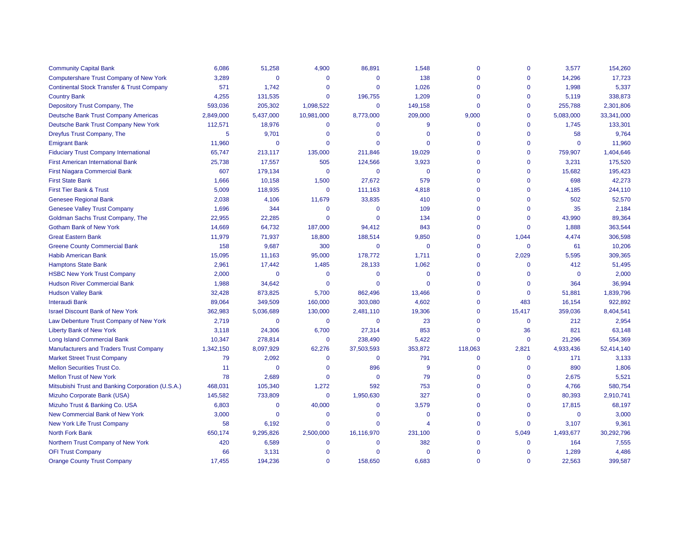| <b>Community Capital Bank</b>                         | 6,086     | 51,258         | 4,900          | 86,891       | 1,548          | $\mathbf 0$  | $\mathbf{0}$ | 3,577          | 154,260    |
|-------------------------------------------------------|-----------|----------------|----------------|--------------|----------------|--------------|--------------|----------------|------------|
| Computershare Trust Company of New York               | 3,289     | $\Omega$       | $\Omega$       | $\Omega$     | 138            | $\Omega$     | $\Omega$     | 14,296         | 17,723     |
| <b>Continental Stock Transfer &amp; Trust Company</b> | 571       | 1,742          | $\Omega$       | $\Omega$     | 1,026          | $\mathbf 0$  | $\Omega$     | 1,998          | 5,337      |
| <b>Country Bank</b>                                   | 4,255     | 131,535        | $\Omega$       | 196,755      | 1,209          | $\Omega$     | $\Omega$     | 5,119          | 338,873    |
| Depository Trust Company, The                         | 593,036   | 205,302        | 1,098,522      | $\mathbf 0$  | 149,158        | $\Omega$     | $\Omega$     | 255,788        | 2,301,806  |
| <b>Deutsche Bank Trust Company Americas</b>           | 2,849,000 | 5,437,000      | 10,981,000     | 8,773,000    | 209,000        | 9,000        | $\Omega$     | 5,083,000      | 33,341,000 |
| Deutsche Bank Trust Company New York                  | 112,571   | 18,976         | $\Omega$       | $\mathbf 0$  | 9              | $\mathbf 0$  | $\Omega$     | 1,745          | 133,301    |
| Dreyfus Trust Company, The                            | 5         | 9,701          | $\Omega$       | $\Omega$     | $\Omega$       | $\Omega$     | $\Omega$     | 58             | 9,764      |
| <b>Emigrant Bank</b>                                  | 11,960    | $\Omega$       | $\Omega$       | $\Omega$     | $\Omega$       | $\Omega$     | $\Omega$     | $\Omega$       | 11,960     |
| <b>Fiduciary Trust Company International</b>          | 65,747    | 213,117        | 135,000        | 211,846      | 19,029         | $\Omega$     | $\Omega$     | 759,907        | 1,404,646  |
| <b>First American International Bank</b>              | 25,738    | 17,557         | 505            | 124,566      | 3,923          | $\mathbf 0$  | $\Omega$     | 3,231          | 175,520    |
| <b>First Niagara Commercial Bank</b>                  | 607       | 179,134        | $\Omega$       | $\mathbf 0$  | $\mathbf 0$    | $\Omega$     | $\Omega$     | 15,682         | 195,423    |
| <b>First State Bank</b>                               | 1,666     | 10,158         | 1,500          | 27,672       | 579            | $\mathbf 0$  | $\Omega$     | 698            | 42,273     |
| First Tier Bank & Trust                               | 5,009     | 118,935        | $\mathbf 0$    | 111,163      | 4,818          | $\Omega$     | $\Omega$     | 4,185          | 244,110    |
| <b>Genesee Regional Bank</b>                          | 2,038     | 4,106          | 11,679         | 33,835       | 410            | $\mathbf 0$  | $\Omega$     | 502            | 52,570     |
| <b>Genesee Valley Trust Company</b>                   | 1,696     | 344            | $\Omega$       | $\mathbf 0$  | 109            | $\Omega$     | $\Omega$     | 35             | 2,184      |
| Goldman Sachs Trust Company, The                      | 22,955    | 22,285         | $\Omega$       | $\Omega$     | 134            | $\Omega$     | $\Omega$     | 43,990         | 89,364     |
| <b>Gotham Bank of New York</b>                        | 14,669    | 64,732         | 187,000        | 94,412       | 843            | $\Omega$     | $\mathbf 0$  | 1,888          | 363,544    |
| <b>Great Eastern Bank</b>                             | 11,979    | 71,937         | 18,800         | 188,514      | 9,850          | $\mathbf 0$  | 1,044        | 4,474          | 306,598    |
| <b>Greene County Commercial Bank</b>                  | 158       | 9,687          | 300            | $\mathbf 0$  | $\mathbf 0$    | $\mathbf{0}$ | $\mathbf 0$  | 61             | 10,206     |
| <b>Habib American Bank</b>                            | 15,095    | 11,163         | 95,000         | 178,772      | 1,711          | $\mathbf 0$  | 2,029        | 5,595          | 309,365    |
| <b>Hamptons State Bank</b>                            | 2,961     | 17,442         | 1,485          | 28,133       | 1,062          | $\mathbf{0}$ | $\mathbf 0$  | 412            | 51,495     |
| <b>HSBC New York Trust Company</b>                    | 2,000     | $\mathbf 0$    | $\mathbf 0$    | $\mathbf 0$  | $\mathbf 0$    | $\mathbf 0$  | $\Omega$     | $\mathbf 0$    | 2,000      |
| <b>Hudson River Commercial Bank</b>                   | 1,988     | 34,642         | $\mathbf 0$    | $\Omega$     | $\overline{0}$ | $\mathbf{0}$ | $\Omega$     | 364            | 36,994     |
| <b>Hudson Valley Bank</b>                             | 32,428    | 873,825        | 5,700          | 862,496      | 13,466         | $\Omega$     | $\mathbf 0$  | 51,881         | 1,839,796  |
| <b>Interaudi Bank</b>                                 | 89,064    | 349,509        | 160,000        | 303,080      | 4,602          | $\Omega$     | 483          | 16,154         | 922,892    |
| <b>Israel Discount Bank of New York</b>               | 362,983   | 5,036,689      | 130,000        | 2,481,110    | 19,306         | $\mathbf{0}$ | 15,417       | 359,036        | 8,404,541  |
| Law Debenture Trust Company of New York               | 2,719     | $\overline{0}$ | $\mathbf 0$    | $\mathbf 0$  | 23             | $\mathbf{0}$ | $\mathbf 0$  | 212            | 2,954      |
| <b>Liberty Bank of New York</b>                       | 3,118     | 24,306         | 6,700          | 27,314       | 853            | $\mathbf{0}$ | 36           | 821            | 63,148     |
| <b>Long Island Commercial Bank</b>                    | 10,347    | 278,814        | $\overline{0}$ | 238,490      | 5,422          | $\mathbf{0}$ | $\mathbf 0$  | 21,296         | 554,369    |
| <b>Manufacturers and Traders Trust Company</b>        | 1,342,150 | 8,097,929      | 62,276         | 37,503,593   | 353,872        | 118,063      | 2,821        | 4,933,436      | 52,414,140 |
| <b>Market Street Trust Company</b>                    | 79        | 2,092          | $\Omega$       | $\mathbf 0$  | 791            | $\mathbf{0}$ | $\mathbf 0$  | 171            | 3,133      |
| <b>Mellon Securities Trust Co.</b>                    | 11        | $\Omega$       | $\Omega$       | 896          | 9              | $\Omega$     | $\Omega$     | 890            | 1,806      |
| <b>Mellon Trust of New York</b>                       | 78        | 2,689          | $\Omega$       | $\mathbf 0$  | 79             | $\mathbf 0$  | $\Omega$     | 2,675          | 5,521      |
| Mitsubishi Trust and Banking Corporation (U.S.A.)     | 468,031   | 105,340        | 1,272          | 592          | 753            | $\mathbf{0}$ | $\mathbf 0$  | 4,766          | 580,754    |
| Mizuho Corporate Bank (USA)                           | 145,582   | 733,809        | $\mathbf 0$    | 1,950,630    | 327            | $\mathbf 0$  | $\mathbf 0$  | 80,393         | 2,910,741  |
| Mizuho Trust & Banking Co. USA                        | 6,803     | $\Omega$       | 40,000         | $\mathbf 0$  | 3,579          | $\Omega$     | $\Omega$     | 17,815         | 68,197     |
| New Commercial Bank of New York                       | 3,000     | $\Omega$       | $\Omega$       | $\mathbf{0}$ | $\mathbf 0$    | $\mathbf{0}$ | $\Omega$     | $\overline{0}$ | 3,000      |
| <b>New York Life Trust Company</b>                    | 58        | 6,192          | $\mathbf 0$    | $\mathbf{0}$ | $\overline{4}$ | $\Omega$     | $\mathbf 0$  | 3,107          | 9,361      |
| <b>North Fork Bank</b>                                | 650,174   | 9,295,826      | 2,500,000      | 16,116,970   | 231,100        | $\Omega$     | 5,049        | 1,493,677      | 30,292,796 |
| Northern Trust Company of New York                    | 420       | 6,589          | $\Omega$       | $\mathbf{0}$ | 382            | $\Omega$     | $\Omega$     | 164            | 7,555      |
| <b>OFI Trust Company</b>                              | 66        | 3,131          | $\Omega$       | $\Omega$     | $\mathbf{0}$   | $\Omega$     | $\Omega$     | 1,289          | 4,486      |
| <b>Orange County Trust Company</b>                    | 17.455    | 194.236        | $\Omega$       | 158.650      | 6.683          | $\Omega$     | $\Omega$     | 22.563         | 399.587    |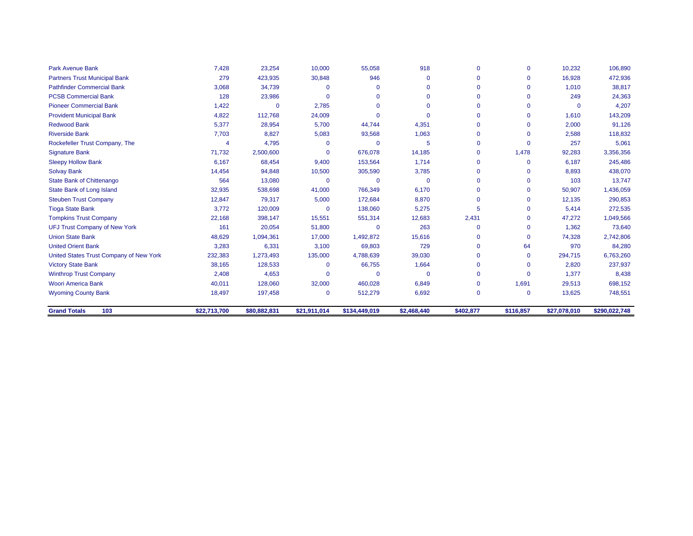| <b>Park Avenue Bank</b>                 | 7,428        | 23,254       | 10,000       | 55,058        | 918         | $\Omega$  | $\mathbf 0$ | 10,232       | 106,890       |
|-----------------------------------------|--------------|--------------|--------------|---------------|-------------|-----------|-------------|--------------|---------------|
| <b>Partners Trust Municipal Bank</b>    | 279          | 423,935      | 30,848       | 946           | $\Omega$    | $\Omega$  | $\Omega$    | 16,928       | 472,936       |
| <b>Pathfinder Commercial Bank</b>       | 3,068        | 34,739       | $\Omega$     | O             | $\Omega$    |           | ∩           | 1,010        | 38,817        |
| <b>PCSB Commercial Bank</b>             | 128          | 23,986       | $\Omega$     | $\Omega$      | $\Omega$    | $\Omega$  | $\Omega$    | 249          | 24,363        |
| <b>Pioneer Commercial Bank</b>          | 1,422        | $\mathbf 0$  | 2,785        | $\Omega$      | $\Omega$    |           | $\Omega$    | $\mathbf{0}$ | 4,207         |
| <b>Provident Municipal Bank</b>         | 4,822        | 112,768      | 24,009       | $\Omega$      | $\Omega$    |           | $\Omega$    | 1.610        | 143,209       |
| <b>Redwood Bank</b>                     | 5,377        | 28,954       | 5,700        | 44,744        | 4,351       | $\Omega$  | $\Omega$    | 2,000        | 91,126        |
| <b>Riverside Bank</b>                   | 7,703        | 8,827        | 5,083        | 93,568        | 1,063       | $\Omega$  | ∩           | 2,588        | 118,832       |
| Rockefeller Trust Company, The          |              | 4,795        | $\Omega$     | $\Omega$      | 5           | $\Omega$  | $\Omega$    | 257          | 5,061         |
| <b>Signature Bank</b>                   | 71,732       | 2,500,600    | $\mathbf 0$  | 676,078       | 14,185      | $\Omega$  | 1,478       | 92,283       | 3,356,356     |
| <b>Sleepy Hollow Bank</b>               | 6,167        | 68,454       | 9,400        | 153,564       | 1,714       | $\Omega$  | $\Omega$    | 6,187        | 245,486       |
| <b>Solvay Bank</b>                      | 14,454       | 94,848       | 10,500       | 305,590       | 3,785       | $\Omega$  | $\Omega$    | 8,893        | 438,070       |
| <b>State Bank of Chittenango</b>        | 564          | 13,080       | $\Omega$     | $\Omega$      | $\Omega$    | $\Omega$  | $\Omega$    | 103          | 13,747        |
| State Bank of Long Island               | 32,935       | 538,698      | 41,000       | 766,349       | 6,170       |           | $\Omega$    | 50,907       | 1,436,059     |
| <b>Steuben Trust Company</b>            | 12,847       | 79,317       | 5,000        | 172,684       | 8,870       | $\Omega$  | $\Omega$    | 12,135       | 290,853       |
| <b>Tioga State Bank</b>                 | 3,772        | 120,009      | $\Omega$     | 138,060       | 5,275       | 5         | $\Omega$    | 5,414        | 272,535       |
| <b>Tompkins Trust Company</b>           | 22,168       | 398,147      | 15,551       | 551,314       | 12,683      | 2,431     | $\Omega$    | 47,272       | 1,049,566     |
| <b>UFJ Trust Company of New York</b>    | 161          | 20,054       | 51,800       | $\mathbf 0$   | 263         | $\Omega$  | $\Omega$    | 1,362        | 73,640        |
| <b>Union State Bank</b>                 | 48,629       | 1,094,361    | 17,000       | 1,492,872     | 15,616      |           | $\Omega$    | 74,328       | 2,742,806     |
| <b>United Orient Bank</b>               | 3,283        | 6,331        | 3,100        | 69,803        | 729         | $\Omega$  | 64          | 970          | 84,280        |
| United States Trust Company of New York | 232,383      | 1,273,493    | 135,000      | 4,788,639     | 39,030      | $\Omega$  | $\Omega$    | 294,715      | 6,763,260     |
| <b>Victory State Bank</b>               | 38,165       | 128,533      | $\Omega$     | 66,755        | 1,664       |           | $\Omega$    | 2,820        | 237,937       |
| <b>Winthrop Trust Company</b>           | 2,408        | 4,653        | $\mathbf 0$  | $\Omega$      | $\Omega$    | $\Omega$  | $\Omega$    | 1,377        | 8,438         |
| <b>Woori America Bank</b>               | 40,011       | 128,060      | 32,000       | 460,028       | 6,849       | $\Omega$  | 1,691       | 29,513       | 698,152       |
| <b>Wyoming County Bank</b>              | 18,497       | 197,458      | $\mathbf{0}$ | 512,279       | 6,692       | $\Omega$  | $\mathbf 0$ | 13,625       | 748,551       |
| <b>Grand Totals</b><br>103              | \$22,713,700 | \$80,882,831 | \$21,911,014 | \$134,449,019 | \$2,468,440 | \$402,877 | \$116,857   | \$27,078,010 | \$290,022,748 |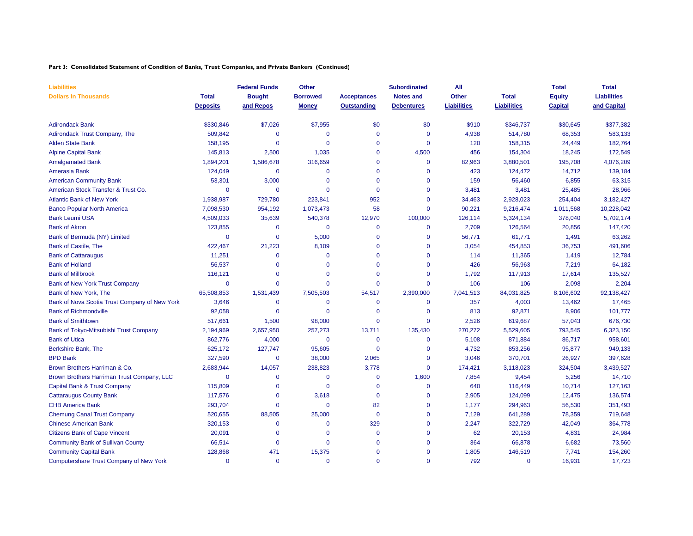#### **Part 3: Consolidated Statement of Condition of Banks, Trust Companies, and Private Bankers (Continued)**

| <b>Liabilities</b>                            |                 | <b>Federal Funds</b> | Other           |                    | <b>Subordinated</b> | All                |                    | <b>Total</b>   | <b>Total</b>       |
|-----------------------------------------------|-----------------|----------------------|-----------------|--------------------|---------------------|--------------------|--------------------|----------------|--------------------|
| <b>Dollars In Thousands</b>                   | <b>Total</b>    | <b>Bought</b>        | <b>Borrowed</b> | <b>Acceptances</b> | <b>Notes and</b>    | <b>Other</b>       | <b>Total</b>       | <b>Equity</b>  | <b>Liabilities</b> |
|                                               | <b>Deposits</b> | and Repos            | <b>Money</b>    | <b>Outstanding</b> | <b>Debentures</b>   | <b>Liabilities</b> | <b>Liabilities</b> | <b>Capital</b> | and Capital        |
| <b>Adirondack Bank</b>                        | \$330,846       | \$7,026              | \$7,955         | \$0                | \$0                 | \$910              | \$346,737          | \$30,645       | \$377,382          |
| Adirondack Trust Company, The                 | 509,842         | $\Omega$             | $\Omega$        | $\mathbf 0$        | $\Omega$            | 4,938              | 514,780            | 68,353         | 583,133            |
| <b>Alden State Bank</b>                       | 158,195         | 0                    | $\mathbf{0}$    | 0                  | $\mathbf 0$         | 120                | 158,315            | 24,449         | 182,764            |
| <b>Alpine Capital Bank</b>                    | 145,813         | 2,500                | 1,035           | $\Omega$           | 4,500               | 456                | 154,304            | 18,245         | 172,549            |
| <b>Amalgamated Bank</b>                       | 1,894,201       | 1,586,678            | 316,659         | $\Omega$           | $\mathbf{0}$        | 82,963             | 3,880,501          | 195,708        | 4,076,209          |
| Amerasia Bank                                 | 124,049         | $\mathbf 0$          | $\mathbf{0}$    | $\Omega$           | $\mathbf 0$         | 423                | 124,472            | 14,712         | 139,184            |
| <b>American Community Bank</b>                | 53,301          | 3,000                | $\Omega$        | $\Omega$           | $\Omega$            | 159                | 56,460             | 6,855          | 63,315             |
| American Stock Transfer & Trust Co.           | $\Omega$        | $\mathbf{0}$         | $\Omega$        | $\mathbf 0$        | $\Omega$            | 3,481              | 3,481              | 25,485         | 28,966             |
| <b>Atlantic Bank of New York</b>              | 1,938,987       | 729,780              | 223,841         | 952                | $\mathbf 0$         | 34,463             | 2,928,023          | 254,404        | 3,182,427          |
| <b>Banco Popular North America</b>            | 7,098,530       | 954,192              | 1,073,473       | 58                 | $\mathbf 0$         | 90,221             | 9,216,474          | 1,011,568      | 10,228,042         |
| <b>Bank Leumi USA</b>                         | 4,509,033       | 35,639               | 540,378         | 12,970             | 100,000             | 126,114            | 5,324,134          | 378,040        | 5,702,174          |
| <b>Bank of Akron</b>                          | 123,855         | $\mathbf 0$          | $\mathbf 0$     | $\mathbf 0$        | $\mathbf 0$         | 2,709              | 126,564            | 20,856         | 147,420            |
| Bank of Bermuda (NY) Limited                  | $\Omega$        | $\mathbf{0}$         | 5,000           | $\Omega$           | $\mathbf 0$         | 56,771             | 61,771             | 1,491          | 63,262             |
| <b>Bank of Castile, The</b>                   | 422,467         | 21,223               | 8,109           | $\Omega$           | $\mathbf{0}$        | 3,054              | 454,853            | 36,753         | 491,606            |
| <b>Bank of Cattaraugus</b>                    | 11,251          | 0                    | $\mathbf 0$     | $\Omega$           | $\mathbf 0$         | 114                | 11,365             | 1,419          | 12,784             |
| <b>Bank of Holland</b>                        | 56,537          | $\overline{0}$       | $\mathbf 0$     | $\Omega$           | $\mathbf 0$         | 426                | 56,963             | 7,219          | 64,182             |
| <b>Bank of Millbrook</b>                      | 116,121         | $\mathbf{0}$         | $\Omega$        | $\Omega$           | $\mathbf 0$         | 1,792              | 117,913            | 17,614         | 135,527            |
| <b>Bank of New York Trust Company</b>         | $\mathbf 0$     | $\mathbf{0}$         | $\Omega$        | $\Omega$           | $\mathbf 0$         | 106                | 106                | 2,098          | 2,204              |
| Bank of New York, The                         | 65,508,853      | 1,531,439            | 7,505,503       | 54,517             | 2,390,000           | 7,041,513          | 84,031,825         | 8,106,602      | 92,138,427         |
| Bank of Nova Scotia Trust Company of New York | 3,646           | $\mathbf{0}$         | $\mathbf 0$     | $\Omega$           | $\mathbf 0$         | 357                | 4,003              | 13,462         | 17,465             |
| <b>Bank of Richmondville</b>                  | 92,058          | $\mathbf{0}$         | $\mathbf 0$     | $\mathbf 0$        | $\mathbf 0$         | 813                | 92,871             | 8,906          | 101,777            |
| <b>Bank of Smithtown</b>                      | 517,661         | 1,500                | 98,000          | $\Omega$           | $\mathbf 0$         | 2,526              | 619,687            | 57,043         | 676,730            |
| Bank of Tokyo-Mitsubishi Trust Company        | 2,194,969       | 2,657,950            | 257,273         | 13,711             | 135,430             | 270,272            | 5,529,605          | 793,545        | 6,323,150          |
| <b>Bank of Utica</b>                          | 862,776         | 4,000                | $\mathbf 0$     | $\Omega$           | $\Omega$            | 5,108              | 871,884            | 86,717         | 958,601            |
| Berkshire Bank, The                           | 625,172         | 127,747              | 95,605          | $\mathbf 0$        | $\mathbf 0$         | 4,732              | 853,256            | 95,877         | 949,133            |
| <b>BPD Bank</b>                               | 327,590         | $\mathbf 0$          | 38,000          | 2,065              | $\mathbf 0$         | 3,046              | 370,701            | 26,927         | 397,628            |
| Brown Brothers Harriman & Co.                 | 2,683,944       | 14,057               | 238,823         | 3,778              | $\mathbf 0$         | 174,421            | 3,118,023          | 324,504        | 3,439,527          |
| Brown Brothers Harriman Trust Company, LLC    | $\Omega$        | 0                    | $\mathbf 0$     | $\mathbf 0$        | 1,600               | 7,854              | 9,454              | 5,256          | 14,710             |
| Capital Bank & Trust Company                  | 115,809         | $\mathbf{0}$         | $\mathbf 0$     | $\Omega$           | $\mathbf 0$         | 640                | 116,449            | 10,714         | 127,163            |
| <b>Cattaraugus County Bank</b>                | 117,576         | $\Omega$             | 3,618           | $\Omega$           | $\Omega$            | 2,905              | 124,099            | 12,475         | 136,574            |
| <b>CHB America Bank</b>                       | 293,704         | 0                    | $\mathbf 0$     | 82                 | $\mathbf 0$         | 1,177              | 294,963            | 56,530         | 351,493            |
| <b>Chemung Canal Trust Company</b>            | 520,655         | 88,505               | 25,000          | $\mathbf 0$        | $\mathbf 0$         | 7,129              | 641,289            | 78,359         | 719,648            |
| <b>Chinese American Bank</b>                  | 320,153         | $\mathbf{0}$         | $\mathbf 0$     | 329                | $\mathbf 0$         | 2,247              | 322,729            | 42,049         | 364,778            |
| <b>Citizens Bank of Cape Vincent</b>          | 20,091          | $\mathbf{0}$         | $\mathbf 0$     | $\overline{0}$     | $\mathbf 0$         | 62                 | 20,153             | 4,831          | 24,984             |
| <b>Community Bank of Sullivan County</b>      | 66,514          | $\mathbf{0}$         | $\mathbf 0$     | $\Omega$           | $\Omega$            | 364                | 66,878             | 6,682          | 73,560             |
| <b>Community Capital Bank</b>                 | 128,868         | 471                  | 15,375          | $\Omega$           | $\Omega$            | 1,805              | 146,519            | 7,741          | 154,260            |
| Computershare Trust Company of New York       | $\Omega$        | $\Omega$             | $\Omega$        | $\Omega$           | $\Omega$            | 792                | $\Omega$           | 16,931         | 17,723             |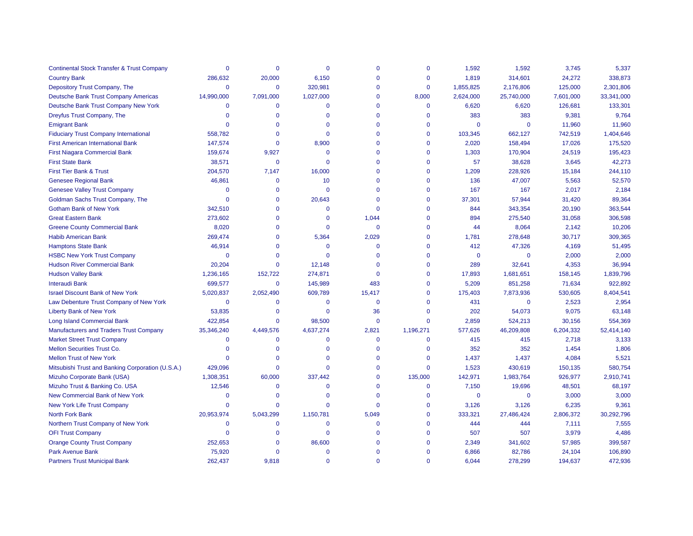| <b>Continental Stock Transfer &amp; Trust Company</b> | $\Omega$     | $\Omega$    | $\Omega$    | $\Omega$     | $\Omega$     | 1,592        | 1,592       | 3,745     | 5,337      |
|-------------------------------------------------------|--------------|-------------|-------------|--------------|--------------|--------------|-------------|-----------|------------|
| <b>Country Bank</b>                                   | 286,632      | 20,000      | 6,150       | $\Omega$     | $\Omega$     | 1,819        | 314,601     | 24,272    | 338,873    |
| Depository Trust Company, The                         | $\Omega$     | $\mathbf 0$ | 320,981     | $\mathbf 0$  | $\mathbf 0$  | 1,855,825    | 2,176,806   | 125,000   | 2,301,806  |
| Deutsche Bank Trust Company Americas                  | 14,990,000   | 7,091,000   | 1,027,000   | $\mathbf 0$  | 8,000        | 2,624,000    | 25,740,000  | 7,601,000 | 33,341,000 |
| Deutsche Bank Trust Company New York                  | $\Omega$     | $\mathbf 0$ | $\Omega$    | $\mathbf{0}$ | $\mathbf 0$  | 6,620        | 6,620       | 126,681   | 133,301    |
| Dreyfus Trust Company, The                            | $\mathbf{0}$ | $\mathbf 0$ | $\Omega$    | $\mathbf{0}$ | $\Omega$     | 383          | 383         | 9,381     | 9,764      |
| <b>Emigrant Bank</b>                                  | $\Omega$     | $\Omega$    | $\Omega$    | $\Omega$     | $\Omega$     | $\mathbf 0$  | $\mathbf 0$ | 11,960    | 11,960     |
| <b>Fiduciary Trust Company International</b>          | 558,782      | $\Omega$    | $\Omega$    | $\mathbf 0$  | $\Omega$     | 103,345      | 662,127     | 742,519   | 1,404,646  |
| <b>First American International Bank</b>              | 147,574      | $\Omega$    | 8,900       | $\Omega$     | $\Omega$     | 2,020        | 158,494     | 17,026    | 175,520    |
| <b>First Niagara Commercial Bank</b>                  | 159,674      | 9,927       | $\mathbf 0$ | $\mathbf 0$  | $\mathbf 0$  | 1,303        | 170,904     | 24,519    | 195,423    |
| <b>First State Bank</b>                               | 38,571       | $\mathbf 0$ | $\Omega$    | $\mathbf{0}$ | $\mathbf 0$  | 57           | 38,628      | 3,645     | 42,273     |
| <b>First Tier Bank &amp; Trust</b>                    | 204,570      | 7,147       | 16,000      | $\mathbf 0$  | $\Omega$     | 1,209        | 228,926     | 15,184    | 244,110    |
| <b>Genesee Regional Bank</b>                          | 46,861       | $\mathbf 0$ | 10          | $\mathbf{0}$ | $\mathbf 0$  | 136          | 47,007      | 5,563     | 52,570     |
| <b>Genesee Valley Trust Company</b>                   | $\mathbf{0}$ | $\Omega$    | $\Omega$    | $\Omega$     | $\Omega$     | 167          | 167         | 2,017     | 2,184      |
| Goldman Sachs Trust Company, The                      | $\Omega$     | $\mathbf 0$ | 20,643      | $\mathbf{0}$ | $\mathbf 0$  | 37,301       | 57,944      | 31,420    | 89,364     |
| <b>Gotham Bank of New York</b>                        | 342,510      | $\Omega$    | $\Omega$    | $\Omega$     | $\Omega$     | 844          | 343,354     | 20,190    | 363,544    |
| <b>Great Eastern Bank</b>                             | 273,602      | $\Omega$    | $\Omega$    | 1,044        | $\Omega$     | 894          | 275,540     | 31,058    | 306,598    |
| <b>Greene County Commercial Bank</b>                  | 8,020        | $\Omega$    | $\Omega$    | $\mathbf{0}$ | $\Omega$     | 44           | 8,064       | 2,142     | 10,206     |
| <b>Habib American Bank</b>                            | 269,474      | $\mathbf 0$ | 5,364       | 2,029        | $\mathbf 0$  | 1,781        | 278,648     | 30,717    | 309,365    |
| <b>Hamptons State Bank</b>                            | 46,914       | $\Omega$    | $\mathbf 0$ | $\mathbf{0}$ | $\Omega$     | 412          | 47,326      | 4,169     | 51,495     |
| <b>HSBC New York Trust Company</b>                    | $\mathbf 0$  | $\Omega$    | $\Omega$    | $\Omega$     | $\Omega$     | $\mathbf 0$  | $\mathbf 0$ | 2,000     | 2,000      |
| <b>Hudson River Commercial Bank</b>                   | 20,204       | $\mathbf 0$ | 12,148      | $\Omega$     | $\Omega$     | 289          | 32,641      | 4,353     | 36,994     |
| <b>Hudson Valley Bank</b>                             | 1,236,165    | 152,722     | 274,871     | $\mathbf 0$  | $\Omega$     | 17,893       | 1,681,651   | 158,145   | 1,839,796  |
| <b>Interaudi Bank</b>                                 | 699,577      | $\mathbf 0$ | 145,989     | 483          | $\Omega$     | 5,209        | 851,258     | 71,634    | 922,892    |
| <b>Israel Discount Bank of New York</b>               | 5,020,837    | 2,052,490   | 609,789     | 15,417       | $\Omega$     | 175,403      | 7,873,936   | 530,605   | 8,404,541  |
| Law Debenture Trust Company of New York               | $\Omega$     | $\mathbf 0$ | $\Omega$    | $\mathbf 0$  | $\Omega$     | 431          | $\mathbf 0$ | 2,523     | 2,954      |
| <b>Liberty Bank of New York</b>                       | 53,835       | $\Omega$    | $\Omega$    | 36           | $\Omega$     | 202          | 54,073      | 9,075     | 63,148     |
| <b>Long Island Commercial Bank</b>                    | 422,854      | $\Omega$    | 98,500      | $\Omega$     | $\Omega$     | 2,859        | 524,213     | 30,156    | 554,369    |
| <b>Manufacturers and Traders Trust Company</b>        | 35,346,240   | 4,449,576   | 4,637,274   | 2,821        | 1,196,271    | 577,626      | 46,209,808  | 6,204,332 | 52,414,140 |
| <b>Market Street Trust Company</b>                    | $\Omega$     | $\Omega$    | $\Omega$    | $\Omega$     | $\mathbf{0}$ | 415          | 415         | 2,718     | 3,133      |
| Mellon Securities Trust Co.                           | $\mathbf 0$  | $\mathbf 0$ | $\Omega$    | $\Omega$     | $\mathbf 0$  | 352          | 352         | 1,454     | 1,806      |
| <b>Mellon Trust of New York</b>                       | $\Omega$     |             | $\Omega$    | $\Omega$     | $\Omega$     | 1,437        | 1,437       | 4,084     | 5,521      |
| Mitsubishi Trust and Banking Corporation (U.S.A.)     | 429,096      | $\Omega$    | $\Omega$    | $\mathbf 0$  | $\mathbf 0$  | 1,523        | 430,619     | 150,135   | 580,754    |
| Mizuho Corporate Bank (USA)                           | 1,308,351    | 60,000      | 337,442     | $\Omega$     | 135,000      | 142,971      | 1,983,764   | 926,977   | 2,910,741  |
| Mizuho Trust & Banking Co. USA                        | 12,546       | $\Omega$    | $\Omega$    | $\mathbf 0$  | $\mathbf 0$  | 7,150        | 19,696      | 48,501    | 68,197     |
| New Commercial Bank of New York                       | $\Omega$     | $\Omega$    | $\Omega$    | $\Omega$     | $\Omega$     | $\mathbf{0}$ | $\mathbf 0$ | 3,000     | 3,000      |
| <b>New York Life Trust Company</b>                    | $\Omega$     | $\Omega$    | $\Omega$    | $\mathbf{0}$ | $\mathbf 0$  | 3,126        | 3,126       | 6,235     | 9,361      |
| North Fork Bank                                       | 20,953,974   | 5,043,299   | 1,150,781   | 5,049        | $\mathbf{0}$ | 333,321      | 27,486,424  | 2,806,372 | 30,292,796 |
| Northern Trust Company of New York                    | 0            | $\mathbf 0$ | $\mathbf 0$ | $\mathbf 0$  | $\Omega$     | 444          | 444         | 7,111     | 7,555      |
| <b>OFI Trust Company</b>                              | $\Omega$     | $\Omega$    | $\mathbf 0$ | $\mathbf{0}$ | $\Omega$     | 507          | 507         | 3,979     | 4,486      |
| <b>Orange County Trust Company</b>                    | 252,653      | $\Omega$    | 86,600      | $\Omega$     | $\Omega$     | 2,349        | 341,602     | 57,985    | 399,587    |
| <b>Park Avenue Bank</b>                               | 75,920       | $\Omega$    | $\Omega$    | $\mathbf 0$  | $\Omega$     | 6,866        | 82,786      | 24,104    | 106,890    |
| <b>Partners Trust Municipal Bank</b>                  | 262.437      | 9.818       | $\Omega$    | $\Omega$     | $\Omega$     | 6.044        | 278.299     | 194.637   | 472.936    |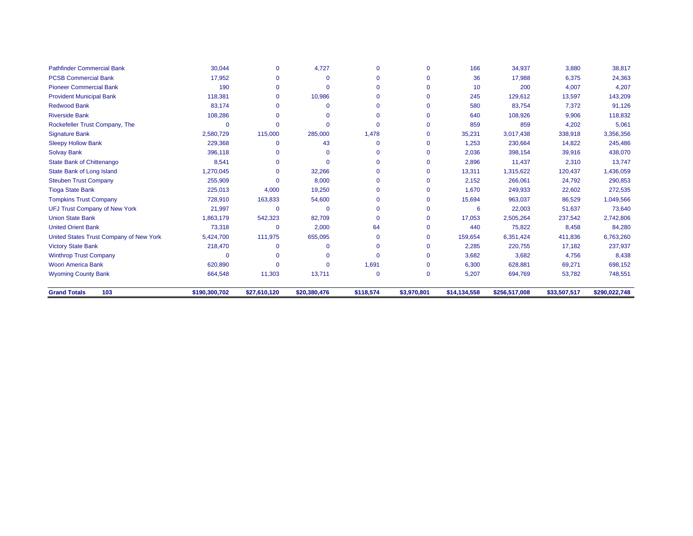| <b>Pathfinder Commercial Bank</b>       | 30,044        | $\mathbf{0}$ | 4,727        | $\Omega$    | $\Omega$    | 166          | 34,937        | 3,880        | 38,817        |
|-----------------------------------------|---------------|--------------|--------------|-------------|-------------|--------------|---------------|--------------|---------------|
| <b>PCSB Commercial Bank</b>             | 17.952        | $\Omega$     | $\Omega$     |             |             | 36           | 17,988        | 6,375        | 24,363        |
| <b>Pioneer Commercial Bank</b>          | 190           | $\Omega$     | $\Omega$     | $\Omega$    | $\Omega$    | 10           | 200           | 4,007        | 4,207         |
| <b>Provident Municipal Bank</b>         | 118,381       | $\Omega$     | 10,986       |             | $\Omega$    | 245          | 129,612       | 13,597       | 143,209       |
| <b>Redwood Bank</b>                     | 83.174        | $\Omega$     | $\Omega$     |             |             | 580          | 83,754        | 7,372        | 91,126        |
| <b>Riverside Bank</b>                   | 108,286       | O            |              |             |             | 640          | 108,926       | 9,906        | 118,832       |
| Rockefeller Trust Company, The          |               | $\mathbf{0}$ |              | $\Omega$    |             | 859          | 859           | 4,202        | 5,061         |
| <b>Signature Bank</b>                   | 2,580,729     | 115,000      | 285,000      | 1,478       | $\Omega$    | 35,231       | 3,017,438     | 338,918      | 3,356,356     |
| <b>Sleepy Hollow Bank</b>               | 229,368       | $\Omega$     | 43           | $\Omega$    | $\Omega$    | 1,253        | 230,664       | 14,822       | 245,486       |
| <b>Solvay Bank</b>                      | 396,118       | O            |              |             |             | 2,036        | 398,154       | 39,916       | 438,070       |
| <b>State Bank of Chittenango</b>        | 8,541         | 0            | $\Omega$     |             |             | 2,896        | 11,437        | 2,310        | 13,747        |
| State Bank of Long Island               | 1,270,045     | 0            | 32,266       |             | $\Omega$    | 13,311       | 1,315,622     | 120,437      | 1,436,059     |
| <b>Steuben Trust Company</b>            | 255,909       | $\Omega$     | 8,000        |             |             | 2,152        | 266,061       | 24,792       | 290,853       |
| <b>Tioga State Bank</b>                 | 225,013       | 4,000        | 19,250       |             |             | 1,670        | 249,933       | 22,602       | 272,535       |
| <b>Tompkins Trust Company</b>           | 728,910       | 163,833      | 54,600       |             | $\Omega$    | 15,694       | 963,037       | 86,529       | 1,049,566     |
| <b>UFJ Trust Company of New York</b>    | 21,997        | 0            | $\Omega$     |             |             | 6            | 22,003        | 51,637       | 73,640        |
| <b>Union State Bank</b>                 | 1,863,179     | 542,323      | 82,709       | $\Omega$    | $\Omega$    | 17,053       | 2,505,264     | 237,542      | 2,742,806     |
| <b>United Orient Bank</b>               | 73,318        | 0            | 2,000        | 64          |             | 440          | 75,822        | 8,458        | 84,280        |
| United States Trust Company of New York | 5,424,700     | 111,975      | 655,095      | $\Omega$    | $\mathbf 0$ | 159,654      | 6,351,424     | 411,836      | 6,763,260     |
| <b>Victory State Bank</b>               | 218,470       | 0            |              | $\Omega$    | $\mathbf 0$ | 2,285        | 220,755       | 17,182       | 237,937       |
| <b>Winthrop Trust Company</b>           |               | $\Omega$     | $\Omega$     | $\Omega$    | $\mathbf 0$ | 3,682        | 3,682         | 4,756        | 8,438         |
| <b>Woori America Bank</b>               | 620,890       | n            | $\Omega$     | 1,691       | $\mathbf 0$ | 6,300        | 628,881       | 69,271       | 698,152       |
| <b>Wyoming County Bank</b>              | 664,548       | 11,303       | 13,711       | $\mathbf 0$ | $\mathbf 0$ | 5,207        | 694,769       | 53,782       | 748,551       |
| <b>Grand Totals</b><br>103              | \$190,300,702 | \$27,610,120 | \$20,380,476 | \$118,574   | \$3,970,801 | \$14,134,558 | \$256,517,008 | \$33,507,517 | \$290,022,748 |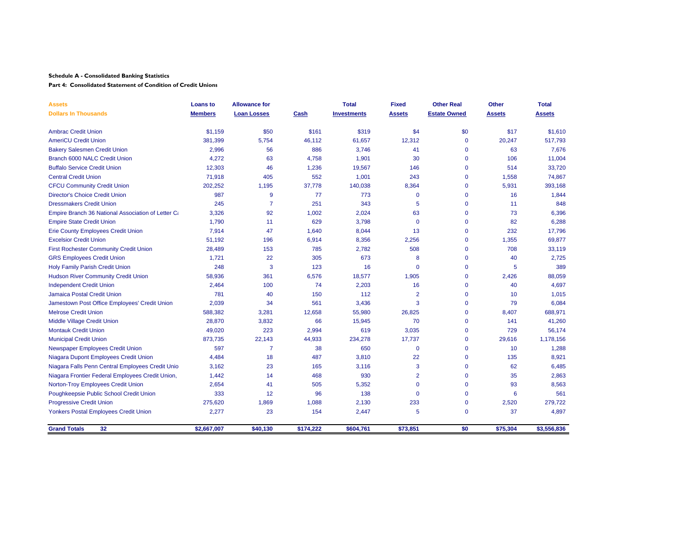**Part 4: Consolidated Statement of Condition of Credit Unions**

| <b>Assets</b>                                      | <b>Loans to</b> | <b>Allowance for</b> |           | <b>Total</b>       | <b>Fixed</b>   | <b>Other Real</b>   | Other         | <b>Total</b>  |
|----------------------------------------------------|-----------------|----------------------|-----------|--------------------|----------------|---------------------|---------------|---------------|
| <b>Dollars In Thousands</b>                        | <b>Members</b>  | <b>Loan Losses</b>   | Cash      | <b>Investments</b> | <b>Assets</b>  | <b>Estate Owned</b> | <b>Assets</b> | <b>Assets</b> |
| <b>Ambrac Credit Union</b>                         | \$1,159         | \$50                 | \$161     | \$319              | \$4            | \$0                 | \$17          | \$1,610       |
| <b>AmeriCU Credit Union</b>                        | 381,399         | 5,754                | 46,112    | 61,657             | 12,312         | $\mathbf 0$         | 20,247        | 517,793       |
| <b>Bakery Salesmen Credit Union</b>                | 2,996           | 56                   | 886       | 3,746              | 41             | $\mathbf 0$         | 63            | 7,676         |
| Branch 6000 NALC Credit Union                      | 4,272           | 63                   | 4,758     | 1,901              | 30             | $\mathbf{0}$        | 106           | 11,004        |
| <b>Buffalo Service Credit Union</b>                | 12,303          | 46                   | 1,236     | 19,567             | 146            | $\mathbf 0$         | 514           | 33,720        |
| <b>Central Credit Union</b>                        | 71,918          | 405                  | 552       | 1,001              | 243            | $\mathbf 0$         | 1,558         | 74,867        |
| <b>CFCU Community Credit Union</b>                 | 202,252         | 1,195                | 37,778    | 140,038            | 8,364          | $\mathbf{0}$        | 5,931         | 393,168       |
| <b>Director's Choice Credit Union</b>              | 987             | 9                    | 77        | 773                | $\mathbf{0}$   | $\mathbf 0$         | 16            | 1,844         |
| <b>Dressmakers Credit Union</b>                    | 245             | $\overline{7}$       | 251       | 343                | 5              | $\mathbf{0}$        | 11            | 848           |
| Empire Branch 36 National Association of Letter Ca | 3,326           | 92                   | 1,002     | 2,024              | 63             | $\mathbf{0}$        | 73            | 6,396         |
| <b>Empire State Credit Union</b>                   | 1,790           | 11                   | 629       | 3,798              | $\mathbf 0$    | $\mathbf{0}$        | 82            | 6,288         |
| Erie County Employees Credit Union                 | 7,914           | 47                   | 1,640     | 8,044              | 13             | $\mathbf 0$         | 232           | 17,796        |
| <b>Excelsior Credit Union</b>                      | 51,192          | 196                  | 6,914     | 8,356              | 2,256          | $\mathbf{0}$        | 1,355         | 69,877        |
| <b>First Rochester Community Credit Union</b>      | 28,489          | 153                  | 785       | 2,782              | 508            | $\mathbf 0$         | 708           | 33,119        |
| <b>GRS Employees Credit Union</b>                  | 1,721           | 22                   | 305       | 673                | 8              | $\Omega$            | 40            | 2,725         |
| <b>Holy Family Parish Credit Union</b>             | 248             | 3                    | 123       | 16                 | $\mathbf{0}$   | $\mathbf 0$         | 5             | 389           |
| <b>Hudson River Community Credit Union</b>         | 58,936          | 361                  | 6,576     | 18,577             | 1,905          | $\mathbf{0}$        | 2,426         | 88,059        |
| <b>Independent Credit Union</b>                    | 2,464           | 100                  | 74        | 2,203              | 16             | $\mathbf 0$         | 40            | 4,697         |
| <b>Jamaica Postal Credit Union</b>                 | 781             | 40                   | 150       | 112                | $\overline{2}$ | $\mathbf{0}$        | 10            | 1,015         |
| Jamestown Post Office Employees' Credit Union      | 2,039           | 34                   | 561       | 3,436              | 3              | $\mathbf{0}$        | 79            | 6,084         |
| <b>Melrose Credit Union</b>                        | 588,382         | 3,281                | 12,658    | 55,980             | 26,825         | $\mathbf{0}$        | 8,407         | 688,971       |
| Middle Village Credit Union                        | 28,870          | 3,832                | 66        | 15,945             | 70             | $\Omega$            | 141           | 41,260        |
| <b>Montauk Credit Union</b>                        | 49,020          | 223                  | 2,994     | 619                | 3,035          | $\mathbf{0}$        | 729           | 56,174        |
| <b>Municipal Credit Union</b>                      | 873,735         | 22,143               | 44,933    | 234,278            | 17,737         | $\mathbf{0}$        | 29,616        | 1,178,156     |
| Newspaper Employees Credit Union                   | 597             | $\overline{7}$       | 38        | 650                | $\mathbf{0}$   | $\mathbf 0$         | 10            | 1,288         |
| Niagara Dupont Employees Credit Union              | 4,484           | 18                   | 487       | 3,810              | 22             | $\mathbf 0$         | 135           | 8,921         |
| Niagara Falls Penn Central Employees Credit Unio   | 3,162           | 23                   | 165       | 3,116              | 3              | $\mathbf{0}$        | 62            | 6,485         |
| Niagara Frontier Federal Employees Credit Union,   | 1,442           | 14                   | 468       | 930                | $\overline{2}$ | $\mathbf{0}$        | 35            | 2,863         |
| <b>Norton-Troy Employees Credit Union</b>          | 2,654           | 41                   | 505       | 5,352              | $\mathbf{0}$   | $\mathbf{0}$        | 93            | 8,563         |
| Poughkeepsie Public School Credit Union            | 333             | 12                   | 96        | 138                | $\Omega$       | $\mathbf{0}$        | 6             | 561           |
| <b>Progressive Credit Union</b>                    | 275,620         | 1,869                | 1,088     | 2,130              | 233            | $\mathbf 0$         | 2,520         | 279,722       |
| <b>Yonkers Postal Employees Credit Union</b>       | 2,277           | 23                   | 154       | 2,447              | 5              | $\mathbf{0}$        | 37            | 4,897         |
| <b>Grand Totals</b><br>32                          | \$2,667,007     | \$40,130             | \$174,222 | \$604,761          | \$73,851       | \$0                 | \$75,304      | \$3,556,836   |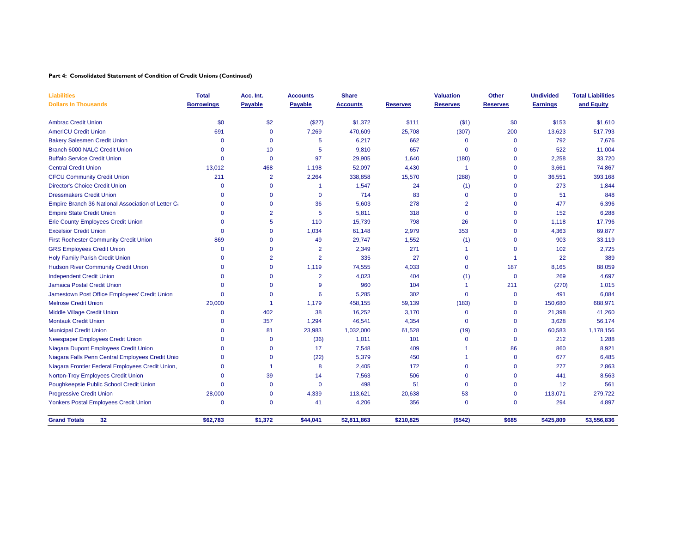**Part 4: Consolidated Statement of Condition of Credit Unions (Continued)**

| <b>Liabilities</b>                                                                     | <b>Total</b>      | Acc. Int.                  | <b>Accounts</b> | <b>Share</b>    |                 | <b>Valuation</b>      | Other                      | <b>Undivided</b> | <b>Total Liabilities</b> |
|----------------------------------------------------------------------------------------|-------------------|----------------------------|-----------------|-----------------|-----------------|-----------------------|----------------------------|------------------|--------------------------|
| <b>Dollars In Thousands</b>                                                            | <b>Borrowings</b> | <b>Payable</b>             | <b>Payable</b>  | <b>Accounts</b> | <b>Reserves</b> | <b>Reserves</b>       | <b>Reserves</b>            | <b>Earnings</b>  | and Equity               |
| <b>Ambrac Credit Union</b>                                                             | \$0               | \$2                        | (\$27)          | \$1,372         | \$111           | ( \$1)                | \$0                        | \$153            | \$1,610                  |
| <b>AmeriCU Credit Union</b>                                                            | 691               | $\mathbf{0}$               | 7,269           | 470,609         | 25,708          | (307)                 | 200                        | 13,623           | 517,793                  |
| <b>Bakery Salesmen Credit Union</b>                                                    | $\Omega$          | $\mathbf{0}$               | 5               | 6,217           | 662             | $\Omega$              | $\mathbf 0$                | 792              | 7,676                    |
| Branch 6000 NALC Credit Union                                                          | $\Omega$          | 10                         | 5               | 9,810           | 657             | $\mathbf 0$           | $\mathbf 0$                | 522              | 11,004                   |
| <b>Buffalo Service Credit Union</b>                                                    | $\Omega$          | $\mathbf{0}$               | 97              | 29,905          | 1,640           | (180)                 | $\mathbf{0}$               | 2,258            | 33,720                   |
| <b>Central Credit Union</b>                                                            | 13,012            | 468                        | 1,198           | 52,097          | 4,430           | -1                    | $\mathbf{0}$               | 3,661            | 74,867                   |
| <b>CFCU Community Credit Union</b>                                                     | 211               | $\overline{2}$             | 2,264           | 338,858         | 15,570          | (288)                 | $\mathbf{0}$               | 36,551           | 393,168                  |
| <b>Director's Choice Credit Union</b>                                                  | $\Omega$          | $\Omega$                   |                 | 1,547           | 24              | (1)                   | $\mathbf 0$                | 273              | 1,844                    |
| <b>Dressmakers Credit Union</b>                                                        | 0                 | $\Omega$                   | $\mathbf 0$     | 714             | 83              | $\Omega$              | $\mathbf{0}$               | 51               | 848                      |
|                                                                                        | 0                 | $\mathbf{0}$               | 36              | 5,603           | 278             | $\overline{2}$        | $\mathbf{0}$               | 477              | 6,396                    |
| Empire Branch 36 National Association of Letter Ca<br><b>Empire State Credit Union</b> | 0                 | $\overline{2}$             | 5               | 5,811           | 318             | $\Omega$              | $\mathbf 0$                | 152              | 6,288                    |
|                                                                                        | $\Omega$          | 5                          | 110             | 15,739          |                 | 26                    | $\mathbf 0$                |                  | 17,796                   |
| <b>Erie County Employees Credit Union</b><br><b>Excelsior Credit Union</b>             | 0                 | $\mathbf{0}$               | 1,034           | 61,148          | 798<br>2,979    | 353                   | $\mathbf 0$                | 1,118<br>4,363   | 69,877                   |
|                                                                                        |                   | $\Omega$                   |                 |                 |                 |                       |                            |                  |                          |
| <b>First Rochester Community Credit Union</b>                                          | 869<br>$\Omega$   | $\Omega$                   | 49              | 29,747          | 1,552<br>271    | (1)<br>$\overline{1}$ | $\mathbf 0$<br>$\mathbf 0$ | 903              | 33,119                   |
| <b>GRS Employees Credit Union</b>                                                      |                   |                            | $\overline{2}$  | 2,349           |                 |                       |                            | 102              | 2,725                    |
| <b>Holy Family Parish Credit Union</b>                                                 | 0                 | $\overline{2}$<br>$\Omega$ | $\overline{2}$  | 335             | 27              | $\Omega$              | 1                          | 22               | 389                      |
| <b>Hudson River Community Credit Union</b>                                             | 0                 |                            | 1,119           | 74,555          | 4,033           | $\Omega$              | 187                        | 8,165            | 88,059                   |
| <b>Independent Credit Union</b>                                                        | $\Omega$          | $\Omega$                   | $\overline{2}$  | 4,023           | 404             | (1)                   | $\mathbf 0$                | 269              | 4,697                    |
| <b>Jamaica Postal Credit Union</b>                                                     | 0                 | $\Omega$                   | 9               | 960             | 104             | $\blacktriangleleft$  | 211                        | (270)            | 1,015                    |
| Jamestown Post Office Employees' Credit Union                                          | 0                 | $\Omega$                   | 6               | 5,285           | 302             | $\Omega$              | $\mathbf 0$                | 491              | 6,084                    |
| <b>Melrose Credit Union</b>                                                            | 20,000            | -1                         | 1,179           | 458,155         | 59,139          | (183)                 | $\mathbf 0$                | 150,680          | 688,971                  |
| Middle Village Credit Union                                                            | 0                 | 402                        | 38              | 16,252          | 3,170           | $\Omega$              | $\mathbf 0$                | 21,398           | 41,260                   |
| <b>Montauk Credit Union</b>                                                            | 0                 | 357                        | 1,294           | 46,541          | 4,354           | $\Omega$              | $\mathbf 0$                | 3,628            | 56,174                   |
| <b>Municipal Credit Union</b>                                                          | 0                 | 81                         | 23,983          | 1,032,000       | 61,528          | (19)                  | $\Omega$                   | 60,583           | 1,178,156                |
| Newspaper Employees Credit Union                                                       | $\Omega$          | $\Omega$                   | (36)            | 1,011           | 101             | $\Omega$              | $\mathbf 0$                | 212              | 1,288                    |
| Niagara Dupont Employees Credit Union                                                  | 0                 | $\Omega$                   | 17              | 7,548           | 409             |                       | 86                         | 860              | 8,921                    |
| Niagara Falls Penn Central Employees Credit Unio                                       | 0                 | $\Omega$                   | (22)            | 5,379           | 450             |                       | $\mathbf 0$                | 677              | 6,485                    |
| Niagara Frontier Federal Employees Credit Union,                                       | 0                 |                            | 8               | 2,405           | 172             | $\Omega$              | $\mathbf 0$                | 277              | 2,863                    |
| Norton-Troy Employees Credit Union                                                     | 0                 | 39                         | 14              | 7,563           | 506             | $\Omega$              | $\Omega$                   | 441              | 8,563                    |
| Poughkeepsie Public School Credit Union                                                | $\Omega$          | $\Omega$                   | $\mathbf 0$     | 498             | 51              | $\Omega$              | $\Omega$                   | 12               | 561                      |
| <b>Progressive Credit Union</b>                                                        | 28,000            | $\mathbf{0}$               | 4,339           | 113,621         | 20,638          | 53                    | $\mathbf 0$                | 113,071          | 279,722                  |
| Yonkers Postal Employees Credit Union                                                  | 0                 | $\mathbf{0}$               | 41              | 4,206           | 356             | $\Omega$              | $\mathbf 0$                | 294              | 4,897                    |
| <b>Grand Totals</b><br>32                                                              | \$62,783          | \$1,372                    | \$44,041        | \$2,811,863     | \$210,825       | (\$542)               | \$685                      | \$425,809        | \$3,556,836              |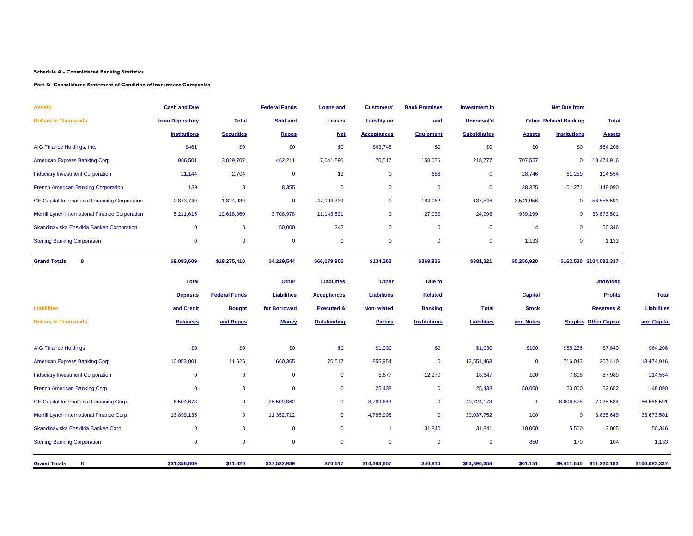#### **Part 5: Consolidated Statement of Condition of Investment Companies**

| Assets                                                | <b>Cash and Due</b> |                      | <b>Federal Funds</b> | <b>Loans and</b>      | <b>Customers'</b>   | <b>Bank Premises</b> | <b>Investment</b> in |                      | <b>Net Due from</b>          |                              |                    |
|-------------------------------------------------------|---------------------|----------------------|----------------------|-----------------------|---------------------|----------------------|----------------------|----------------------|------------------------------|------------------------------|--------------------|
| <b>Dollars In Thousands</b>                           | from Depository     | <b>Total</b>         | Sold and             | <b>Leases</b>         | <b>Liability on</b> | and                  | Unconsol'd           |                      | <b>Other Related Banking</b> | <b>Total</b>                 |                    |
|                                                       | <b>Institutions</b> | <b>Securities</b>    | Repos                | <b>Net</b>            | <b>Acceptances</b>  | <b>Equipment</b>     | <b>Subsidiaries</b>  | <b>Assets</b>        | <b>Institutions</b>          | <b>Assets</b>                |                    |
| AIG Finance Holdings, Inc.                            | \$461               | \$0                  | \$0                  | \$0                   | \$63,745            | \$0                  | \$0                  | \$0                  | \$0                          | \$64,206                     |                    |
| American Express Banking Corp                         | 986,501             | 3,829,707            | 462,211              | 7,041,590             | 70,517              | 158,056              | 218,777              | 707,557              | $\mathbf 0$                  | 13,474,916                   |                    |
| <b>Fiduciary Investment Corporation</b>               | 21,144              | 2,704                | $\mathbf 0$          | 13                    | $\mathbf 0$         | 688                  | $\mathbf 0$          | 28,746               | 61,259                       | 114,554                      |                    |
| French American Banking Corporation                   | 139                 | $\overline{0}$       | 8,355                | $\mathbf 0$           | $\mathbf 0$         | $\mathbf 0$          | $\mathbf 0$          | 38,325               | 101,271                      | 148,090                      |                    |
| <b>GE Capital International Financing Corporation</b> | 2,873,749           | 1,824,939            | $\mathbf 0$          | 47,994,339            | $\mathbf 0$         | 184,062              | 137,546              | 3,541,956            | $\mathbf 0$                  | 56,556,591                   |                    |
| Merrill Lynch International Finance Corporation       | 5,211,615           | 12,618,060           | 3,708,978            | 11,143,621            | $\mathbf 0$         | 27,030               | 24,998               | 939,199              | $\mathbf 0$                  | 33,673,501                   |                    |
| Skandinaviska Enskilda Banken Corporation             | $\mathbf{0}$        | $\mathbf 0$          | 50,000               | 342                   | $\mathbf{0}$        | $\mathbf 0$          | $\mathbf 0$          | $\overline{4}$       | $\mathbf 0$                  | 50,346                       |                    |
| <b>Sterling Banking Corporation</b>                   | $\mathbf 0$         | $\mathbf 0$          | $\mathbf 0$          | $\mathbf 0$           | $\mathbf 0$         | $\mathbf 0$          | $\mathbf 0$          | 1,133                | $\mathbf 0$                  | 1,133                        |                    |
| <b>Grand Totals</b><br>8                              | \$9,093,609         | \$18,275,410         | \$4,229,544          | \$66,179,905          | \$134,262           | \$369,836            | \$381,321            | \$5,256,920          |                              | \$162,530 \$104,083,337      |                    |
|                                                       | <b>Total</b>        |                      | Other                | <b>Liabilities</b>    | Other               | Due to               |                      |                      |                              | <b>Undivided</b>             |                    |
|                                                       | <b>Deposits</b>     | <b>Federal Funds</b> | <b>Liabilities</b>   | <b>Acceptances</b>    | <b>Liabilities</b>  | <b>Related</b>       |                      | <b>Capital</b>       |                              | <b>Profits</b>               | <b>Total</b>       |
| <b>Liabilities</b>                                    | and Credit          | <b>Bought</b>        | for Borrowed         | <b>Executed &amp;</b> | Non-related         | <b>Banking</b>       | <b>Total</b>         | <b>Stock</b>         |                              | <b>Reserves &amp;</b>        | <b>Liabilities</b> |
| <b>Dollars In Thousands</b>                           | <b>Balances</b>     | and Repos            | <b>Money</b>         | <b>Outstanding</b>    | <b>Parties</b>      | <b>Institutions</b>  | <b>Liabilities</b>   | and Notes            |                              | <b>Surplus Other Capital</b> | and Capital        |
| <b>AIG Finance Holdings</b>                           | \$0                 | \$0                  | \$0                  | \$0                   | \$1,030             | \$0                  | \$1,030              | \$100                | \$55,236                     | \$7,840                      | \$64,206           |
| American Express Banking Corp                         | 10,953,001          | 11,626               | 660,365              | 70,517                | 855,954             | $\mathbf 0$          | 12,551,463           | $\mathbf 0$          | 716,043                      | 207,410                      | 13,474,916         |
| <b>Fiduciary Investment Corporation</b>               | $\mathbf{0}$        | $\mathbf 0$          | $\mathbf 0$          | $\mathbf 0$           | 5,677               | 12,970               | 18,647               | 100                  | 7,818                        | 87,989                       | 114,554            |
| French American Banking Corp                          | $\mathbf{0}$        | $\mathbf 0$          | $\mathbf 0$          | $\mathbf 0$           | 25,438              | $\mathbf 0$          | 25,438               | 50,000               | 20,000                       | 52,652                       | 148,090            |
| GE Capital International Financing Corp.              | 6,504,673           | $\mathbf 0$          | 25,509,862           | $\mathbf 0$           | 8,709,643           | $\mathbf 0$          | 40,724,178           | $\blacktriangleleft$ | 8,606,878                    | 7,225,534                    | 56,556,591         |
| Merrill Lynch International Finance Corp.             | 13,899,135          | $\mathbf 0$          | 11,352,712           | $\mathbf{0}$          | 4,785,905           | $\mathbf 0$          | 30,037,752           | 100                  | $\overline{\mathbf{0}}$      | 3,635,649                    | 33,673,501         |
| Skandinaviska Enskilda Banken Corp                    | $\mathbf{0}$        | $\mathbf 0$          | $\mathbf 0$          | $\mathbf 0$           | -1                  | 31,840               | 31,841               | 10,000               | 5,500                        | 3,005                        | 50,346             |
| <b>Sterling Banking Corporation</b>                   | $\mathbf 0$         | $\mathbf 0$          | $\mathbf 0$          | $\mathbf 0$           | 9                   | $\mathbf 0$          | 9                    | 850                  | 170                          | 104                          | 1,133              |
| <b>Grand Totals</b><br>8                              | \$31,356,809        | \$11,626             | \$37,522,939         | \$70,517              | \$14,383,657        | \$44,810             | \$83,390,358         | \$61,151             |                              | \$9,411,645 \$11,220,183     | \$104,083,337      |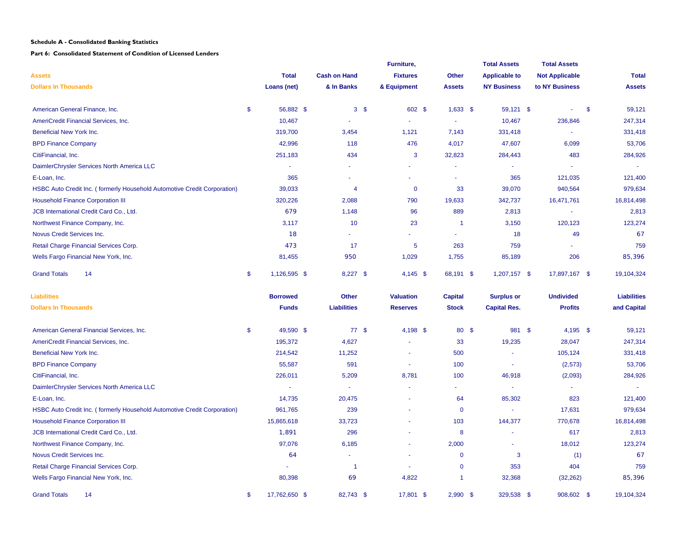**Part 6: Consolidated Statement of Condition of Licensed Lenders**

|                                                                          |                     |                       |                | Furniture,       |                | <b>Total Assets</b>  |     | <b>Total Assets</b>   |                    |
|--------------------------------------------------------------------------|---------------------|-----------------------|----------------|------------------|----------------|----------------------|-----|-----------------------|--------------------|
| <b>Assets</b>                                                            | <b>Total</b>        | <b>Cash on Hand</b>   |                | <b>Fixtures</b>  | Other          | <b>Applicable to</b> |     | <b>Not Applicable</b> | <b>Total</b>       |
| <b>Dollars In Thousands</b>                                              | Loans (net)         | & In Banks            |                | & Equipment      | <b>Assets</b>  | <b>NY Business</b>   |     | to NY Business        | <b>Assets</b>      |
| American General Finance, Inc.                                           | \$<br>56,882 \$     |                       | 3 <sup>5</sup> | 602 \$           | $1,633$ \$     | 59,121 \$            |     | $\sim$                | \$<br>59,121       |
| AmeriCredit Financial Services, Inc.                                     | 10,467              | $\sim$                |                |                  | $\sim$         | 10,467               |     | 236,846               | 247,314            |
| Beneficial New York Inc.                                                 | 319,700             | 3,454                 |                | 1,121            | 7,143          | 331,418              |     | $\sim$                | 331,418            |
| <b>BPD Finance Company</b>                                               | 42,996              | 118                   |                | 476              | 4,017          | 47,607               |     | 6,099                 | 53,706             |
| CitiFinancial, Inc.                                                      | 251,183             | 434                   |                | 3                | 32,823         | 284,443              |     | 483                   | 284,926            |
| DaimlerChrysler Services North America LLC                               | $\sim$              |                       |                |                  | $\sim$         | ٠                    |     |                       | $\sim$             |
| E-Loan, Inc.                                                             | 365                 | $\tilde{\phantom{a}}$ |                | ٠                | $\overline{a}$ | 365                  |     | 121,035               | 121,400            |
| HSBC Auto Credit Inc. (formerly Household Automotive Credit Corporation) | 39,033              | $\overline{4}$        |                | $\mathbf 0$      | 33             | 39,070               |     | 940,564               | 979,634            |
| <b>Household Finance Corporation III</b>                                 | 320,226             | 2,088                 |                | 790              | 19,633         | 342,737              |     | 16,471,761            | 16,814,498         |
| JCB International Credit Card Co., Ltd.                                  | 679                 | 1,148                 |                | 96               | 889            | 2,813                |     | $\omega$              | 2,813              |
| Northwest Finance Company, Inc.                                          | 3,117               | 10                    |                | 23               | $\overline{1}$ | 3,150                |     | 120,123               | 123,274            |
| Novus Credit Services Inc.                                               | 18                  |                       |                | ä,               | $\blacksquare$ | 18                   |     | 49                    | 67                 |
| Retail Charge Financial Services Corp.                                   | 473                 | 17                    |                | 5                | 263            | 759                  |     |                       | 759                |
| Wells Fargo Financial New York, Inc.                                     | 81,455              | 950                   |                | 1,029            | 1,755          | 85,189               |     | 206                   | 85,396             |
| <b>Grand Totals</b><br>14                                                | \$<br>1,126,595 \$  | $8,227$ \$            |                | $4,145$ \$       | 68,191 \$      | 1,207,157 \$         |     | 17,897,167 \$         | 19,104,324         |
| <b>Liabilities</b>                                                       | <b>Borrowed</b>     | Other                 |                | <b>Valuation</b> | <b>Capital</b> | <b>Surplus or</b>    |     | <b>Undivided</b>      | <b>Liabilities</b> |
| <b>Dollars In Thousands</b>                                              | <b>Funds</b>        | <b>Liabilities</b>    |                | <b>Reserves</b>  | <b>Stock</b>   | <b>Capital Res.</b>  |     | <b>Profits</b>        | and Capital        |
| American General Financial Services, Inc.                                | \$<br>49,590 \$     | 77S                   |                | 4,198 \$         | 80 \$          | 981                  | -\$ | $4,195$ \$            | 59,121             |
| AmeriCredit Financial Services, Inc.                                     | 195,372             | 4,627                 |                |                  | 33             | 19,235               |     | 28,047                | 247,314            |
| Beneficial New York Inc.                                                 | 214,542             | 11,252                |                |                  | 500            | $\sim$               |     | 105,124               | 331,418            |
| <b>BPD Finance Company</b>                                               | 55,587              | 591                   |                | $\sim$           | 100            | $\sim$               |     | (2, 573)              | 53,706             |
| CitiFinancial, Inc.                                                      | 226,011             | 5,209                 |                | 8,781            | 100            | 46,918               |     | (2,093)               | 284,926            |
| DaimlerChrysler Services North America LLC                               | $\sim$              | ÷.                    |                |                  | ×.             | $\omega$             |     |                       |                    |
| E-Loan, Inc.                                                             | 14,735              | 20,475                |                | ÷.               | 64             | 85,302               |     | 823                   | 121,400            |
| HSBC Auto Credit Inc. (formerly Household Automotive Credit Corporation) | 961,765             | 239                   |                | ä,               | $\mathbf 0$    | $\sim$               |     | 17,631                | 979,634            |
| <b>Household Finance Corporation III</b>                                 | 15,865,618          | 33,723                |                | ä,               | 103            | 144,377              |     | 770,678               | 16,814,498         |
| JCB International Credit Card Co., Ltd.                                  | 1,891               | 296                   |                |                  | 8              | $\sim$               |     | 617                   | 2,813              |
| Northwest Finance Company, Inc.                                          | 97,076              | 6,185                 |                | ä,               | 2,000          | Ξ                    |     | 18,012                | 123,274            |
| Novus Credit Services Inc.                                               | 64                  | ÷.                    |                |                  | $\mathbf 0$    | 3                    |     | (1)                   | 67                 |
| Retail Charge Financial Services Corp.                                   |                     | $\blacktriangleleft$  |                |                  | $\mathbf 0$    | 353                  |     | 404                   | 759                |
| Wells Fargo Financial New York, Inc.                                     | 80,398              | 69                    |                | 4,822            | -1             | 32,368               |     | (32, 262)             | 85,396             |
| <b>Grand Totals</b><br>14                                                | \$<br>17,762,650 \$ | 82,743 \$             |                | 17,801 \$        | $2,990$ \$     | 329,538 \$           |     | 908,602 \$            | 19,104,324         |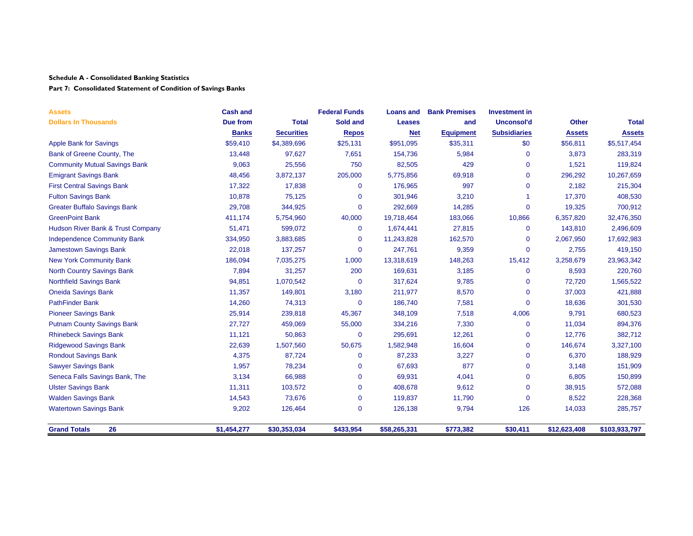## **Part 7: Consolidated Statement of Condition of Savings Banks**

| <b>Assets</b>                        | <b>Cash and</b> |                   | <b>Federal Funds</b> | <b>Loans and</b> | <b>Bank Premises</b> | <b>Investment in</b> |               |               |
|--------------------------------------|-----------------|-------------------|----------------------|------------------|----------------------|----------------------|---------------|---------------|
| <b>Dollars In Thousands</b>          | Due from        | <b>Total</b>      | Sold and             | <b>Leases</b>    | and                  | <b>Unconsol'd</b>    | <b>Other</b>  | <b>Total</b>  |
|                                      | <b>Banks</b>    | <b>Securities</b> | <b>Repos</b>         | <b>Net</b>       | <b>Equipment</b>     | <b>Subsidiaries</b>  | <b>Assets</b> | <b>Assets</b> |
| <b>Apple Bank for Savings</b>        | \$59,410        | \$4,389,696       | \$25,131             | \$951,095        | \$35,311             | \$0                  | \$56,811      | \$5,517,454   |
| Bank of Greene County, The           | 13,448          | 97,627            | 7,651                | 154,736          | 5,984                | 0                    | 3,873         | 283,319       |
| <b>Community Mutual Savings Bank</b> | 9,063           | 25,556            | 750                  | 82,505           | 429                  | 0                    | 1,521         | 119,824       |
| <b>Emigrant Savings Bank</b>         | 48,456          | 3,872,137         | 205,000              | 5,775,856        | 69,918               | 0                    | 296,292       | 10,267,659    |
| <b>First Central Savings Bank</b>    | 17,322          | 17,838            | $\mathbf 0$          | 176,965          | 997                  | 0                    | 2,182         | 215,304       |
| <b>Fulton Savings Bank</b>           | 10,878          | 75,125            | $\Omega$             | 301,946          | 3,210                |                      | 17,370        | 408,530       |
| <b>Greater Buffalo Savings Bank</b>  | 29,708          | 344,925           | $\mathbf 0$          | 292,669          | 14,285               | 0                    | 19,325        | 700,912       |
| <b>GreenPoint Bank</b>               | 411,174         | 5,754,960         | 40,000               | 19,718,464       | 183,066              | 10,866               | 6,357,820     | 32,476,350    |
| Hudson River Bank & Trust Company    | 51,471          | 599,072           | $\mathbf 0$          | 1,674,441        | 27,815               | 0                    | 143,810       | 2,496,609     |
| <b>Independence Community Bank</b>   | 334,950         | 3,883,685         | $\mathbf 0$          | 11,243,828       | 162,570              | 0                    | 2,067,950     | 17,692,983    |
| <b>Jamestown Savings Bank</b>        | 22,018          | 137,257           | $\mathbf 0$          | 247,761          | 9,359                | 0                    | 2,755         | 419,150       |
| <b>New York Community Bank</b>       | 186,094         | 7,035,275         | 1,000                | 13,318,619       | 148,263              | 15,412               | 3,258,679     | 23,963,342    |
| <b>North Country Savings Bank</b>    | 7,894           | 31,257            | 200                  | 169,631          | 3,185                | 0                    | 8,593         | 220,760       |
| <b>Northfield Savings Bank</b>       | 94,851          | 1,070,542         | $\mathbf 0$          | 317,624          | 9,785                | $\mathbf{0}$         | 72,720        | 1,565,522     |
| <b>Oneida Savings Bank</b>           | 11,357          | 149,801           | 3,180                | 211,977          | 8,570                | $\mathbf{0}$         | 37,003        | 421,888       |
| <b>PathFinder Bank</b>               | 14,260          | 74,313            | $\mathbf 0$          | 186,740          | 7,581                | $\Omega$             | 18,636        | 301,530       |
| <b>Pioneer Savings Bank</b>          | 25,914          | 239,818           | 45,367               | 348,109          | 7,518                | 4,006                | 9,791         | 680,523       |
| <b>Putnam County Savings Bank</b>    | 27,727          | 459,069           | 55,000               | 334,216          | 7,330                | 0                    | 11,034        | 894,376       |
| <b>Rhinebeck Savings Bank</b>        | 11,121          | 50,863            | $\mathbf 0$          | 295,691          | 12,261               | 0                    | 12,776        | 382,712       |
| <b>Ridgewood Savings Bank</b>        | 22,639          | 1,507,560         | 50,675               | 1,582,948        | 16,604               | 0                    | 146,674       | 3,327,100     |
| <b>Rondout Savings Bank</b>          | 4,375           | 87,724            | $\Omega$             | 87,233           | 3,227                | 0                    | 6,370         | 188,929       |
| <b>Sawyer Savings Bank</b>           | 1,957           | 78,234            | 0                    | 67,693           | 877                  | 0                    | 3,148         | 151,909       |
| Seneca Falls Savings Bank, The       | 3,134           | 66,988            | $\Omega$             | 69,931           | 4,041                | 0                    | 6,805         | 150,899       |
| <b>Ulster Savings Bank</b>           | 11,311          | 103,572           | $\Omega$             | 408,678          | 9,612                | 0                    | 38,915        | 572,088       |
| <b>Walden Savings Bank</b>           | 14,543          | 73,676            | $\mathbf 0$          | 119,837          | 11,790               | 0                    | 8,522         | 228,368       |
| <b>Watertown Savings Bank</b>        | 9,202           | 126,464           | $\Omega$             | 126,138          | 9,794                | 126                  | 14,033        | 285,757       |
| 26<br><b>Grand Totals</b>            | \$1,454,277     | \$30,353,034      | \$433,954            | \$58,265,331     | \$773,382            | \$30,411             | \$12,623,408  | \$103,933,797 |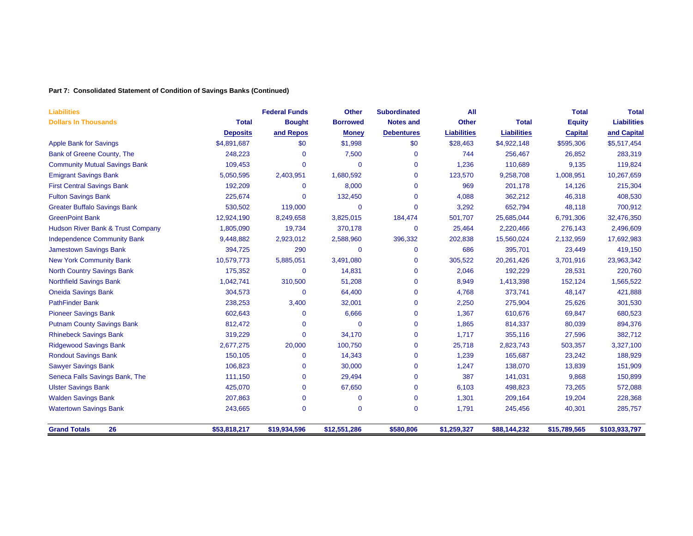## **Part 7: Consolidated Statement of Condition of Savings Banks (Continued)**

| <b>Liabilities</b>                   |                 | <b>Federal Funds</b> | <b>Other</b>    | <b>Subordinated</b> | All                |                    | <b>Total</b>   | <b>Total</b>       |
|--------------------------------------|-----------------|----------------------|-----------------|---------------------|--------------------|--------------------|----------------|--------------------|
| <b>Dollars In Thousands</b>          | <b>Total</b>    | <b>Bought</b>        | <b>Borrowed</b> | <b>Notes and</b>    | <b>Other</b>       | <b>Total</b>       | <b>Equity</b>  | <b>Liabilities</b> |
|                                      | <b>Deposits</b> | and Repos            | <b>Money</b>    | <b>Debentures</b>   | <b>Liabilities</b> | <b>Liabilities</b> | <b>Capital</b> | and Capital        |
| <b>Apple Bank for Savings</b>        | \$4,891,687     | \$0                  | \$1,998         | \$0                 | \$28,463           | \$4,922,148        | \$595,306      | \$5,517,454        |
| Bank of Greene County, The           | 248,223         | 0                    | 7,500           | $\mathbf 0$         | 744                | 256,467            | 26,852         | 283,319            |
| <b>Community Mutual Savings Bank</b> | 109,453         | $\Omega$             | 0               | $\mathbf 0$         | 1,236              | 110,689            | 9,135          | 119,824            |
| <b>Emigrant Savings Bank</b>         | 5,050,595       | 2,403,951            | 1,680,592       | $\mathbf 0$         | 123,570            | 9,258,708          | 1,008,951      | 10,267,659         |
| <b>First Central Savings Bank</b>    | 192,209         | 0                    | 8,000           | $\mathbf 0$         | 969                | 201,178            | 14,126         | 215,304            |
| <b>Fulton Savings Bank</b>           | 225,674         | 0                    | 132,450         | $\mathbf 0$         | 4,088              | 362,212            | 46,318         | 408,530            |
| <b>Greater Buffalo Savings Bank</b>  | 530,502         | 119,000              | 0               | $\Omega$            | 3,292              | 652,794            | 48,118         | 700,912            |
| <b>GreenPoint Bank</b>               | 12,924,190      | 8,249,658            | 3,825,015       | 184,474             | 501,707            | 25,685,044         | 6,791,306      | 32,476,350         |
| Hudson River Bank & Trust Company    | 1,805,090       | 19,734               | 370,178         | $\mathbf{0}$        | 25,464             | 2,220,466          | 276,143        | 2,496,609          |
| <b>Independence Community Bank</b>   | 9,448,882       | 2,923,012            | 2,588,960       | 396,332             | 202,838            | 15,560,024         | 2,132,959      | 17,692,983         |
| <b>Jamestown Savings Bank</b>        | 394,725         | 290                  | 0               | $\mathbf{0}$        | 686                | 395,701            | 23,449         | 419,150            |
| <b>New York Community Bank</b>       | 10,579,773      | 5,885,051            | 3,491,080       | $\mathbf 0$         | 305,522            | 20,261,426         | 3,701,916      | 23,963,342         |
| <b>North Country Savings Bank</b>    | 175,352         | 0                    | 14,831          | $\mathbf 0$         | 2,046              | 192,229            | 28,531         | 220,760            |
| <b>Northfield Savings Bank</b>       | 1,042,741       | 310,500              | 51,208          | $\mathbf 0$         | 8,949              | 1,413,398          | 152,124        | 1,565,522          |
| <b>Oneida Savings Bank</b>           | 304,573         | 0                    | 64,400          | $\mathbf 0$         | 4,768              | 373,741            | 48,147         | 421,888            |
| <b>PathFinder Bank</b>               | 238,253         | 3,400                | 32,001          | $\mathbf 0$         | 2,250              | 275,904            | 25,626         | 301,530            |
| <b>Pioneer Savings Bank</b>          | 602,643         | 0                    | 6,666           | $\mathbf 0$         | 1,367              | 610,676            | 69,847         | 680,523            |
| <b>Putnam County Savings Bank</b>    | 812,472         | $\Omega$             | $\Omega$        | $\mathbf 0$         | 1,865              | 814,337            | 80,039         | 894,376            |
| <b>Rhinebeck Savings Bank</b>        | 319,229         | $\overline{0}$       | 34,170          | $\mathbf 0$         | 1,717              | 355,116            | 27,596         | 382,712            |
| <b>Ridgewood Savings Bank</b>        | 2,677,275       | 20,000               | 100,750         | $\mathbf{0}$        | 25,718             | 2,823,743          | 503,357        | 3,327,100          |
| <b>Rondout Savings Bank</b>          | 150,105         | $\Omega$             | 14,343          | $\mathbf{0}$        | 1,239              | 165,687            | 23,242         | 188,929            |
| <b>Sawyer Savings Bank</b>           | 106,823         | 0                    | 30,000          | $\mathbf 0$         | 1,247              | 138,070            | 13,839         | 151,909            |
| Seneca Falls Savings Bank, The       | 111,150         | $\Omega$             | 29,494          | $\mathbf 0$         | 387                | 141,031            | 9,868          | 150,899            |
| <b>Ulster Savings Bank</b>           | 425,070         | $\Omega$             | 67,650          | $\mathbf{0}$        | 6,103              | 498,823            | 73,265         | 572,088            |
| <b>Walden Savings Bank</b>           | 207,863         | $\Omega$             | 0               | $\mathbf{0}$        | 1,301              | 209,164            | 19,204         | 228,368            |
| <b>Watertown Savings Bank</b>        | 243,665         | 0                    | 0               | $\mathbf 0$         | 1,791              | 245,456            | 40,301         | 285,757            |
| <b>Grand Totals</b><br>26            | \$53,818,217    | \$19,934,596         | \$12,551,286    | \$580,806           | \$1,259,327        | \$88,144,232       | \$15,789,565   | \$103,933,797      |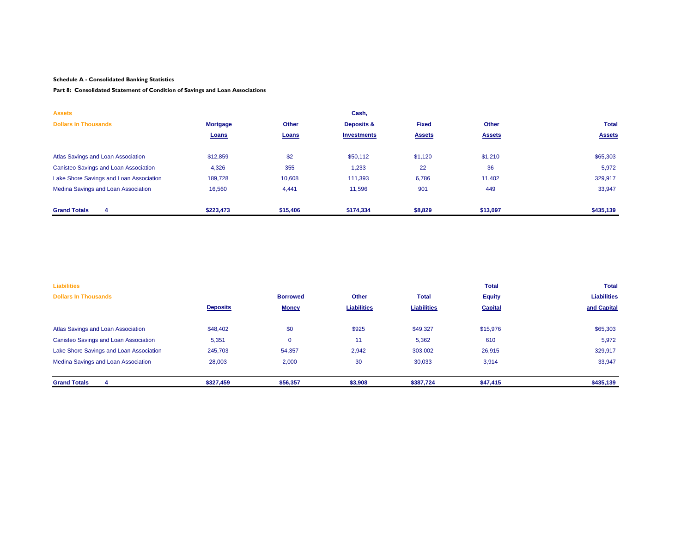#### **Part 8: Consolidated Statement of Condition of Savings and Loan Associations**

| <b>Assets</b>                                |                 |              | Cash,              |               |               |               |
|----------------------------------------------|-----------------|--------------|--------------------|---------------|---------------|---------------|
| <b>Dollars In Thousands</b>                  | <b>Mortgage</b> | <b>Other</b> | Deposits &         | <b>Fixed</b>  | <b>Other</b>  | <b>Total</b>  |
|                                              | Loans           | Loans        | <b>Investments</b> | <b>Assets</b> | <b>Assets</b> | <b>Assets</b> |
|                                              |                 |              |                    |               |               |               |
| Atlas Savings and Loan Association           | \$12,859        | \$2          | \$50,112           | \$1,120       | \$1,210       | \$65,303      |
| <b>Canisteo Savings and Loan Association</b> | 4,326           | 355          | 1,233              | 22            | 36            | 5,972         |
| Lake Shore Savings and Loan Association      | 189,728         | 10,608       | 111,393            | 6,786         | 11,402        | 329,917       |
| Medina Savings and Loan Association          | 16,560          | 4,441        | 11,596             | 901           | 449           | 33,947        |
|                                              |                 |              |                    |               |               |               |
| <b>Grand Totals</b>                          | \$223,473       | \$15,406     | \$174,334          | \$8,829       | \$13,097      | \$435,139     |

| <b>Liabilities</b>                           |                 |                 |                    |                    | <b>Total</b>   | <b>Total</b>       |  |
|----------------------------------------------|-----------------|-----------------|--------------------|--------------------|----------------|--------------------|--|
| <b>Dollars In Thousands</b>                  |                 | <b>Borrowed</b> | Other              | <b>Total</b>       | <b>Equity</b>  | <b>Liabilities</b> |  |
|                                              | <b>Deposits</b> | <b>Money</b>    | <b>Liabilities</b> | <b>Liabilities</b> | <b>Capital</b> | and Capital        |  |
|                                              |                 |                 |                    |                    |                |                    |  |
| Atlas Savings and Loan Association           | \$48,402        | \$0             | \$925              | \$49,327           | \$15,976       | \$65,303           |  |
| <b>Canisteo Savings and Loan Association</b> | 5,351           | $\mathbf 0$     | 11                 | 5,362              | 610            | 5,972              |  |
| Lake Shore Savings and Loan Association      | 245,703         | 54,357          | 2,942              | 303,002            | 26,915         | 329,917            |  |
| Medina Savings and Loan Association          | 28,003          | 2,000           | 30                 | 30,033             | 3,914          | 33,947             |  |
|                                              |                 |                 |                    |                    |                |                    |  |
| <b>Grand Totals</b>                          | \$327,459       | \$56,357        | \$3,908            | \$387,724          | \$47,415       | \$435,139          |  |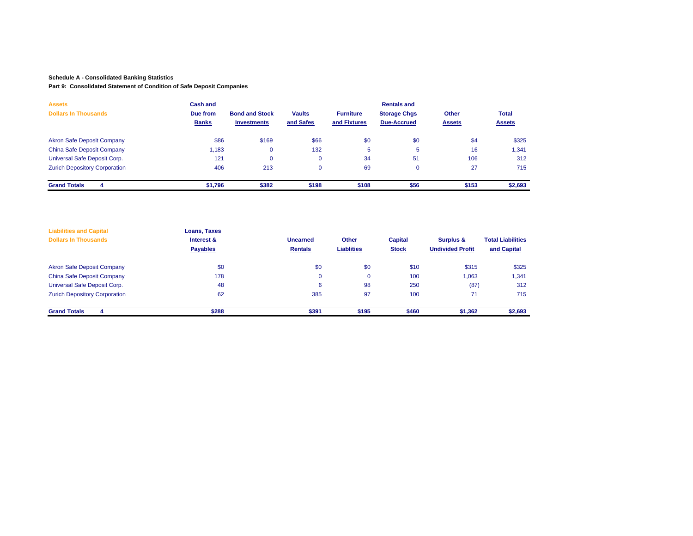#### **Part 9: Consolidated Statement of Condition of Safe Deposit Companies**

| <b>Assets</b><br><b>Dollars In Thousands</b> | <b>Cash and</b><br>Due from<br><b>Banks</b> | <b>Bond and Stock</b><br><b>Investments</b> | <b>Vaults</b><br>and Safes | <b>Furniture</b><br>and Fixtures | <b>Rentals and</b><br><b>Storage Chgs</b><br><b>Due-Accrued</b> | Other<br><b>Assets</b> | <b>Total</b><br><b>Assets</b> |
|----------------------------------------------|---------------------------------------------|---------------------------------------------|----------------------------|----------------------------------|-----------------------------------------------------------------|------------------------|-------------------------------|
| <b>Akron Safe Deposit Company</b>            | \$86                                        | \$169                                       | \$66                       | \$0                              | \$0                                                             | \$4                    | \$325                         |
| <b>China Safe Deposit Company</b>            | 1,183                                       |                                             | 132                        | 5                                | 5                                                               | 16                     | 1,341                         |
| Universal Safe Deposit Corp.                 | 121                                         |                                             | 0                          | 34                               | 51                                                              | 106                    | 312                           |
| <b>Zurich Depository Corporation</b>         | 406                                         | 213                                         | $\mathbf 0$                | 69                               | $\mathbf{0}$                                                    | 27                     | 715                           |
| <b>Grand Totals</b><br>Δ                     | \$1,796                                     | \$382                                       | \$198                      | \$108                            | \$56                                                            | \$153                  | \$2,693                       |

| <b>Liabilities and Capital</b><br><b>Dollars In Thousands</b> | Loans, Taxes<br>Interest &<br><b>Payables</b> | <b>Unearned</b><br><b>Rentals</b> | Other<br><b>Liablities</b> | <b>Capital</b><br><b>Stock</b> | Surplus &<br><b>Undivided Profit</b> | <b>Total Liabilities</b><br>and Capital |
|---------------------------------------------------------------|-----------------------------------------------|-----------------------------------|----------------------------|--------------------------------|--------------------------------------|-----------------------------------------|
| <b>Akron Safe Deposit Company</b>                             | \$0                                           | \$0                               | \$0                        | \$10                           | \$315                                | \$325                                   |
| China Safe Deposit Company                                    | 178                                           | 0                                 | $\mathbf{0}$               | 100                            | 0.063                                | 1,341                                   |
| Universal Safe Deposit Corp.                                  | 48                                            | 6                                 | 98                         | 250                            | (87)                                 | 312                                     |
| <b>Zurich Depository Corporation</b>                          | 62                                            | 385                               | 97                         | 100                            | 71                                   | 715                                     |
| <b>Grand Totals</b><br>4                                      | \$288                                         | \$391                             | \$195                      | \$460                          | \$1,362                              | \$2,693                                 |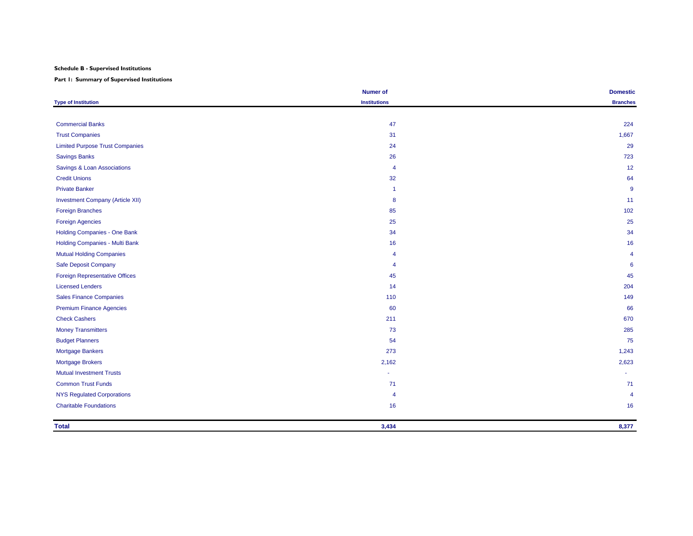#### **Schedule B - Supervised Institutions**

**Part 1: Summary of Supervised Institutions**

|                                         | <b>Numer of</b>      | <b>Domestic</b> |
|-----------------------------------------|----------------------|-----------------|
| <b>Type of Institution</b>              | <b>Institutions</b>  | <b>Branches</b> |
|                                         |                      |                 |
| <b>Commercial Banks</b>                 | 47                   | 224             |
| <b>Trust Companies</b>                  | 31                   | 1,667           |
| <b>Limited Purpose Trust Companies</b>  | 24                   | 29              |
| <b>Savings Banks</b>                    | 26                   | 723             |
| Savings & Loan Associations             | $\overline{4}$       | 12              |
| <b>Credit Unions</b>                    | 32                   | 64              |
| <b>Private Banker</b>                   | $\blacktriangleleft$ | 9               |
| <b>Investment Company (Article XII)</b> | 8                    | 11              |
| <b>Foreign Branches</b>                 | 85                   | 102             |
| <b>Foreign Agencies</b>                 | 25                   | 25              |
| Holding Companies - One Bank            | 34                   | 34              |
| Holding Companies - Multi Bank          | 16                   | 16              |
| <b>Mutual Holding Companies</b>         | 4                    | $\overline{4}$  |
| Safe Deposit Company                    | $\overline{4}$       | 6               |
| <b>Foreign Representative Offices</b>   | 45                   | 45              |
| <b>Licensed Lenders</b>                 | 14                   | 204             |
| <b>Sales Finance Companies</b>          | 110                  | 149             |
| <b>Premium Finance Agencies</b>         | 60                   | 66              |
| <b>Check Cashers</b>                    | 211                  | 670             |
| <b>Money Transmitters</b>               | 73                   | 285             |
| <b>Budget Planners</b>                  | 54                   | 75              |
| Mortgage Bankers                        | 273                  | 1,243           |
| Mortgage Brokers                        | 2,162                | 2,623           |
| <b>Mutual Investment Trusts</b>         |                      |                 |
| <b>Common Trust Funds</b>               | 71                   | 71              |
| <b>NYS Regulated Corporations</b>       | 4                    | $\overline{4}$  |
| <b>Charitable Foundations</b>           | 16                   | 16              |
| <b>Total</b>                            | 3,434                | 8,377           |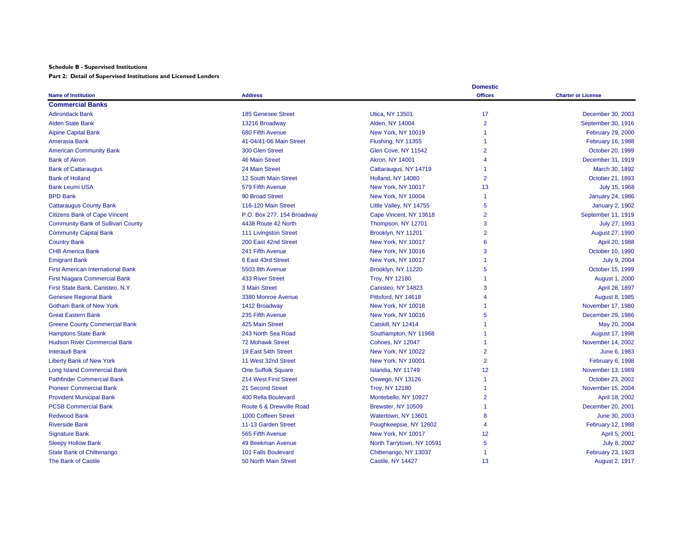#### **Schedule B - Supervised Institutions**

**Part 2: Detail of Supervised Institutions and Licensed Lenders**

|                                          |                            |                           | <b>Domestic</b> |                           |
|------------------------------------------|----------------------------|---------------------------|-----------------|---------------------------|
| <b>Name of Institution</b>               | <b>Address</b>             |                           | <b>Offices</b>  | <b>Charter or License</b> |
| <b>Commercial Banks</b>                  |                            |                           |                 |                           |
| <b>Adirondack Bank</b>                   | <b>185 Genesee Street</b>  | <b>Utica, NY 13501</b>    | 17              | December 30, 2003         |
| <b>Alden State Bank</b>                  | 13216 Broadway             | Alden, NY 14004           | $\overline{2}$  | September 30, 1916        |
| <b>Alpine Capital Bank</b>               | 680 Fifth Avenue           | New York, NY 10019        |                 | <b>February 29, 2000</b>  |
| Amerasia Bank                            | 41-04/41-06 Main Street    | Flushing, NY 11355        |                 | <b>February 16, 1988</b>  |
| <b>American Community Bank</b>           | 300 Glen Street            | Glen Cove, NY 11542       | $\overline{2}$  | October 20, 1999          |
| <b>Bank of Akron</b>                     | <b>46 Main Street</b>      | <b>Akron, NY 14001</b>    |                 | December 31, 1919         |
| <b>Bank of Cattaraugus</b>               | 24 Main Street             | Cattaraugus, NY 14719     |                 | March 30, 1892            |
| <b>Bank of Holland</b>                   | 12 South Main Street       | Holland, NY 14080         | $\overline{2}$  | October 21, 1893          |
| <b>Bank Leumi USA</b>                    | 579 Fifth Avenue           | New York, NY 10017        | 13              | July 15, 1968             |
| <b>BPD Bank</b>                          | 90 Broad Street            | New York, NY 10004        |                 | <b>January 24, 1986</b>   |
| <b>Cattaraugus County Bank</b>           | 116-120 Main Street        | Little Valley, NY 14755   | 5               | <b>January 2, 1902</b>    |
| <b>Citizens Bank of Cape Vincent</b>     | P.O. Box 277, 154 Broadway | Cape Vincent, NY 13618    | $\overline{2}$  | September 11, 1919        |
| <b>Community Bank of Sullivan County</b> | 4438 Route 42 North        | Thompson, NY 12701        | 3               | July 27, 1993             |
| <b>Community Capital Bank</b>            | 111 Livingston Street      | Brooklyn, NY 11201        | $\overline{2}$  | August 27, 1990           |
| <b>Country Bank</b>                      | 200 East 42nd Street       | New York, NY 10017        | 6               | April 20, 1988            |
| <b>CHB America Bank</b>                  | 241 Fifth Avenue           | New York, NY 10016        | 3               | October 10, 1990          |
| <b>Emigrant Bank</b>                     | 6 East 43rd Street         | New York, NY 10017        |                 | July 9, 2004              |
| <b>First American International Bank</b> | 5503 8th Avenue            | Brooklyn, NY 11220        | 5               | October 15, 1999          |
| <b>First Niagara Commercial Bank</b>     | <b>433 River Street</b>    | <b>Troy, NY 12180</b>     |                 | August 1, 2000            |
| First State Bank, Canisteo, N.Y.         | 3 Main Street              | Canisteo, NY 14823        | 3               | April 28, 1897            |
| <b>Genesee Regional Bank</b>             | 3380 Monroe Avenue         | Pittsford, NY 14618       | 4               | August 8, 1985            |
| <b>Gotham Bank of New York</b>           | 1412 Broadway              | New York, NY 10018        |                 | November 17, 1980         |
| <b>Great Eastern Bank</b>                | 235 Fifth Avenue           | New York, NY 10016        | 5               | December 29, 1986         |
| <b>Greene County Commercial Bank</b>     | 425 Main Street            | Catskill, NY 12414        |                 | May 20, 2004              |
| <b>Hamptons State Bank</b>               | 243 North Sea Road         | Southampton, NY 11968     |                 | August 17, 1998           |
| <b>Hudson River Commercial Bank</b>      | <b>72 Mohawk Street</b>    | <b>Cohoes, NY 12047</b>   |                 | November 14, 2002         |
| <b>Interaudi Bank</b>                    | 19 East 54th Street        | New York, NY 10022        | $\overline{2}$  | June 6, 1983              |
| <b>Liberty Bank of New York</b>          | 11 West 32nd Street        | New York, NY 10001        | $\overline{2}$  | <b>February 6, 1998</b>   |
| <b>Long Island Commercial Bank</b>       | <b>One Suffolk Square</b>  | Islandia, NY 11749        | 12              | November 13, 1989         |
| <b>Pathfinder Commercial Bank</b>        | 214 West First Street      | <b>Oswego, NY 13126</b>   |                 | October 23, 2002          |
| <b>Pioneer Commercial Bank</b>           | 21 Second Street           | <b>Troy, NY 12180</b>     |                 | November 15, 2004         |
| <b>Provident Municipal Bank</b>          | 400 Rella Boulevard        | Montebello, NY 10927      | $\overline{2}$  | April 18, 2002            |
| <b>PCSB Commercial Bank</b>              | Route 6 & Drewville Road   | Brewster, NY 10509        |                 | December 20, 2001         |
| <b>Redwood Bank</b>                      | 1000 Coffeen Street        | Watertown, NY 13601       | 8               | June 30, 2003             |
| <b>Riverside Bank</b>                    | 11-13 Garden Street        | Poughkeepsie, NY 12602    | $\overline{4}$  | <b>February 12, 1988</b>  |
| <b>Signature Bank</b>                    | 565 Fifth Avenue           | New York, NY 10017        | 12              | April 5, 2001             |
| <b>Sleepy Hollow Bank</b>                | 49 Beekman Avenue          | North Tarrytown, NY 10591 | 5               | July 8, 2002              |
| <b>State Bank of Chittenango</b>         | 101 Falls Boulevard        | Chittenango, NY 13037     |                 | February 23, 1923         |
| The Bank of Castile                      | 50 North Main Street       | Castile, NY 14427         | 13              | August 2, 1917            |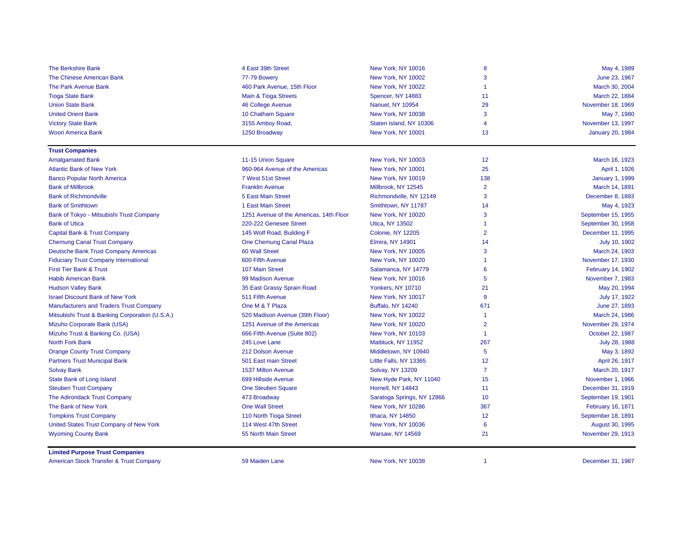| <b>The Berkshire Bank</b>                       | 4 East 39th Street                      | New York, NY 10016         | 8              | May 4, 1989             |
|-------------------------------------------------|-----------------------------------------|----------------------------|----------------|-------------------------|
| The Chinese American Bank                       | 77-79 Bowery                            | New York, NY 10002         | 3              | June 23, 1967           |
| The Park Avenue Bank                            | 460 Park Avenue, 15th Floor             | New York, NY 10022         | -1             | March 30, 2004          |
| <b>Tioga State Bank</b>                         | Main & Tioga Streets                    | Spencer, NY 14883          | 11             | March 22, 1884          |
| <b>Union State Bank</b>                         | 46 College Avenue                       | Nanuet, NY 10954           | 29             | November 18, 1969       |
| <b>United Orient Bank</b>                       | 10 Chatham Square                       | New York, NY 10038         | 3              | May 7, 1980             |
| <b>Victory State Bank</b>                       | 3155 Amboy Road,                        | Staten Island, NY 10306    | $\overline{4}$ | November 13, 1997       |
| Woori America Bank                              | 1250 Broadway                           | New York, NY 10001         | 13             | <b>January 20, 1984</b> |
| <b>Trust Companies</b>                          |                                         |                            |                |                         |
| <b>Amalgamated Bank</b>                         | 11-15 Union Square                      | New York, NY 10003         | 12             | March 16, 1923          |
| <b>Atlantic Bank of New York</b>                | 960-964 Avenue of the Americas          | New York, NY 10001         | 25             | April 1, 1926           |
| <b>Banco Popular North America</b>              | 7 West 51st Street                      | New York, NY 10019         | 138            | <b>January 1, 1999</b>  |
| <b>Bank of Millbrook</b>                        | <b>Franklin Avenue</b>                  | Millbrook, NY 12545        | $\overline{2}$ | March 14, 1891          |
| <b>Bank of Richmondville</b>                    | 5 East Main Street                      | Richmondville, NY 12149    | 3              | December 8, 1893        |
| <b>Bank of Smithtown</b>                        | 1 East Main Street                      | Smithtown, NY 11787        | 14             | May 4, 1923             |
| Bank of Tokyo - Mitsubishi Trust Company        | 1251 Avenue of the Americas, 14th Floor | New York, NY 10020         | 3              | September 15, 1955      |
| <b>Bank of Utica</b>                            | 220-222 Genesee Street                  | <b>Utica, NY 13502</b>     | -1             | September 30, 1958      |
| Capital Bank & Trust Company                    | 145 Wolf Road, Building F               | Colonie, NY 12205          | $\overline{2}$ | December 11, 1995       |
| <b>Chemung Canal Trust Company</b>              | One Chemung Canal Plaza                 | <b>Elmira, NY 14901</b>    | 14             | July 10, 1902           |
| Deutsche Bank Trust Company Americas            | 60 Wall Street                          | New York, NY 10005         | 3              | March 24, 1903          |
| <b>Fiduciary Trust Company International</b>    | 600 Fifth Avenue                        | New York, NY 10020         | -1             | November 17, 1930       |
| First Tier Bank & Trust                         | 107 Main Street                         | Salamanca, NY 14779        | 6              | February 14, 1902       |
| <b>Habib American Bank</b>                      | 99 Madison Avenue                       | New York, NY 10016         | 5              | November 7, 1983        |
| <b>Hudson Valley Bank</b>                       | 35 East Grassy Sprain Road              | Yonkers, NY 10710          | 21             | May 20, 1994            |
| <b>Israel Discount Bank of New York</b>         | 511 Fifth Avenue                        | New York, NY 10017         | 9              | July 17, 1922           |
| <b>Manufacturers and Traders Trust Company</b>  | One M & T Plaza                         | <b>Buffalo, NY 14240</b>   | 671            | June 27, 1893           |
| Mitsubishi Trust & Banking Corporation (U.S.A.) | 520 Madison Avenue (39th Floor)         | New York, NY 10022         | -1             | March 24, 1986          |
| Mizuho Corporate Bank (USA)                     | 1251 Avenue of the Americas             | New York, NY 10020         | $\overline{2}$ | November 29, 1974       |
| Mizuho Trust & Banking Co. (USA)                | 666 Fifth Avenue (Suite 802)            | New York, NY 10103         | -1             | October 22, 1987        |
| North Fork Bank                                 | 245 Love Lane                           | Mattituck, NY 11952        | 267            | July 28, 1988           |
| <b>Orange County Trust Company</b>              | 212 Dolson Avenue                       | Middletown, NY 10940       | 5              | May 3, 1892             |
| <b>Partners Trust Municipal Bank</b>            | 501 East main Street                    | Little Falls, NY 13365     | 12             | April 26, 1917          |
| <b>Solvay Bank</b>                              | 1537 Milton Avenue                      | Solvay, NY 13209           | $\overline{7}$ | March 20, 1917          |
| State Bank of Long Island                       | 699 Hillside Avenue                     | New Hyde Park, NY 11040    | 15             | November 1, 1966        |
| <b>Steuben Trust Company</b>                    | One Steuben Square                      | Hornell, NY 14843          | 11             | December 31, 1919       |
| The Adirondack Trust Company                    | 473 Broadway                            | Saratoga Springs, NY 12866 | 10             | September 19, 1901      |
| The Bank of New York                            | <b>One Wall Street</b>                  | New York, NY 10286         | 367            | February 16, 1871       |
| <b>Tompkins Trust Company</b>                   | 110 North Tioga Street                  | Ithaca, NY 14850           | 12             | September 18, 1891      |
| United States Trust Company of New York         | 114 West 47th Street                    | New York, NY 10036         | 6              | August 30, 1995         |
| <b>Wyoming County Bank</b>                      | 55 North Main Street                    | <b>Warsaw, NY 14569</b>    | 21             | November 29, 1913       |
| <b>Limited Purpose Trust Companies</b>          |                                         |                            |                |                         |

American Stock Transfer & Trust Company **1987** 59 Maiden Lane New York, NY 10038 1 December 31, 1987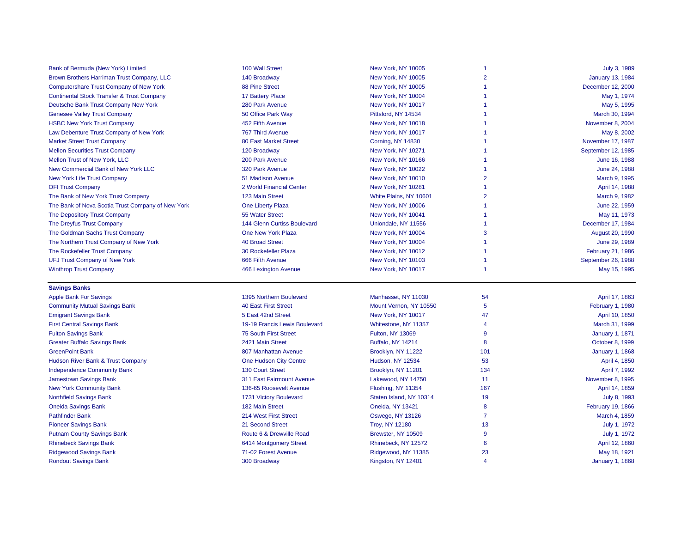| Bank of Bermuda (New York) Limited                    | 100 Wall Street               | New York, NY 10005       | -1             | July 3, 1989            |
|-------------------------------------------------------|-------------------------------|--------------------------|----------------|-------------------------|
| Brown Brothers Harriman Trust Company, LLC            | 140 Broadway                  | New York, NY 10005       | $\overline{2}$ | <b>January 13, 1984</b> |
| Computershare Trust Company of New York               | 88 Pine Street                | New York, NY 10005       | 1              | December 12, 2000       |
| <b>Continental Stock Transfer &amp; Trust Company</b> | 17 Battery Place              | New York, NY 10004       |                | May 1, 1974             |
| Deutsche Bank Trust Company New York                  | 280 Park Avenue               | New York, NY 10017       |                | May 5, 1995             |
| <b>Genesee Valley Trust Company</b>                   | 50 Office Park Way            | Pittsford, NY 14534      |                | March 30, 1994          |
| <b>HSBC New York Trust Company</b>                    | 452 Fifth Avenue              | New York, NY 10018       |                | November 8, 2004        |
| Law Debenture Trust Company of New York               | 767 Third Avenue              | New York, NY 10017       |                | May 8, 2002             |
| <b>Market Street Trust Company</b>                    | <b>80 East Market Street</b>  | Corning, NY 14830        |                | November 17, 1987       |
| <b>Mellon Securities Trust Company</b>                | 120 Broadway                  | New York, NY 10271       |                | September 12, 1985      |
| Mellon Trust of New York, LLC                         | 200 Park Avenue               | New York, NY 10166       |                | June 16, 1988           |
| New Commercial Bank of New York LLC                   | 320 Park Avenue               | New York, NY 10022       | 1              | June 24, 1988           |
| <b>New York Life Trust Company</b>                    | 51 Madison Avenue             | New York, NY 10010       | $\overline{2}$ | March 9, 1995           |
| <b>OFI Trust Company</b>                              | 2 World Financial Center      | New York, NY 10281       | 1              | April 14, 1988          |
| The Bank of New York Trust Company                    | 123 Main Street               | White Plains, NY 10601   | $\overline{2}$ | March 9, 1982           |
| The Bank of Nova Scotia Trust Company of New York     | One Liberty Plaza             | New York, NY 10006       | $\overline{1}$ | June 22, 1959           |
| The Depository Trust Company                          | 55 Water Street               | New York, NY 10041       |                | May 11, 1973            |
| The Dreyfus Trust Company                             | 144 Glenn Curtiss Boulevard   | Uniondale, NY 11556      |                | December 17, 1984       |
| The Goldman Sachs Trust Company                       | One New York Plaza            | New York, NY 10004       | 3              | <b>August 20, 1990</b>  |
| The Northern Trust Company of New York                | <b>40 Broad Street</b>        | New York, NY 10004       |                | June 29, 1989           |
| The Rockefeller Trust Company                         | 30 Rockefeller Plaza          | New York, NY 10012       |                | February 21, 1986       |
| <b>UFJ Trust Company of New York</b>                  | 666 Fifth Avenue              | New York, NY 10103       | -1             | September 26, 1988      |
| <b>Winthrop Trust Company</b>                         | 466 Lexington Avenue          | New York, NY 10017       | -1             | May 15, 1995            |
| <b>Savings Banks</b>                                  |                               |                          |                |                         |
| <b>Apple Bank For Savings</b>                         | 1395 Northern Boulevard       | Manhasset, NY 11030      | 54             | April 17, 1863          |
| <b>Community Mutual Savings Bank</b>                  | <b>40 East First Street</b>   | Mount Vernon, NY 10550   | 5              | February 1, 1980        |
| <b>Emigrant Savings Bank</b>                          | 5 East 42nd Street            | New York, NY 10017       | 47             | April 10, 1850          |
| <b>First Central Savings Bank</b>                     | 19-19 Francis Lewis Boulevard | Whitestone, NY 11357     | $\overline{4}$ | March 31, 1999          |
| <b>Fulton Savings Bank</b>                            | 75 South First Street         | Fulton, NY 13069         | 9              | <b>January 1, 1871</b>  |
| <b>Greater Buffalo Savings Bank</b>                   | 2421 Main Street              | <b>Buffalo, NY 14214</b> | 8              | October 8, 1999         |
| <b>GreenPoint Bank</b>                                | 807 Manhattan Avenue          | Brooklyn, NY 11222       | 101            | <b>January 1, 1868</b>  |
| Hudson River Bank & Trust Company                     | One Hudson City Centre        | Hudson, NY 12534         | 53             | April 4, 1850           |
| <b>Independence Community Bank</b>                    | <b>130 Court Street</b>       | Brooklyn, NY 11201       | 134            | April 7, 1992           |
| <b>Jamestown Savings Bank</b>                         | 311 East Fairmount Avenue     | Lakewood, NY 14750       | 11             | November 8, 1995        |
| <b>New York Community Bank</b>                        | 136-65 Roosevelt Avenue       | Flushing, NY 11354       | 167            | April 14, 1859          |
| <b>Northfield Savings Bank</b>                        | 1731 Victory Boulevard        | Staten Island, NY 10314  | 19             | July 8, 1993            |
| <b>Oneida Savings Bank</b>                            | 182 Main Street               | Oneida, NY 13421         | 8              | February 19, 1866       |
| <b>Pathfinder Bank</b>                                | 214 West First Street         | <b>Oswego, NY 13126</b>  | $\overline{7}$ | March 4, 1859           |
| <b>Pioneer Savings Bank</b>                           | 21 Second Street              | <b>Troy, NY 12180</b>    | 13             | July 1, 1972            |
| <b>Putnam County Savings Bank</b>                     | Route 6 & Drewville Road      | Brewster, NY 10509       | 9              | July 1, 1972            |
| <b>Rhinebeck Savings Bank</b>                         |                               |                          |                |                         |
|                                                       | 6414 Montgomery Street        | Rhinebeck, NY 12572      | 6              | April 12, 1860          |
| <b>Ridgewood Savings Bank</b>                         | 71-02 Forest Avenue           | Ridgewood, NY 11385      | 23             | May 18, 1921            |
| <b>Rondout Savings Bank</b>                           | 300 Broadway                  | Kingston, NY 12401       | $\overline{4}$ | <b>January 1, 1868</b>  |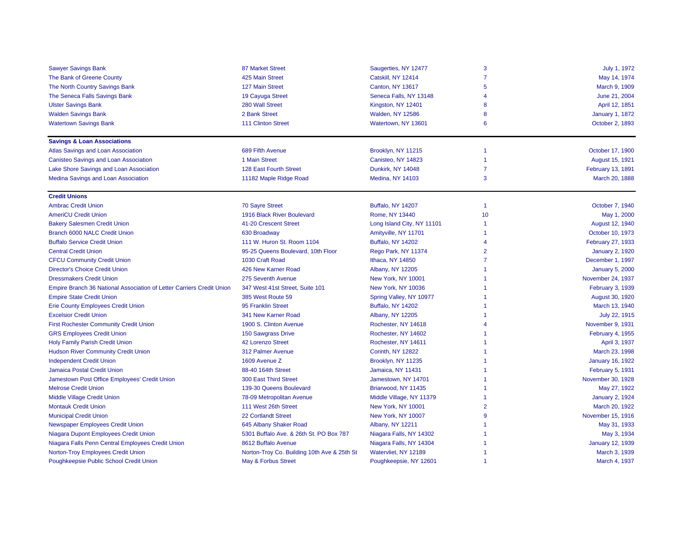| <b>Sawyer Savings Bank</b>                                            | <b>87 Market Street</b>                     | Saugerties, NY 12477       | 3              | July 1, 1972            |
|-----------------------------------------------------------------------|---------------------------------------------|----------------------------|----------------|-------------------------|
| The Bank of Greene County                                             | 425 Main Street                             | Catskill, NY 12414         | $\overline{7}$ | May 14, 1974            |
| The North Country Savings Bank                                        | 127 Main Street                             | <b>Canton, NY 13617</b>    | 5              | March 9, 1909           |
| The Seneca Falls Savings Bank                                         | 19 Cayuga Street                            | Seneca Falls, NY 13148     | 4              | June 21, 2004           |
| <b>Ulster Savings Bank</b>                                            | 280 Wall Street                             | Kingston, NY 12401         | 8              | April 12, 1851          |
| <b>Walden Savings Bank</b>                                            | 2 Bank Street                               | <b>Walden, NY 12586</b>    | 8              | <b>January 1, 1872</b>  |
| <b>Watertown Savings Bank</b>                                         | 111 Clinton Street                          | Watertown, NY 13601        | 6              | October 2, 1893         |
| <b>Savings &amp; Loan Associations</b>                                |                                             |                            |                |                         |
| Atlas Savings and Loan Association                                    | 689 Fifth Avenue                            | Brooklyn, NY 11215         | 1              | October 17, 1900        |
| Canisteo Savings and Loan Association                                 | 1 Main Street                               | Canisteo, NY 14823         | $\overline{1}$ | August 15, 1921         |
| Lake Shore Savings and Loan Association                               | 128 East Fourth Street                      | Dunkirk, NY 14048          | $\overline{7}$ | February 13, 1891       |
| Medina Savings and Loan Association                                   | 11182 Maple Ridge Road                      | <b>Medina, NY 14103</b>    | 3              | March 20, 1888          |
| <b>Credit Unions</b>                                                  |                                             |                            |                |                         |
| <b>Ambrac Credit Union</b>                                            | <b>70 Sayre Street</b>                      | <b>Buffalo, NY 14207</b>   | $\overline{1}$ | October 7, 1940         |
| <b>AmeriCU Credit Union</b>                                           | 1916 Black River Boulevard                  | Rome, NY 13440             | 10             | May 1, 2000             |
| <b>Bakery Salesmen Credit Union</b>                                   | 41-20 Crescent Street                       | Long Island City, NY 11101 | $\overline{1}$ | August 12, 1940         |
| Branch 6000 NALC Credit Union                                         | 630 Broadway                                | Amityville, NY 11701       | 1              | October 10, 1973        |
| <b>Buffalo Service Credit Union</b>                                   | 111 W. Huron St. Room 1104                  | <b>Buffalo, NY 14202</b>   | $\overline{4}$ | February 27, 1933       |
| <b>Central Credit Union</b>                                           | 95-25 Queens Boulevard, 10th Floor          | Rego Park, NY 11374        | $\overline{2}$ | <b>January 2, 1920</b>  |
| <b>CFCU Community Credit Union</b>                                    | 1030 Craft Road                             | Ithaca, NY 14850           | $\overline{7}$ | December 1, 1997        |
| <b>Director's Choice Credit Union</b>                                 | 426 New Karner Road                         | Albany, NY 12205           | 1              | <b>January 5, 2000</b>  |
| <b>Dressmakers Credit Union</b>                                       | 275 Seventh Avenue                          | New York, NY 10001         | 1              | November 24, 1937       |
| Empire Branch 36 National Association of Letter Carriers Credit Union | 347 West 41st Street, Suite 101             | New York, NY 10036         | 1              | <b>February 3, 1939</b> |
| <b>Empire State Credit Union</b>                                      | 385 West Route 59                           | Spring Valley, NY 10977    | 1              | August 30, 1920         |
| <b>Erie County Employees Credit Union</b>                             | 95 Franklin Street                          | <b>Buffalo, NY 14202</b>   | 1              | March 13, 1940          |
| <b>Excelsior Credit Union</b>                                         | 341 New Karner Road                         | <b>Albany, NY 12205</b>    | 1              | July 22, 1915           |
| <b>First Rochester Community Credit Union</b>                         | 1900 S. Clinton Avenue                      | Rochester, NY 14618        | $\overline{4}$ | November 9, 1931        |
| <b>GRS Employees Credit Union</b>                                     | 150 Sawgrass Drive                          | Rochester, NY 14602        | 1              | <b>February 4, 1955</b> |
| Holy Family Parish Credit Union                                       | <b>42 Lorenzo Street</b>                    | Rochester, NY 14611        | 1              | April 3, 1937           |
| <b>Hudson River Community Credit Union</b>                            | 312 Palmer Avenue                           | Corinth, NY 12822          | 1              | March 23, 1998          |
| <b>Independent Credit Union</b>                                       | 1609 Avenue Z                               | Brooklyn, NY 11235         | 1              | <b>January 16, 1922</b> |
| Jamaica Postal Credit Union                                           | 88-40 164th Street                          | Jamaica, NY 11431          | 1              | <b>February 5, 1931</b> |
| Jamestown Post Office Employees' Credit Union                         | 300 East Third Street                       | Jamestown, NY 14701        | 1              | November 30, 1928       |
| <b>Melrose Credit Union</b>                                           | 139-30 Queens Boulevard                     | Briarwood, NY 11435        | 1              | May 27, 1922            |
| Middle Village Credit Union                                           | 78-09 Metropolitan Avenue                   | Middle Village, NY 11379   | 1              | <b>January 2, 1924</b>  |
| <b>Montauk Credit Union</b>                                           | 111 West 26th Street                        | New York, NY 10001         | $\overline{2}$ | March 20, 1922          |
| <b>Municipal Credit Union</b>                                         | <b>22 Cortlandt Street</b>                  | New York, NY 10007         | 9              | November 15, 1916       |
| Newspaper Employees Credit Union                                      | 645 Albany Shaker Road                      | <b>Albany, NY 12211</b>    |                | May 31, 1933            |
| Niagara Dupont Employees Credit Union                                 | 5301 Buffalo Ave. & 26th St. PO Box 787     | Niagara Falls, NY 14302    | 1              | May 3, 1934             |
| Niagara Falls Penn Central Employees Credit Union                     | 8612 Buffalo Avenue                         | Niagara Falls, NY 14304    | 1              | <b>January 12, 1939</b> |
| Norton-Troy Employees Credit Union                                    | Norton-Troy Co. Building 10th Ave & 25th St | Watervliet, NY 12189       | 1              | March 3, 1939           |
| Poughkeepsie Public School Credit Union                               | May & Forbus Street                         | Poughkeepsie, NY 12601     | 1              | March 4, 1937           |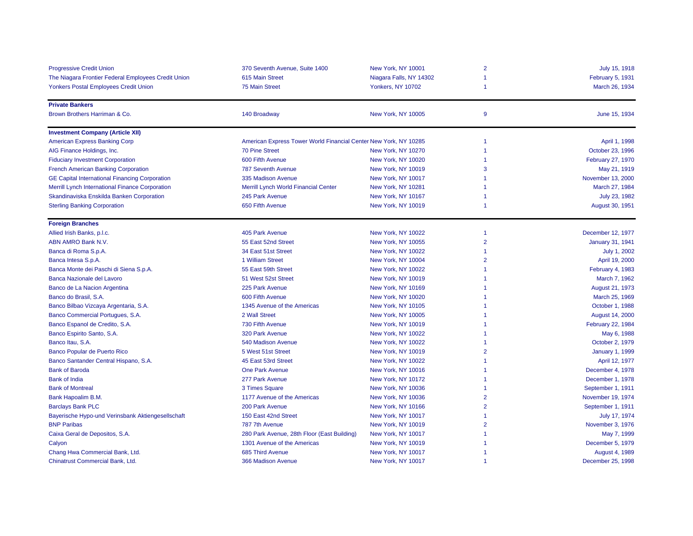| <b>Progressive Credit Union</b>                       | 370 Seventh Avenue, Suite 1400                                   | New York, NY 10001        | $\overline{2}$ | July 15, 1918            |  |
|-------------------------------------------------------|------------------------------------------------------------------|---------------------------|----------------|--------------------------|--|
| The Niagara Frontier Federal Employees Credit Union   | 615 Main Street                                                  | Niagara Falls, NY 14302   | $\overline{1}$ | <b>February 5, 1931</b>  |  |
| <b>Yonkers Postal Employees Credit Union</b>          | 75 Main Street                                                   | <b>Yonkers, NY 10702</b>  | $\overline{1}$ | March 26, 1934           |  |
| <b>Private Bankers</b>                                |                                                                  |                           |                |                          |  |
| Brown Brothers Harriman & Co.                         | 140 Broadway                                                     | New York, NY 10005        | 9              | June 15, 1934            |  |
| <b>Investment Company (Article XII)</b>               |                                                                  |                           |                |                          |  |
| <b>American Express Banking Corp</b>                  | American Express Tower World Financial Center New York, NY 10285 |                           | $\overline{1}$ | April 1, 1998            |  |
| AIG Finance Holdings, Inc.                            | <b>70 Pine Street</b>                                            | New York, NY 10270        | $\overline{1}$ | October 23, 1996         |  |
| <b>Fiduciary Investment Corporation</b>               | 600 Fifth Avenue                                                 | New York, NY 10020        | $\overline{1}$ | February 27, 1970        |  |
| <b>French American Banking Corporation</b>            | <b>787 Seventh Avenue</b>                                        | New York, NY 10019        | 3              | May 21, 1919             |  |
| <b>GE Capital International Financing Corporation</b> | 335 Madison Avenue                                               | New York, NY 10017        | -1             | November 13, 2000        |  |
| Merrill Lynch International Finance Corporation       | Merrill Lynch World Financial Center                             | New York, NY 10281        | -1             | March 27, 1984           |  |
| Skandinaviska Enskilda Banken Corporation             | 245 Park Avenue                                                  | New York, NY 10167        | -1             | July 23, 1982            |  |
| <b>Sterling Banking Corporation</b>                   | 650 Fifth Avenue                                                 | New York, NY 10019        | -1             | August 30, 1951          |  |
| <b>Foreign Branches</b>                               |                                                                  |                           |                |                          |  |
| Allied Irish Banks, p.l.c.                            | 405 Park Avenue                                                  | New York, NY 10022        | $\overline{1}$ | December 12, 1977        |  |
| ABN AMRO Bank N.V.                                    | 55 East 52nd Street                                              | <b>New York, NY 10055</b> | $\overline{2}$ | January 31, 1941         |  |
| Banca di Roma S.p.A.                                  | 34 East 51st Street                                              | New York, NY 10022        | -1             | July 1, 2002             |  |
| Banca Intesa S.p.A.                                   | 1 William Street                                                 | New York, NY 10004        | $\overline{2}$ | April 19, 2000           |  |
| Banca Monte dei Paschi di Siena S.p.A.                | 55 East 59th Street                                              | New York, NY 10022        | -1             | February 4, 1983         |  |
| Banca Nazionale del Lavoro                            | 51 West 52st Street                                              | New York, NY 10019        | -1             | March 7, 1962            |  |
| Banco de La Nacion Argentina                          | 225 Park Avenue                                                  | New York, NY 10169        | -1             | August 21, 1973          |  |
| Banco do Brasil, S.A.                                 | 600 Fifth Avenue                                                 | New York, NY 10020        | -1             | March 25, 1969           |  |
| Banco Bilbao Vizcaya Argentaria, S.A.                 | 1345 Avenue of the Americas                                      | <b>New York, NY 10105</b> | -1             | October 1, 1988          |  |
| Banco Commercial Portugues, S.A.                      | 2 Wall Street                                                    | New York, NY 10005        | -1             | August 14, 2000          |  |
| Banco Espanol de Credito, S.A.                        | 730 Fifth Avenue                                                 | New York, NY 10019        | -1             | <b>February 22, 1984</b> |  |
| Banco Espirito Santo, S.A.                            | 320 Park Avenue                                                  | New York, NY 10022        | -1             | May 6, 1988              |  |
| Banco Itau, S.A.                                      | 540 Madison Avenue                                               | New York, NY 10022        | $\overline{1}$ | October 2, 1979          |  |
| Banco Popular de Puerto Rico                          | 5 West 51st Street                                               | New York, NY 10019        | $\overline{2}$ | <b>January 1, 1999</b>   |  |
| Banco Santander Central Hispano, S.A.                 | 45 East 53rd Street                                              | New York, NY 10022        | -1             | April 12, 1977           |  |
| <b>Bank of Baroda</b>                                 | <b>One Park Avenue</b>                                           | New York, NY 10016        | -1             | December 4, 1978         |  |
| <b>Bank of India</b>                                  | 277 Park Avenue                                                  | New York, NY 10172        | -1             | December 1, 1978         |  |
| <b>Bank of Montreal</b>                               | 3 Times Square                                                   | New York, NY 10036        | -1             | September 1, 1911        |  |
| Bank Hapoalim B.M.                                    | 1177 Avenue of the Americas                                      | New York, NY 10036        | $\overline{2}$ | November 19, 1974        |  |
| <b>Barclays Bank PLC</b>                              | 200 Park Avenue                                                  | New York, NY 10166        | $\overline{2}$ | September 1, 1911        |  |
| Bayerische Hypo-und Verinsbank Aktiengesellschaft     | 150 East 42nd Street                                             | New York, NY 10017        | -1             | July 17, 1974            |  |
| <b>BNP Paribas</b>                                    | 787 7th Avenue                                                   | New York, NY 10019        | $\overline{2}$ | November 3, 1976         |  |
| Caixa Geral de Depositos, S.A.                        | 280 Park Avenue, 28th Floor (East Building)                      | New York, NY 10017        | -1             | May 7, 1999              |  |
| Calyon                                                | 1301 Avenue of the Americas                                      | New York, NY 10019        | -1             | December 5, 1979         |  |
| Chang Hwa Commercial Bank, Ltd.                       | 685 Third Avenue                                                 | New York, NY 10017        | -1             | August 4, 1989           |  |
| Chinatrust Commercial Bank, Ltd.                      | 366 Madison Avenue                                               | New York, NY 10017        | -1             | December 25, 1998        |  |
|                                                       |                                                                  |                           |                |                          |  |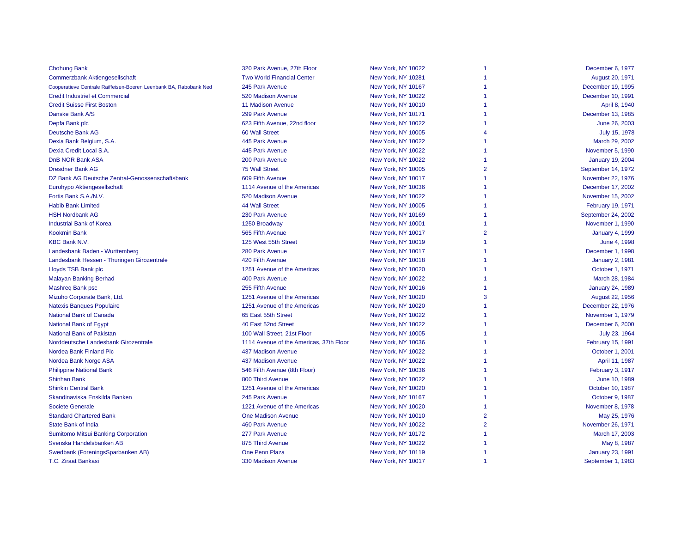| <b>Chohung Bank</b>                                               | 320 Park Avenue, 27th Floor             | New York, NY 10022 |                | December 6, 1977        |
|-------------------------------------------------------------------|-----------------------------------------|--------------------|----------------|-------------------------|
| <b>Commerzbank Aktiengesellschaft</b>                             | <b>Two World Financial Center</b>       | New York, NY 10281 |                | August 20, 1971         |
| Cooperatieve Centrale Raiffeisen-Boeren Leenbank BA, Rabobank Ned | 245 Park Avenue                         | New York, NY 10167 |                | December 19, 1995       |
| <b>Credit Industriel et Commercial</b>                            | 520 Madison Avenue                      | New York, NY 10022 | 1              | December 10, 1991       |
| <b>Credit Suisse First Boston</b>                                 | 11 Madison Avenue                       | New York, NY 10010 | 1              | April 8, 1940           |
| Danske Bank A/S                                                   | 299 Park Avenue                         | New York, NY 10171 |                | December 13, 1985       |
| Depfa Bank plc                                                    | 623 Fifth Avenue, 22nd floor            | New York, NY 10022 | 1              | June 26, 2003           |
| Deutsche Bank AG                                                  | <b>60 Wall Street</b>                   | New York, NY 10005 | 4              | July 15, 1978           |
| Dexia Bank Belgium, S.A.                                          | 445 Park Avenue                         | New York, NY 10022 |                | March 29, 2002          |
| Dexia Credit Local S.A.                                           | 445 Park Avenue                         | New York, NY 10022 | 1              | November 5, 1990        |
| <b>DnB NOR Bank ASA</b>                                           | 200 Park Avenue                         | New York, NY 10022 | 1              | <b>January 19, 2004</b> |
| <b>Dresdner Bank AG</b>                                           | <b>75 Wall Street</b>                   | New York, NY 10005 | $\overline{2}$ | September 14, 1972      |
| DZ Bank AG Deutsche Zentral-Genossenschaftsbank                   | 609 Fifth Avenue                        | New York, NY 10017 |                | November 22, 1976       |
| Eurohypo Aktiengesellschaft                                       | 1114 Avenue of the Americas             | New York, NY 10036 |                | December 17, 2002       |
| Fortis Bank S.A./N.V.                                             | 520 Madison Avenue                      | New York, NY 10022 |                | November 15, 2002       |
| <b>Habib Bank Limited</b>                                         | <b>44 Wall Street</b>                   | New York, NY 10005 | 1              | February 19, 1971       |
| <b>HSH Nordbank AG</b>                                            | 230 Park Avenue                         | New York, NY 10169 | 1              | September 24, 2002      |
| <b>Industrial Bank of Korea</b>                                   | 1250 Broadway                           | New York, NY 10001 |                | November 1, 1990        |
| <b>Kookmin Bank</b>                                               | 565 Fifth Avenue                        | New York, NY 10017 | $\overline{2}$ | <b>January 4, 1999</b>  |
| <b>KBC Bank N.V.</b>                                              | 125 West 55th Street                    | New York, NY 10019 |                | June 4, 1998            |
| Landesbank Baden - Wurttemberg                                    | 280 Park Avenue                         | New York, NY 10017 | 1              | December 1, 1998        |
| Landesbank Hessen - Thuringen Girozentrale                        | 420 Fifth Avenue                        | New York, NY 10018 |                | <b>January 2, 1981</b>  |
| Lloyds TSB Bank plc                                               | 1251 Avenue of the Americas             | New York, NY 10020 |                | October 1, 1971         |
| <b>Malayan Banking Berhad</b>                                     | 400 Park Avenue                         | New York, NY 10022 | 1              | March 28, 1984          |
| Mashreg Bank psc                                                  | 255 Fifth Avenue                        | New York, NY 10016 |                | <b>January 24, 1989</b> |
| Mizuho Corporate Bank, Ltd.                                       | 1251 Avenue of the Americas             | New York, NY 10020 | 3              | August 22, 1956         |
| <b>Natexis Banques Populaire</b>                                  | 1251 Avenue of the Americas             | New York, NY 10020 |                | December 22, 1976       |
| National Bank of Canada                                           | 65 East 55th Street                     | New York, NY 10022 | 1              | November 1, 1979        |
| National Bank of Egypt                                            | 40 East 52nd Street                     | New York, NY 10022 |                | December 6, 2000        |
| <b>National Bank of Pakistan</b>                                  | 100 Wall Street, 21st Floor             | New York, NY 10005 |                | July 23, 1964           |
| Norddeutsche Landesbank Girozentrale                              | 1114 Avenue of the Americas, 37th Floor | New York, NY 10036 |                | February 15, 1991       |
| Nordea Bank Finland Plc                                           | 437 Madison Avenue                      | New York, NY 10022 |                | October 1, 2001         |
| Nordea Bank Norge ASA                                             | 437 Madison Avenue                      | New York, NY 10022 |                | April 11, 1987          |
| <b>Philippine National Bank</b>                                   | 546 Fifth Avenue (8th Floor)            | New York, NY 10036 |                | February 3, 1917        |
| <b>Shinhan Bank</b>                                               | 800 Third Avenue                        | New York, NY 10022 |                | June 10, 1989           |
| <b>Shinkin Central Bank</b>                                       | 1251 Avenue of the Americas             | New York, NY 10020 |                | October 10, 1987        |
| Skandinaviska Enskilda Banken                                     | 245 Park Avenue                         | New York, NY 10167 | 1              | October 9, 1987         |
| <b>Societe Generale</b>                                           | 1221 Avenue of the Americas             | New York, NY 10020 | 1              | November 8, 1978        |
| <b>Standard Chartered Bank</b>                                    | <b>One Madison Avenue</b>               | New York, NY 10010 | $\overline{2}$ | May 25, 1976            |
| <b>State Bank of India</b>                                        | <b>460 Park Avenue</b>                  | New York, NY 10022 | $\overline{2}$ | November 26, 1971       |
| <b>Sumitomo Mitsui Banking Corporation</b>                        | 277 Park Avenue                         | New York, NY 10172 |                | March 17, 2003          |
| Svenska Handelsbanken AB                                          | 875 Third Avenue                        | New York, NY 10022 |                | May 8, 1987             |
| Swedbank (ForeningsSparbanken AB)                                 | <b>One Penn Plaza</b>                   | New York, NY 10119 |                | <b>January 23, 1991</b> |
| <b>T.C. Ziraat Bankasi</b>                                        | 330 Madison Avenue                      | New York, NY 10017 |                | September 1, 1983       |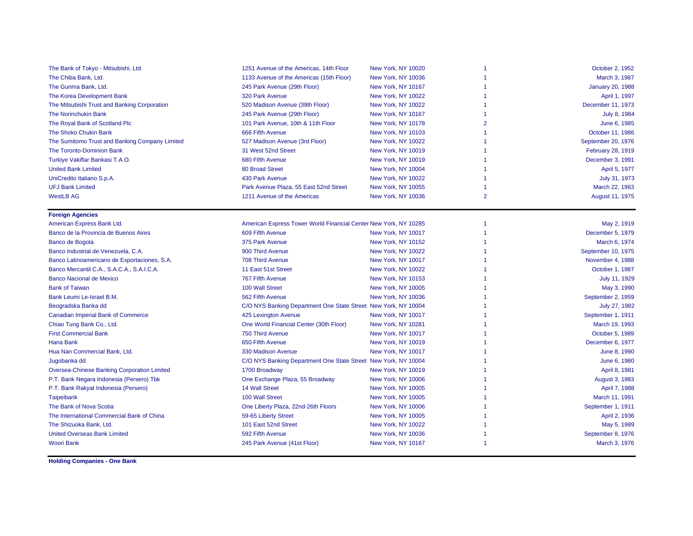| The Bank of Tokyo - Mitsubishi, Ltd.               | 1251 Avenue of the Americas, 14th Floor                          | New York, NY 10020 |                | October 2, 1952         |
|----------------------------------------------------|------------------------------------------------------------------|--------------------|----------------|-------------------------|
| The Chiba Bank, Ltd.                               | 1133 Avenue of the Americas (15th Floor)                         | New York, NY 10036 |                | March 3, 1987           |
| The Gunma Bank, Ltd.                               | 245 Park Avenue (29th Floor)                                     | New York, NY 10167 |                | <b>January 20, 1988</b> |
| The Korea Development Bank                         | 320 Park Avenue                                                  | New York, NY 10022 |                | April 1, 1997           |
| The Mitsubishi Trust and Banking Corporation       | 520 Madison Avenue (39th Floor)                                  | New York, NY 10022 | 1              | December 11, 1973       |
| <b>The Norinchukin Bank</b>                        | 245 Park Avenue (29th Floor)                                     | New York, NY 10167 | 1              | July 8, 1984            |
| The Royal Bank of Scotland Plc                     | 101 Park Avenue, 10th & 11th Floor                               | New York, NY 10178 | $\overline{2}$ | June 6, 1985            |
| The Shoko Chukin Bank                              | 666 Fifth Avenue                                                 | New York, NY 10103 |                | October 11, 1986        |
| The Sumitomo Trust and Banking Company Limited     | 527 Madison Avenue (3rd Floor)                                   | New York, NY 10022 |                | September 20, 1976      |
| The Toronto-Dominion Bank                          | 31 West 52nd Street                                              | New York, NY 10019 | 1              | February 28, 1919       |
| Turkiye Vakiflar Bankasi T.A.O.                    | 680 Fifth Avenue                                                 | New York, NY 10019 |                | December 3, 1991        |
| <b>United Bank Limited</b>                         | 80 Broad Street                                                  | New York, NY 10004 | -1             | April 5, 1977           |
| UniCredito Italiano S.p.A.                         | 430 Park Avenue                                                  | New York, NY 10022 |                | July 31, 1973           |
| <b>UFJ Bank Limited</b>                            | Park Avenue Plaza, 55 East 52nd Street                           | New York, NY 10055 |                | March 22, 1963          |
| <b>WestLB AG</b>                                   | 1211 Avenue of the Americas                                      | New York, NY 10036 | $\overline{2}$ | August 11, 1975         |
| <b>Foreign Agencies</b>                            |                                                                  |                    |                |                         |
| American Express Bank Ltd.                         | American Express Tower World Financial Center New York, NY 10285 |                    |                | May 2, 1919             |
| Banco de la Provincia de Buenos Aires              | 609 Fifth Avenue                                                 | New York, NY 10017 |                | December 5, 1979        |
| Banco de Bogota                                    | 375 Park Avenue                                                  | New York, NY 10152 | -1             | March 6, 1974           |
| Banco Industrial de Venezuela, C.A.                | 900 Third Avenue                                                 | New York, NY 10022 |                | September 10, 1975      |
| Banco Latinoamericano de Exportaciones, S.A.       | 708 Third Avenue                                                 | New York, NY 10017 |                | November 4, 1988        |
| Banco Mercantil C.A., S.A.C.A., S.A.I.C.A.         | 11 East 51st Street                                              | New York, NY 10022 |                | October 1, 1987         |
| <b>Banco Nacional de Mexico</b>                    | 767 Fifth Avenue                                                 | New York, NY 10153 |                | July 11, 1929           |
| <b>Bank of Taiwan</b>                              | 100 Wall Street                                                  | New York, NY 10005 |                | May 3, 1990             |
| Bank Leumi Le-Israel B.M.                          | 562 Fifth Avenue                                                 | New York, NY 10036 |                | September 2, 1959       |
| Beogradska Banka dd                                | C/O NYS Banking Department One State Street New York, NY 10004   |                    |                | July 27, 1982           |
| <b>Canadian Imperial Bank of Commerce</b>          | 425 Lexington Avenue                                             | New York, NY 10017 | 1              | September 1, 1911       |
| Chiao Tung Bank Co., Ltd.                          | One World Financial Center (30th Floor)                          | New York, NY 10281 |                | March 19, 1993          |
| <b>First Commercial Bank</b>                       | 750 Third Avenue                                                 | New York, NY 10017 |                | October 5, 1989         |
| Hana Bank                                          | 650 Fifth Avenue                                                 | New York, NY 10019 |                | December 6, 1977        |
| Hua Nan Commercial Bank, Ltd.                      | 330 Madison Avenue                                               | New York, NY 10017 |                | June 8, 1990            |
| Jugobanka dd                                       | C/O NYS Banking Department One State Street New York, NY 10004   |                    |                | June 6, 1980            |
| <b>Oversea-Chinese Banking Corporation Limited</b> | 1700 Broadway                                                    | New York, NY 10019 |                | April 8, 1981           |
| P.T. Bank Negara Indonesia (Persero) Tbk           | One Exchange Plaza, 55 Broadway                                  | New York, NY 10006 |                | August 3, 1983          |
| P.T. Bank Rakyat Indonesia (Persero)               | <b>14 Wall Street</b>                                            | New York, NY 10005 |                | April 7, 1988           |
| Taipeibank                                         | 100 Wall Street                                                  | New York, NY 10005 |                | March 11, 1991          |
| The Bank of Nova Scotia                            | One Liberty Plaza, 22nd-26th Floors                              | New York, NY 10006 |                | September 1, 1911       |
| The International Commercial Bank of China         | 59-65 Liberty Street                                             | New York, NY 10005 |                | April 2, 1936           |
| The Shizuoka Bank, Ltd.                            | 101 East 52nd Street                                             | New York, NY 10022 |                | May 5, 1989             |
| <b>United Overseas Bank Limited</b>                | 592 Fifth Avenue                                                 | New York, NY 10036 |                | September 8, 1976       |
| <b>Woori Bank</b>                                  | 245 Park Avenue (41st Floor)                                     | New York, NY 10167 | 1              | March 3, 1976           |

**Holding Companies - One Bank**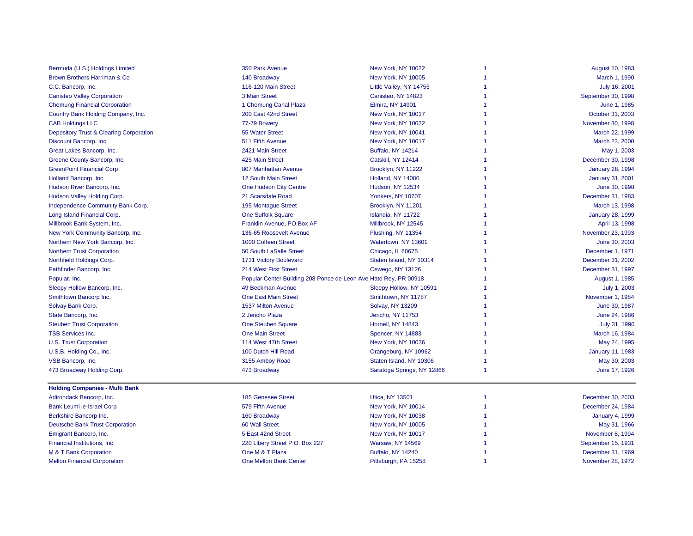| Bermuda (U.S.) Holdings Limited                    | 350 Park Avenue                                                  | New York, NY 10022         | -1 | August 10, 1983         |
|----------------------------------------------------|------------------------------------------------------------------|----------------------------|----|-------------------------|
| <b>Brown Brothers Harriman &amp; Co</b>            | 140 Broadway                                                     | New York, NY 10005         |    | March 1, 1990           |
| C.C. Bancorp, Inc.                                 | 116-120 Main Street                                              | Little Valley, NY 14755    |    | July 16, 2001           |
| <b>Canisteo Valley Corporation</b>                 | 3 Main Street                                                    | Canisteo, NY 14823         |    | September 30, 1998      |
| <b>Chemung Financial Corporation</b>               | 1 Chemung Canal Plaza                                            | <b>Elmira, NY 14901</b>    |    | June 1, 1985            |
| Country Bank Holding Company, Inc.                 | 200 East 42nd Street                                             | New York, NY 10017         |    | October 31, 2003        |
| <b>CAB Holdings LLC</b>                            | 77-79 Bowery                                                     | New York, NY 10022         |    | November 30, 1998       |
| <b>Depository Trust &amp; Clearing Corporation</b> | 55 Water Street                                                  | New York, NY 10041         |    | March 22, 1999          |
| Discount Bancorp, Inc.                             | 511 Fifth Avenue                                                 | New York, NY 10017         |    | March 23, 2000          |
| Great Lakes Bancorp, Inc.                          | 2421 Main Street                                                 | <b>Buffalo, NY 14214</b>   |    | May 1, 2003             |
| Greene County Bancorp, Inc.                        | 425 Main Street                                                  | Catskill, NY 12414         |    | December 30, 1998       |
| <b>GreenPoint Financial Corp</b>                   | 807 Manhattan Avenue                                             | Brooklyn, NY 11222         |    | <b>January 28, 1994</b> |
| Holland Bancorp, Inc.                              | 12 South Main Street                                             | Holland, NY 14080          |    | <b>January 31, 2001</b> |
| Hudson River Bancorp, Inc.                         | <b>One Hudson City Centre</b>                                    | <b>Hudson, NY 12534</b>    |    | June 30, 1998           |
| Hudson Valley Holding Corp.                        | 21 Scarsdale Road                                                | Yonkers, NY 10707          |    | December 31, 1983       |
| Independence Community Bank Corp.                  | 195 Montague Street                                              | Brooklyn, NY 11201         |    | March 13, 1998          |
| Long Island Financial Corp.                        | <b>One Suffolk Square</b>                                        | Islandia, NY 11722         |    | <b>January 28, 1999</b> |
| Millbrook Bank System, Inc.                        | Franklin Avenue, PO Box AF                                       | Millbrook, NY 12545        |    | April 13, 1998          |
| New York Community Bancorp, Inc.                   | 136-65 Roosevelt Avenue                                          | Flushing, NY 11354         |    | November 23, 1993       |
| Northern New York Bancorp, Inc.                    | 1000 Coffeen Street                                              | Watertown, NY 13601        |    | June 30, 2003           |
| <b>Northern Trust Corporation</b>                  | 50 South LaSalle Street                                          | Chicago, IL 60675          |    | December 1, 1971        |
| Northfield Holdings Corp.                          | 1731 Victory Boulevard                                           | Staten Island, NY 10314    | 1  | December 31, 2002       |
| Pathfinder Bancorp, Inc.                           | 214 West First Street                                            | Oswego, NY 13126           | 1  | December 31, 1997       |
| Popular, Inc.                                      | Popular Center Building 208 Ponce de Leon Ave Hato Rey, PR 00918 |                            |    | August 1, 1985          |
| Sleepy Hollow Bancorp, Inc.                        | 49 Beekman Avenue                                                | Sleepy Hollow, NY 10591    |    | July 1, 2003            |
| Smithtown Bancorp Inc.                             | <b>One East Main Street</b>                                      | Smithtown, NY 11787        |    | November 1, 1984        |
| Solvay Bank Corp.                                  | 1537 Milton Avenue                                               | Solvay, NY 13209           | 1  | June 30, 1987           |
| State Bancorp, Inc.                                | 2 Jericho Plaza                                                  | Jericho, NY 11753          | 1  | June 24, 1986           |
| <b>Steuben Trust Corporation</b>                   | <b>One Steuben Square</b>                                        | Hornell, NY 14843          | 1  | July 31, 1990           |
| <b>TSB Services Inc.</b>                           | <b>One Main Street</b>                                           | Spencer, NY 14883          |    | March 16, 1984          |
| <b>U.S. Trust Corporation</b>                      | 114 West 47th Street                                             | New York, NY 10036         |    | May 24, 1995            |
| U.S.B. Holding Co., Inc.                           | 100 Dutch Hill Road                                              | Orangeburg, NY 10962       |    | <b>January 11, 1983</b> |
| VSB Bancorp, Inc.                                  | 3155 Amboy Road                                                  | Staten Island, NY 10306    |    | May 30, 2003            |
| 473 Broadway Holding Corp.                         | 473 Broadway                                                     | Saratoga Springs, NY 12866 | -1 | June 17, 1926           |
| <b>Holding Companies - Multi Bank</b>              |                                                                  |                            |    |                         |
| Adirondack Bancorp, Inc.                           | 185 Genesee Street                                               | <b>Utica, NY 13501</b>     | 1  | December 30, 2003       |
| <b>Bank Leumi le-Israel Corp</b>                   | 579 Fifth Avenue                                                 | New York, NY 10014         |    | December 24, 1984       |
| Berkshire Bancorp Inc.                             | 160 Broadway                                                     | New York, NY 10038         | 1  | <b>January 4, 1999</b>  |
| <b>Deutsche Bank Trust Corporation</b>             | <b>60 Wall Street</b>                                            | New York, NY 10005         |    | May 31, 1966            |
| Emigrant Bancorp, Inc.                             | 5 East 42nd Street                                               | New York, NY 10017         |    | November 8, 1994        |
| Financial Institutions, Inc.                       | 220 Libery Street P.O. Box 227                                   | <b>Warsaw, NY 14569</b>    |    | September 15, 1931      |
| M & T Bank Corporation                             | One M & T Plaza                                                  | <b>Buffalo, NY 14240</b>   |    | December 31, 1969       |
| <b>Mellon Financial Corporation</b>                | <b>One Mellon Bank Center</b>                                    | Pittsburgh, PA 15258       | -1 | November 28, 1972       |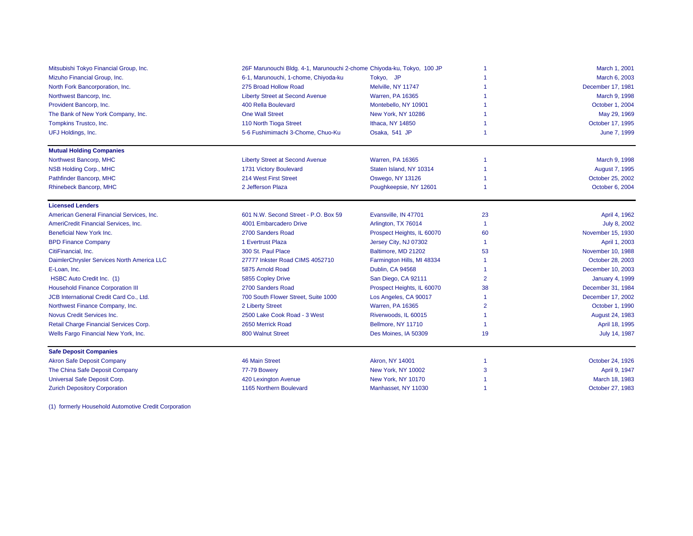| Mitsubishi Tokyo Financial Group, Inc.     | 26F Marunouchi Bldg. 4-1, Marunouchi 2-chome Chiyoda-ku, Tokyo, 100 JP |                            | March 1, 2001  |                        |
|--------------------------------------------|------------------------------------------------------------------------|----------------------------|----------------|------------------------|
| Mizuho Financial Group, Inc.               | 6-1, Marunouchi, 1-chome, Chiyoda-ku                                   | Tokyo, JP                  |                | March 6, 2003          |
| North Fork Bancorporation, Inc.            | 275 Broad Hollow Road                                                  | Melville, NY 11747         |                | December 17, 1981      |
| Northwest Bancorp, Inc.                    | <b>Liberty Street at Second Avenue</b>                                 | <b>Warren, PA 16365</b>    |                | March 9, 1998          |
| Provident Bancorp, Inc.                    | 400 Rella Boulevard                                                    | Montebello, NY 10901       |                | October 1, 2004        |
| The Bank of New York Company, Inc.         | <b>One Wall Street</b>                                                 | New York, NY 10286         |                | May 29, 1969           |
| Tompkins Trustco, Inc.                     | 110 North Tioga Street                                                 | Ithaca, NY 14850           |                | October 17, 1995       |
| UFJ Holdings, Inc.                         | 5-6 Fushimimachi 3-Chome, Chuo-Ku                                      | Osaka, 541 JP              |                | June 7, 1999           |
| <b>Mutual Holding Companies</b>            |                                                                        |                            |                |                        |
| Northwest Bancorp, MHC                     | <b>Liberty Street at Second Avenue</b>                                 | <b>Warren, PA 16365</b>    |                | March 9, 1998          |
| NSB Holding Corp., MHC                     | 1731 Victory Boulevard                                                 | Staten Island, NY 10314    |                | August 7, 1995         |
| Pathfinder Bancorp, MHC                    | 214 West First Street                                                  | Oswego, NY 13126           |                | October 25, 2002       |
| Rhinebeck Bancorp, MHC                     | 2 Jefferson Plaza                                                      | Poughkeepsie, NY 12601     |                | October 6, 2004        |
| <b>Licensed Lenders</b>                    |                                                                        |                            |                |                        |
| American General Financial Services, Inc.  | 601 N.W. Second Street - P.O. Box 59                                   | Evansville, IN 47701       | 23             | April 4, 1962          |
| AmeriCredit Financial Services, Inc.       | 4001 Embarcadero Drive                                                 | Arlington, TX 76014        | -1             | July 8, 2002           |
| <b>Beneficial New York Inc.</b>            | 2700 Sanders Road                                                      | Prospect Heights, IL 60070 | 60             | November 15, 1930      |
| <b>BPD Finance Company</b>                 | 1 Evertrust Plaza                                                      | Jersey City, NJ 07302      | -1             | April 1, 2003          |
| CitiFinancial, Inc.                        | 300 St. Paul Place                                                     | Baltimore, MD 21202        | 53             | November 10, 1988      |
| DaimlerChrysler Services North America LLC | 27777 Inkster Road CIMS 4052710                                        | Farmington Hills, MI 48334 |                | October 28, 2003       |
| E-Loan, Inc.                               | 5875 Arnold Road                                                       | Dublin, CA 94568           |                | December 10, 2003      |
| HSBC Auto Credit Inc. (1)                  | 5855 Copley Drive                                                      | San Diego, CA 92111        | $\overline{2}$ | <b>January 4, 1999</b> |
| <b>Household Finance Corporation III</b>   | 2700 Sanders Road                                                      | Prospect Heights, IL 60070 | 38             | December 31, 1984      |
| JCB International Credit Card Co., Ltd.    | 700 South Flower Street, Suite 1000                                    | Los Angeles, CA 90017      |                | December 17, 2002      |
| Northwest Finance Company, Inc.            | 2 Liberty Street                                                       | <b>Warren, PA 16365</b>    | $\overline{2}$ | October 1, 1990        |
| Novus Credit Services Inc.                 | 2500 Lake Cook Road - 3 West                                           | Riverwoods, IL 60015       |                | August 24, 1983        |
| Retail Charge Financial Services Corp.     | 2650 Merrick Road                                                      | Bellmore, NY 11710         | -1             | April 18, 1995         |
| Wells Fargo Financial New York, Inc.       | 800 Walnut Street                                                      | Des Moines, IA 50309       | 19             | July 14, 1987          |
| <b>Safe Deposit Companies</b>              |                                                                        |                            |                |                        |
| <b>Akron Safe Deposit Company</b>          | <b>46 Main Street</b>                                                  | Akron, NY 14001            |                | October 24, 1926       |
| The China Safe Deposit Company             | 77-79 Bowery                                                           | New York, NY 10002         | 3              | April 9, 1947          |
| Universal Safe Deposit Corp.               | 420 Lexington Avenue                                                   | New York, NY 10170         |                | March 18, 1983         |
| <b>Zurich Depository Corporation</b>       | 1165 Northern Boulevard                                                | Manhasset, NY 11030        | -1             | October 27, 1983       |

(1) formerly Household Automotive Credit Corporation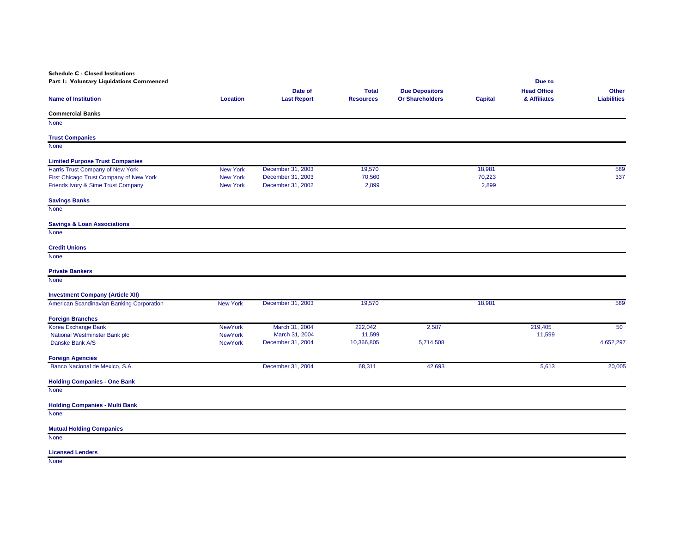**Schedule C - Closed Institutions**

| Part I: Voluntary Liquidations Commenced  |                 |                    |                  |                        |                | Due to             |                    |
|-------------------------------------------|-----------------|--------------------|------------------|------------------------|----------------|--------------------|--------------------|
|                                           |                 | Date of            | <b>Total</b>     | <b>Due Depositors</b>  |                | <b>Head Office</b> | Other              |
| <b>Name of Institution</b>                | <b>Location</b> | <b>Last Report</b> | <b>Resources</b> | <b>Or Shareholders</b> | <b>Capital</b> | & Affiliates       | <b>Liabilities</b> |
| <b>Commercial Banks</b>                   |                 |                    |                  |                        |                |                    |                    |
| None                                      |                 |                    |                  |                        |                |                    |                    |
| <b>Trust Companies</b>                    |                 |                    |                  |                        |                |                    |                    |
| <b>None</b>                               |                 |                    |                  |                        |                |                    |                    |
| <b>Limited Purpose Trust Companies</b>    |                 |                    |                  |                        |                |                    |                    |
| Harris Trust Company of New York          | <b>New York</b> | December 31, 2003  | 19,570           |                        | 18,981         |                    | 589                |
| First Chicago Trust Company of New York   | <b>New York</b> | December 31, 2003  | 70,560           |                        | 70,223         |                    | 337                |
| Friends Ivory & Sime Trust Company        | <b>New York</b> | December 31, 2002  | 2,899            |                        | 2,899          |                    |                    |
| <b>Savings Banks</b>                      |                 |                    |                  |                        |                |                    |                    |
| None                                      |                 |                    |                  |                        |                |                    |                    |
| <b>Savings &amp; Loan Associations</b>    |                 |                    |                  |                        |                |                    |                    |
| <b>None</b>                               |                 |                    |                  |                        |                |                    |                    |
| <b>Credit Unions</b>                      |                 |                    |                  |                        |                |                    |                    |
| <b>None</b>                               |                 |                    |                  |                        |                |                    |                    |
| <b>Private Bankers</b>                    |                 |                    |                  |                        |                |                    |                    |
| <b>None</b>                               |                 |                    |                  |                        |                |                    |                    |
| <b>Investment Company (Article XII)</b>   |                 |                    |                  |                        |                |                    |                    |
| American Scandinavian Banking Corporation | <b>New York</b> | December 31, 2003  | 19,570           |                        | 18,981         |                    | 589                |
| <b>Foreign Branches</b>                   |                 |                    |                  |                        |                |                    |                    |
| Korea Exchange Bank                       | <b>NewYork</b>  | March 31, 2004     | 222,042          | 2,587                  |                | 219,405            | 50                 |
| National Westminster Bank plc             | <b>NewYork</b>  | March 31, 2004     | 11,599           |                        |                | 11,599             |                    |
| Danske Bank A/S                           | <b>NewYork</b>  | December 31, 2004  | 10,366,805       | 5,714,508              |                |                    | 4,652,297          |
| <b>Foreign Agencies</b>                   |                 |                    |                  |                        |                |                    |                    |
| Banco Nacional de Mexico, S.A.            |                 | December 31, 2004  | 68,311           | 42,693                 |                | 5,613              | 20,005             |
| <b>Holding Companies - One Bank</b>       |                 |                    |                  |                        |                |                    |                    |
| None                                      |                 |                    |                  |                        |                |                    |                    |
| <b>Holding Companies - Multi Bank</b>     |                 |                    |                  |                        |                |                    |                    |
| <b>None</b>                               |                 |                    |                  |                        |                |                    |                    |
| <b>Mutual Holding Companies</b>           |                 |                    |                  |                        |                |                    |                    |
| <b>None</b>                               |                 |                    |                  |                        |                |                    |                    |
|                                           |                 |                    |                  |                        |                |                    |                    |

**Licensed Lenders**

None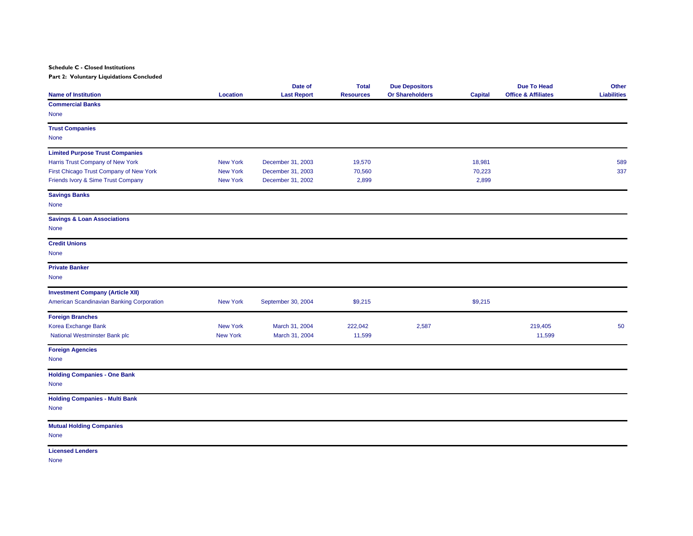**Schedule C - Closed Institutions**

**Part 2: Voluntary Liquidations Concluded**

| <b>Name of Institution</b>                | <b>Location</b> | Date of<br><b>Last Report</b> | <b>Total</b><br><b>Resources</b> | <b>Due Depositors</b><br><b>Or Shareholders</b> | Capital | <b>Due To Head</b><br><b>Office &amp; Affiliates</b> | Other<br><b>Liabilities</b> |
|-------------------------------------------|-----------------|-------------------------------|----------------------------------|-------------------------------------------------|---------|------------------------------------------------------|-----------------------------|
| <b>Commercial Banks</b>                   |                 |                               |                                  |                                                 |         |                                                      |                             |
| None                                      |                 |                               |                                  |                                                 |         |                                                      |                             |
| <b>Trust Companies</b>                    |                 |                               |                                  |                                                 |         |                                                      |                             |
| <b>None</b>                               |                 |                               |                                  |                                                 |         |                                                      |                             |
| <b>Limited Purpose Trust Companies</b>    |                 |                               |                                  |                                                 |         |                                                      |                             |
| Harris Trust Company of New York          | <b>New York</b> | December 31, 2003             | 19,570                           |                                                 | 18,981  |                                                      | 589                         |
| First Chicago Trust Company of New York   | <b>New York</b> | December 31, 2003             | 70,560                           |                                                 | 70,223  |                                                      | 337                         |
| Friends Ivory & Sime Trust Company        | <b>New York</b> | December 31, 2002             | 2,899                            |                                                 | 2,899   |                                                      |                             |
| <b>Savings Banks</b>                      |                 |                               |                                  |                                                 |         |                                                      |                             |
| <b>None</b>                               |                 |                               |                                  |                                                 |         |                                                      |                             |
| <b>Savings &amp; Loan Associations</b>    |                 |                               |                                  |                                                 |         |                                                      |                             |
| <b>None</b>                               |                 |                               |                                  |                                                 |         |                                                      |                             |
| <b>Credit Unions</b>                      |                 |                               |                                  |                                                 |         |                                                      |                             |
| None                                      |                 |                               |                                  |                                                 |         |                                                      |                             |
| <b>Private Banker</b>                     |                 |                               |                                  |                                                 |         |                                                      |                             |
| <b>None</b>                               |                 |                               |                                  |                                                 |         |                                                      |                             |
| <b>Investment Company (Article XII)</b>   |                 |                               |                                  |                                                 |         |                                                      |                             |
| American Scandinavian Banking Corporation | <b>New York</b> | September 30, 2004            | \$9,215                          |                                                 | \$9,215 |                                                      |                             |
| <b>Foreign Branches</b>                   |                 |                               |                                  |                                                 |         |                                                      |                             |
| Korea Exchange Bank                       | <b>New York</b> | March 31, 2004                | 222,042                          | 2,587                                           |         | 219,405                                              | 50                          |
| National Westminster Bank plc             | <b>New York</b> | March 31, 2004                | 11,599                           |                                                 |         | 11,599                                               |                             |
| <b>Foreign Agencies</b>                   |                 |                               |                                  |                                                 |         |                                                      |                             |
| None                                      |                 |                               |                                  |                                                 |         |                                                      |                             |
| <b>Holding Companies - One Bank</b>       |                 |                               |                                  |                                                 |         |                                                      |                             |
| None                                      |                 |                               |                                  |                                                 |         |                                                      |                             |
| <b>Holding Companies - Multi Bank</b>     |                 |                               |                                  |                                                 |         |                                                      |                             |
| <b>None</b>                               |                 |                               |                                  |                                                 |         |                                                      |                             |
| <b>Mutual Holding Companies</b>           |                 |                               |                                  |                                                 |         |                                                      |                             |
| <b>None</b>                               |                 |                               |                                  |                                                 |         |                                                      |                             |
| <b>Licensed Lenders</b>                   |                 |                               |                                  |                                                 |         |                                                      |                             |

None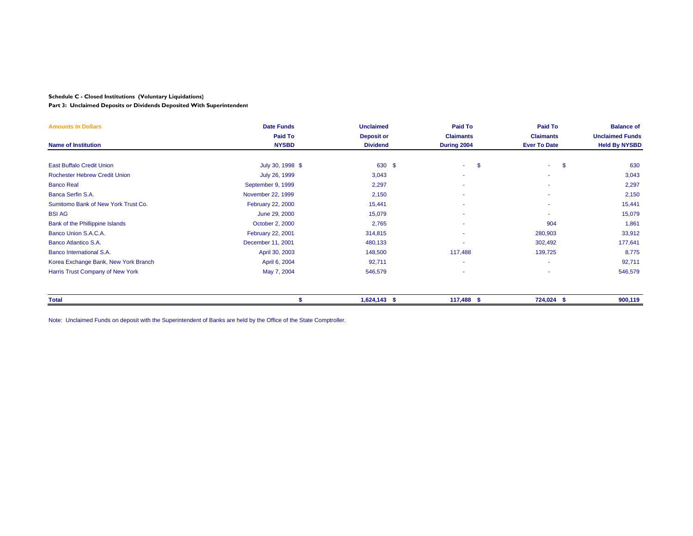#### **Schedule C - Closed Institutions (Voluntary Liquidations)**

**Part 3: Unclaimed Deposits or Dividends Deposited With Superintendent**

| <b>Amounts In Dollars</b>            | <b>Date Funds</b> | <b>Unclaimed</b>  | Paid To          | <b>Paid To</b>      | <b>Balance of</b>      |
|--------------------------------------|-------------------|-------------------|------------------|---------------------|------------------------|
|                                      | Paid To           | <b>Deposit or</b> | <b>Claimants</b> | <b>Claimants</b>    | <b>Unclaimed Funds</b> |
| <b>Name of Institution</b>           | <b>NYSBD</b>      | <b>Dividend</b>   | During 2004      | <b>Ever To Date</b> | <b>Held By NYSBD</b>   |
|                                      |                   |                   |                  |                     |                        |
| <b>East Buffalo Credit Union</b>     | July 30, 1998 \$  | 630 \$            | -\$<br>a.        | -\$<br>$\sim 100$   | 630                    |
| <b>Rochester Hebrew Credit Union</b> | July 26, 1999     | 3,043             | ٠                |                     | 3,043                  |
| <b>Banco Real</b>                    | September 9, 1999 | 2,297             | ٠                |                     | 2,297                  |
| Banca Serfin S.A.                    | November 22, 1999 | 2,150             | ٠                |                     | 2,150                  |
| Sumitomo Bank of New York Trust Co.  | February 22, 2000 | 15,441            | ٠                |                     | 15,441                 |
| <b>BSI AG</b>                        | June 29, 2000     | 15,079            | ٠                |                     | 15,079                 |
| Bank of the Phillippine Islands      | October 2, 2000   | 2,765             | ٠                | 904                 | 1,861                  |
| Banco Union S.A.C.A.                 | February 22, 2001 | 314,815           | ٠                | 280,903             | 33,912                 |
| Banco Atlantico S.A.                 | December 11, 2001 | 480,133           | ٠                | 302,492             | 177,641                |
| Banco International S.A.             | April 30, 2003    | 148,500           | 117,488          | 139,725             | 8,775                  |
| Korea Exchange Bank, New York Branch | April 6, 2004     | 92,711            | ٠                |                     | 92,711                 |
| Harris Trust Company of New York     | May 7, 2004       | 546,579           | ٠                |                     | 546,579                |
|                                      |                   |                   |                  |                     |                        |
| <b>Total</b>                         |                   | $1,624,143$ \$    | 117,488 \$       | 724,024 \$          | 900,119                |

Note: Unclaimed Funds on deposit with the Superintendent of Banks are held by the Office of the State Comptroller.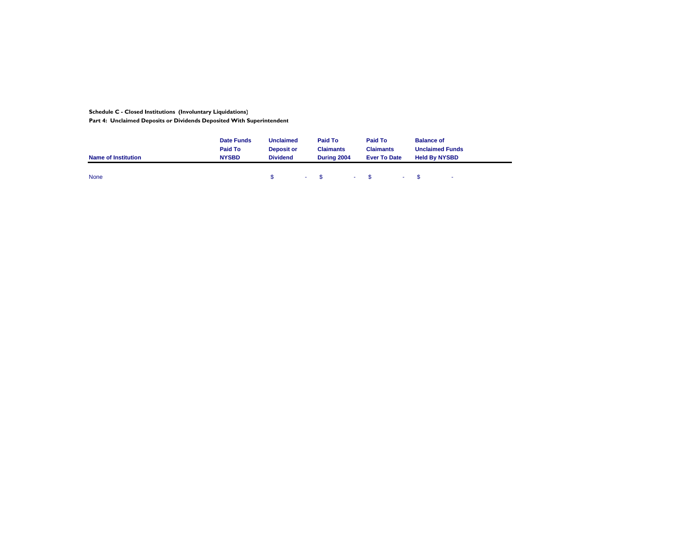**Schedule C - Closed Institutions (Involuntary Liquidations)**

**Part 4: Unclaimed Deposits or Dividends Deposited With Superintendent**

| <b>Name of Institution</b> | <b>Date Funds</b><br>Paid To<br><b>NYSBD</b> | <b>Unclaimed</b><br><b>Deposit or</b><br><b>Dividend</b> | Paid To<br><b>Claimants</b><br>During 2004 | Paid To<br><b>Claimants</b><br><b>Ever To Date</b> |                | <b>Balance of</b><br><b>Unclaimed Funds</b><br><b>Held By NYSBD</b> |        |
|----------------------------|----------------------------------------------|----------------------------------------------------------|--------------------------------------------|----------------------------------------------------|----------------|---------------------------------------------------------------------|--------|
| <b>None</b>                |                                              |                                                          | $-$ \$ $-$ \$                              |                                                    | $ \sim$ $\sim$ |                                                                     | $\sim$ |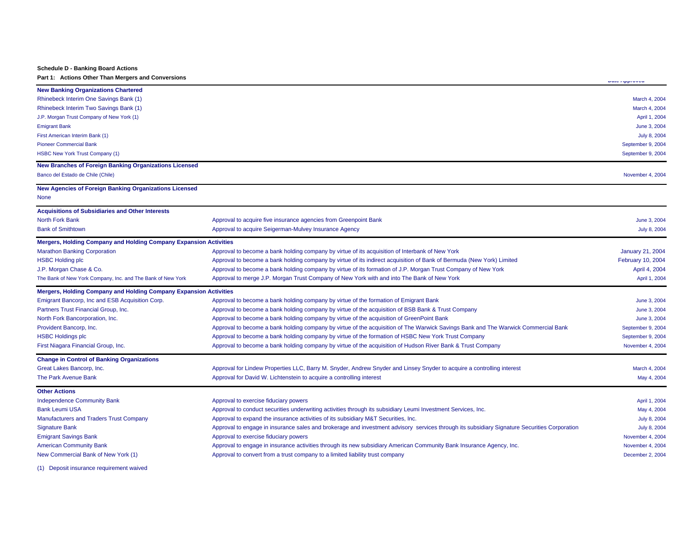#### **Schedule D - Banking Board Actions**

**Part 1: Actions Other Than Mergers and Conversions** 

|                                                                          |                                                                                                                                              | <b>MAN HIPPI VYUN</b>   |
|--------------------------------------------------------------------------|----------------------------------------------------------------------------------------------------------------------------------------------|-------------------------|
| <b>New Banking Organizations Chartered</b>                               |                                                                                                                                              |                         |
| Rhinebeck Interim One Savings Bank (1)                                   |                                                                                                                                              | March 4, 2004           |
| Rhinebeck Interim Two Savings Bank (1)                                   |                                                                                                                                              | March 4, 2004           |
| J.P. Morgan Trust Company of New York (1)                                |                                                                                                                                              | April 1, 2004           |
| <b>Emigrant Bank</b>                                                     |                                                                                                                                              | June 3, 2004            |
| First American Interim Bank (1)                                          |                                                                                                                                              | July 8, 2004            |
| <b>Pioneer Commercial Bank</b>                                           |                                                                                                                                              | September 9, 2004       |
| <b>HSBC New York Trust Company (1)</b>                                   |                                                                                                                                              | September 9, 2004       |
| <b>New Branches of Foreign Banking Organizations Licensed</b>            |                                                                                                                                              |                         |
| Banco del Estado de Chile (Chile)                                        |                                                                                                                                              | November 4, 2004        |
| New Agencies of Foreign Banking Organizations Licensed                   |                                                                                                                                              |                         |
| None                                                                     |                                                                                                                                              |                         |
| <b>Acquisitions of Subsidiaries and Other Interests</b>                  |                                                                                                                                              |                         |
| <b>North Fork Bank</b>                                                   | Approval to acquire five insurance agencies from Greenpoint Bank                                                                             | June 3, 2004            |
| <b>Bank of Smithtown</b>                                                 | Approval to acquire Seigerman-Mulvey Insurance Agency                                                                                        | July 8, 2004            |
| <b>Mergers, Holding Company and Holding Company Expansion Activities</b> |                                                                                                                                              |                         |
| <b>Marathon Banking Corporation</b>                                      | Approval to become a bank holding company by virtue of its acquisition of Interbank of New York                                              | <b>January 21, 2004</b> |
| <b>HSBC Holding plc</b>                                                  | Approval to become a bank holding company by virtue of its indirect acquisition of Bank of Bermuda (New York) Limited                        | February 10, 2004       |
| J.P. Morgan Chase & Co.                                                  | Approval to become a bank holding company by virtue of its formation of J.P. Morgan Trust Company of New York                                | April 4, 2004           |
| The Bank of New York Company, Inc. and The Bank of New York              | Approval to merge J.P. Morgan Trust Company of New York with and into The Bank of New York                                                   | April 1, 2004           |
| <b>Mergers, Holding Company and Holding Company Expansion Activities</b> |                                                                                                                                              |                         |
| Emigrant Bancorp, Inc and ESB Acquisition Corp.                          | Approval to become a bank holding company by virtue of the formation of Emigrant Bank                                                        | June 3, 2004            |
| Partners Trust Financial Group, Inc.                                     | Approval to become a bank holding company by virtue of the acquisition of BSB Bank & Trust Company                                           | June 3, 2004            |
| North Fork Bancorporation, Inc.                                          | Approval to become a bank holding company by virtue of the acquisition of GreenPoint Bank                                                    | June 3, 2004            |
| Provident Bancorp, Inc.                                                  | Approval to become a bank holding company by virtue of the acquisition of The Warwick Savings Bank and The Warwick Commercial Bank           | September 9, 2004       |
| <b>HSBC Holdings plc</b>                                                 | Approval to become a bank holding company by virtue of the formation of HSBC New York Trust Company                                          | September 9, 2004       |
| First Niagara Financial Group, Inc.                                      | Approval to become a bank holding company by virtue of the acquisition of Hudson River Bank & Trust Company                                  | November 4, 2004        |
| <b>Change in Control of Banking Organizations</b>                        |                                                                                                                                              |                         |
| Great Lakes Bancorp, Inc.                                                | Approval for Lindew Properties LLC, Barry M. Snyder, Andrew Snyder and Linsey Snyder to acquire a controlling interest                       | March 4, 2004           |
| <b>The Park Avenue Bank</b>                                              | Approval for David W. Lichtenstein to acquire a controlling interest                                                                         | May 4, 2004             |
| <b>Other Actions</b>                                                     |                                                                                                                                              |                         |
| <b>Independence Community Bank</b>                                       | Approval to exercise fiduciary powers                                                                                                        | April 1, 2004           |
| <b>Bank Leumi USA</b>                                                    | Approval to conduct securities underwriting activities through its subsidiary Leumi Investment Services, Inc.                                | May 4, 2004             |
| Manufacturers and Traders Trust Company                                  | Approval to expand the insurance activities of its subsidiary M&T Securities, Inc.                                                           | July 8, 2004            |
| <b>Signature Bank</b>                                                    | Approval to engage in insurance sales and brokerage and investment advisory services through its subsidiary Signature Securities Corporation | July 8, 2004            |
| <b>Emigrant Savings Bank</b>                                             | Approval to exercise fiduciary powers                                                                                                        | November 4, 2004        |
| <b>American Community Bank</b>                                           | Approval to engage in insurance activities through its new subsidiary American Community Bank Insurance Agency, Inc.                         | November 4, 2004        |
| New Commercial Bank of New York (1)                                      | Approval to convert from a trust company to a limited liability trust company                                                                | December 2, 2004        |
|                                                                          |                                                                                                                                              |                         |

(1) Deposit insurance requirement waived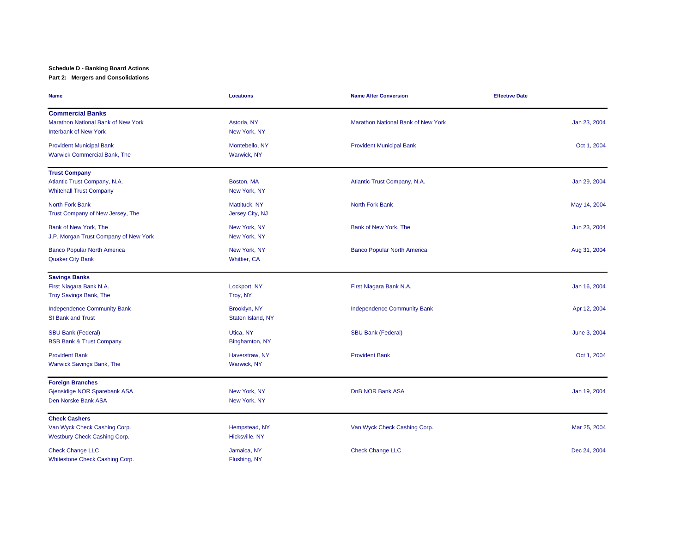## **Schedule D - Banking Board Actions**

#### **Part 2: Mergers and Consolidations**

| <b>Name</b>                                                                                   | <b>Locations</b>                    | <b>Name After Conversion</b>       | <b>Effective Date</b> |
|-----------------------------------------------------------------------------------------------|-------------------------------------|------------------------------------|-----------------------|
| <b>Commercial Banks</b><br>Marathon National Bank of New York<br><b>Interbank of New York</b> | Astoria, NY<br>New York, NY         | Marathon National Bank of New York | Jan 23, 2004          |
| <b>Provident Municipal Bank</b><br><b>Warwick Commercial Bank, The</b>                        | Montebello, NY<br>Warwick, NY       | <b>Provident Municipal Bank</b>    | Oct 1, 2004           |
| <b>Trust Company</b><br>Atlantic Trust Company, N.A.<br><b>Whitehall Trust Company</b>        | Boston, MA<br>New York, NY          | Atlantic Trust Company, N.A.       | Jan 29, 2004          |
| <b>North Fork Bank</b><br>Trust Company of New Jersey, The                                    | Mattituck, NY<br>Jersey City, NJ    | <b>North Fork Bank</b>             | May 14, 2004          |
| Bank of New York, The<br>J.P. Morgan Trust Company of New York                                | New York, NY<br>New York, NY        | Bank of New York, The              | Jun 23, 2004          |
| <b>Banco Popular North America</b><br><b>Quaker City Bank</b>                                 | New York, NY<br><b>Whittier, CA</b> | <b>Banco Popular North America</b> | Aug 31, 2004          |
| <b>Savings Banks</b><br>First Niagara Bank N.A.<br><b>Troy Savings Bank, The</b>              | Lockport, NY<br>Troy, NY            | First Niagara Bank N.A.            | Jan 16, 2004          |
| <b>Independence Community Bank</b><br><b>SI Bank and Trust</b>                                | Brooklyn, NY<br>Staten Island, NY   | <b>Independence Community Bank</b> | Apr 12, 2004          |
| <b>SBU Bank (Federal)</b><br><b>BSB Bank &amp; Trust Company</b>                              | Utica, NY<br>Binghamton, NY         | <b>SBU Bank (Federal)</b>          | June 3, 2004          |
| <b>Provident Bank</b><br><b>Warwick Savings Bank, The</b>                                     | Haverstraw, NY<br>Warwick, NY       | <b>Provident Bank</b>              | Oct 1, 2004           |
| <b>Foreign Branches</b><br>Gjensidige NOR Sparebank ASA<br>Den Norske Bank ASA                | New York, NY<br>New York, NY        | <b>DnB NOR Bank ASA</b>            | Jan 19, 2004          |
| <b>Check Cashers</b><br>Van Wyck Check Cashing Corp.<br>Westbury Check Cashing Corp.          | Hempstead, NY<br>Hicksville, NY     | Van Wyck Check Cashing Corp.       | Mar 25, 2004          |
| <b>Check Change LLC</b><br>Whitestone Check Cashing Corp.                                     | Jamaica, NY<br>Flushing, NY         | <b>Check Change LLC</b>            | Dec 24, 2004          |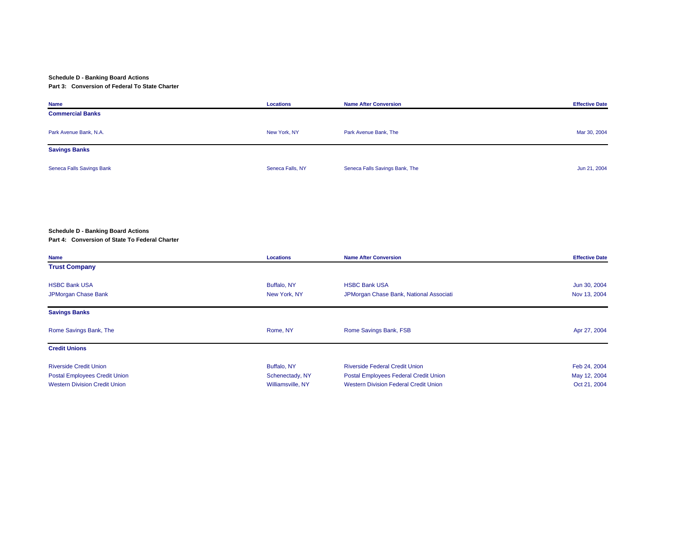#### **Schedule D - Banking Board Actions**

#### **Part 3: Conversion of Federal To State Charter**

| <b>Name</b>               | Locations        | <b>Name After Conversion</b>   | <b>Effective Date</b> |
|---------------------------|------------------|--------------------------------|-----------------------|
| <b>Commercial Banks</b>   |                  |                                |                       |
| Park Avenue Bank, N.A.    | New York, NY     | Park Avenue Bank, The          | Mar 30, 2004          |
| <b>Savings Banks</b>      |                  |                                |                       |
| Seneca Falls Savings Bank | Seneca Falls, NY | Seneca Falls Savings Bank, The | Jun 21, 2004          |

#### **Schedule D - Banking Board Actions**

#### **Part 4: Conversion of State To Federal Charter**

| Name                                 | Locations         | <b>Name After Conversion</b>                 | <b>Effective Date</b> |
|--------------------------------------|-------------------|----------------------------------------------|-----------------------|
| <b>Trust Company</b>                 |                   |                                              |                       |
| <b>HSBC Bank USA</b>                 | Buffalo, NY       | <b>HSBC Bank USA</b>                         | Jun 30, 2004          |
|                                      |                   |                                              |                       |
| JPMorgan Chase Bank                  | New York, NY      | JPMorgan Chase Bank, National Associati      | Nov 13, 2004          |
| <b>Savings Banks</b>                 |                   |                                              |                       |
| Rome Savings Bank, The               | Rome, NY          | Rome Savings Bank, FSB                       | Apr 27, 2004          |
| <b>Credit Unions</b>                 |                   |                                              |                       |
| <b>Riverside Credit Union</b>        | Buffalo, NY       | <b>Riverside Federal Credit Union</b>        | Feb 24, 2004          |
| <b>Postal Employees Credit Union</b> | Schenectady, NY   | Postal Employees Federal Credit Union        | May 12, 2004          |
|                                      |                   |                                              |                       |
| <b>Western Division Credit Union</b> | Williamsville, NY | <b>Western Division Federal Credit Union</b> | Oct 21, 2004          |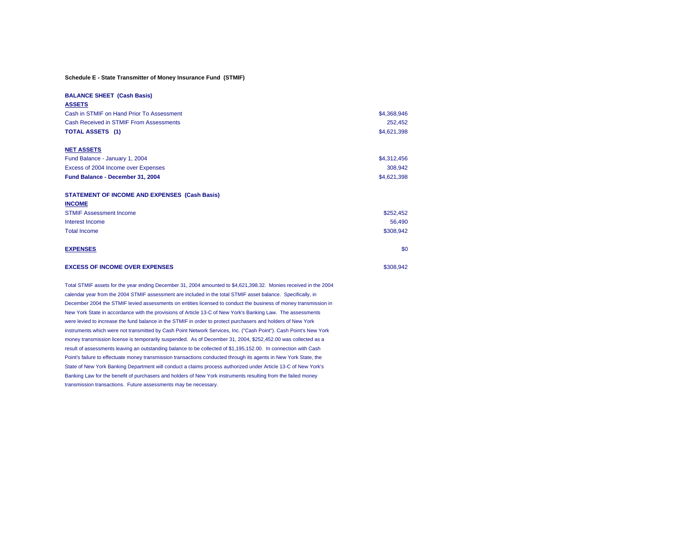#### **Schedule E - State Transmitter of Money Insurance Fund (STMIF)**

| <b>BALANCE SHEET (Cash Basis)</b>                    |             |
|------------------------------------------------------|-------------|
| <b>ASSETS</b>                                        |             |
| Cash in STMIF on Hand Prior To Assessment            | \$4,368,946 |
| <b>Cash Received in STMIF From Assessments</b>       | 252,452     |
| <b>TOTAL ASSETS</b> (1)                              | \$4,621,398 |
| <b>NET ASSETS</b>                                    |             |
| Fund Balance - January 1, 2004                       | \$4,312,456 |
| Excess of 2004 Income over Expenses                  | 308,942     |
| Fund Balance - December 31, 2004                     | \$4,621,398 |
| <b>STATEMENT OF INCOME AND EXPENSES (Cash Basis)</b> |             |
| <b>INCOME</b>                                        |             |
| <b>STMIF Assessment Income</b>                       | \$252,452   |
| Interest Income                                      | 56,490      |
| <b>Total Income</b>                                  | \$308,942   |
| <b>EXPENSES</b>                                      | \$0         |
| <b>EXCESS OF INCOME OVER EXPENSES</b>                | \$308,942   |

Total STMIF assets for the year ending December 31, 2004 amounted to \$4,621,398.32. Monies received in the 2004 calendar year from the 2004 STMIF assessment are included in the total STMIF asset balance. Specifically, in December 2004 the STMIF levied assessments on entities licensed to conduct the business of money transmission in New York State in accordance with the provisions of Article 13-C of New York's Banking Law. The assessments were levied to increase the fund balance in the STMIF in order to protect purchasers and holders of New York instruments which were not transmitted by Cash Point Network Services, Inc. ("Cash Point"). Cash Point's New York money transmission license is temporarily suspended. As of December 31, 2004, \$252,452.00 was collected as a result of assessments leaving an outstanding balance to be collected of \$1,195,152.00. In connection with Cash Point's failure to effectuate money transmission transactions conducted through its agents in New York State, the State of New York Banking Department will conduct a claims process authorized under Article 13-C of New York's Banking Law for the benefit of purchasers and holders of New York instruments resulting from the failed money transmission transactions. Future assessments may be necessary.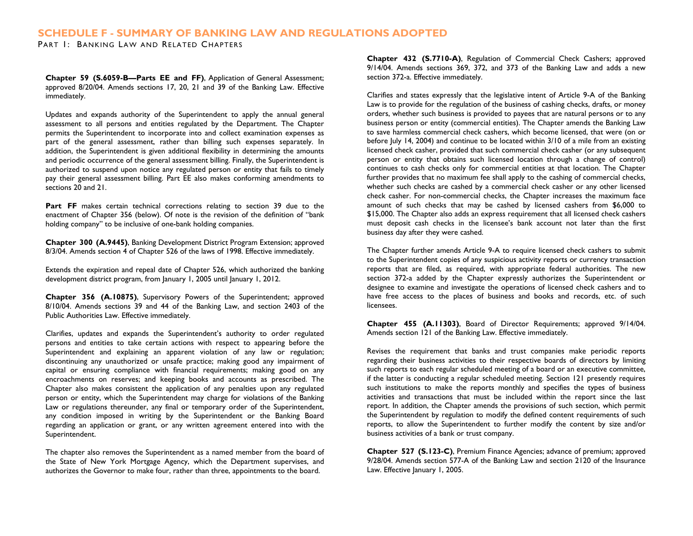## **SCHEDULE F - SUMMARY OF BANKING LAW AND REGULATIONS ADOPTED**

PART 1: BANKING LAW AND RELATED CHAPTERS

**Chapter 59 (S.6059-B—Parts EE and FF)**, Application of General Assessment; approved 8/20/04. Amends sections 17, 20, 21 and 39 of the Banking Law. Effective immediately.

Updates and expands authority of the Superintendent to apply the annual general assessment to all persons and entities regulated by the Department. The Chapter permits the Superintendent to incorporate into and collect examination expenses as part of the general assessment, rather than billing such expenses separately. In addition, the Superintendent is given additional flexibility in determining the amounts and periodic occurrence of the general assessment billing. Finally, the Superintendent is authorized to suspend upon notice any regulated person or entity that fails to timely pay their general assessment billing. Part EE also makes conforming amendments to sections 20 and 21.

Part FF makes certain technical corrections relating to section 39 due to the enactment of Chapter 356 (below). Of note is the revision of the definition of "bank holding company" to be inclusive of one-bank holding companies.

**Chapter 300 (A.9445)**, Banking Development District Program Extension; approved 8/3/04. Amends section 4 of Chapter 526 of the laws of 1998. Effective immediately.

Extends the expiration and repeal date of Chapter 526, which authorized the banking development district program, from January 1, 2005 until January 1, 2012.

**Chapter 356 (A.10875)**, Supervisory Powers of the Superintendent; approved 8/10/04. Amends sections 39 and 44 of the Banking Law, and section 2403 of the Public Authorities Law. Effective immediately.

Clarifies, updates and expands the Superintendent's authority to order regulated persons and entities to take certain actions with respect to appearing before the Superintendent and explaining an apparent violation of any law or regulation; discontinuing any unauthorized or unsafe practice; making good any impairment of capital or ensuring compliance with financial requirements; making good on any encroachments on reserves; and keeping books and accounts as prescribed. The Chapter also makes consistent the application of any penalties upon any regulated person or entity, which the Superintendent may charge for violations of the Banking Law or regulations thereunder, any final or temporary order of the Superintendent, any condition imposed in writing by the Superintendent or the Banking Board regarding an application or grant, or any written agreement entered into with the Superintendent.

The chapter also removes the Superintendent as a named member from the board of the State of New York Mortgage Agency, which the Department supervises, and authorizes the Governor to make four, rather than three, appointments to the board.

**Chapter 432 (S.7710-A)**, Regulation of Commercial Check Cashers; approved 9/14/04. Amends sections 369, 372, and 373 of the Banking Law and adds a new section 372-a. Effective immediately.

Clarifies and states expressly that the legislative intent of Article 9-A of the Banking Law is to provide for the regulation of the business of cashing checks, drafts, or money orders, whether such business is provided to payees that are natural persons or to any business person or entity (commercial entities). The Chapter amends the Banking Law to save harmless commercial check cashers, which become licensed, that were (on or before July 14, 2004) and continue to be located within 3/10 of a mile from an existing licensed check casher, provided that such commercial check casher (or any subsequent person or entity that obtains such licensed location through a change of control) continues to cash checks only for commercial entities at that location. The Chapter further provides that no maximum fee shall apply to the cashing of commercial checks, whether such checks are cashed by a commercial check casher or any other licensed check casher. For non-commercial checks, the Chapter increases the maximum face amount of such checks that may be cashed by licensed cashers from \$6,000 to \$15,000. The Chapter also adds an express requirement that all licensed check cashers must deposit cash checks in the licensee's bank account not later than the first business day after they were cashed.

The Chapter further amends Article 9-A to require licensed check cashers to submit to the Superintendent copies of any suspicious activity reports or currency transaction reports that are filed, as required, with appropriate federal authorities. The new section 372-a added by the Chapter expressly authorizes the Superintendent or designee to examine and investigate the operations of licensed check cashers and to have free access to the places of business and books and records, etc. of such licensees.

**Chapter 455 (A.11303)**, Board of Director Requirements; approved 9/14/04. Amends section 121 of the Banking Law. Effective immediately.

Revises the requirement that banks and trust companies make periodic reports regarding their business activities to their respective boards of directors by limiting such reports to each regular scheduled meeting of a board or an executive committee, if the latter is conducting a regular scheduled meeting. Section 121 presently requires such institutions to make the reports monthly and specifies the types of business activities and transactions that must be included within the report since the last report. In addition, the Chapter amends the provisions of such section, which permit the Superintendent by regulation to modify the defined content requirements of such reports, to allow the Superintendent to further modify the content by size and/or business activities of a bank or trust company.

**Chapter 527 (S.123-C)**, Premium Finance Agencies; advance of premium; approved 9/28/04. Amends section 577-A of the Banking Law and section 2120 of the Insurance Law. Effective January 1, 2005.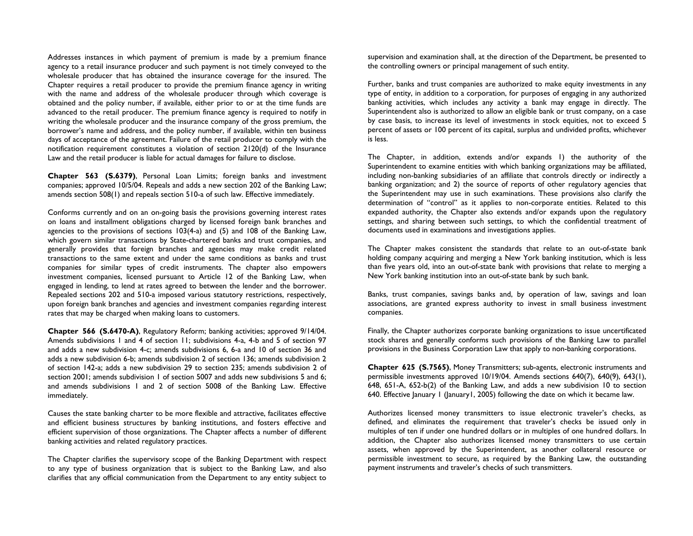Addresses instances in which payment of premium is made by a premium finance agency to a retail insurance producer and such payment is not timely conveyed to the wholesale producer that has obtained the insurance coverage for the insured. The Chapter requires a retail producer to provide the premium finance agency in writing with the name and address of the wholesale producer through which coverage is obtained and the policy number, if available, either prior to or at the time funds are advanced to the retail producer. The premium finance agency is required to notify in writing the wholesale producer and the insurance company of the gross premium, the borrower's name and address, and the policy number, if available, within ten business days of acceptance of the agreement. Failure of the retail producer to comply with the notification requirement constitutes a violation of section 2120(d) of the Insurance Law and the retail producer is liable for actual damages for failure to disclose.

**Chapter 563 (S.6379)**, Personal Loan Limits; foreign banks and investment companies; approved 10/5/04. Repeals and adds a new section 202 of the Banking Law; amends section 508(1) and repeals section 510-a of such law. Effective immediately.

Conforms currently and on an on-going basis the provisions governing interest rates on loans and installment obligations charged by licensed foreign bank branches and agencies to the provisions of sections 103(4-a) and (5) and 108 of the Banking Law, which govern similar transactions by State-chartered banks and trust companies, and generally provides that foreign branches and agencies may make credit related transactions to the same extent and under the same conditions as banks and trust companies for similar types of credit instruments. The chapter also empowers investment companies, licensed pursuant to Article 12 of the Banking Law, when engaged in lending, to lend at rates agreed to between the lender and the borrower. Repealed sections 202 and 510-a imposed various statutory restrictions, respectively, upon foreign bank branches and agencies and investment companies regarding interest rates that may be charged when making loans to customers.

**Chapter 566 (S.6470-A)**, Regulatory Reform; banking activities; approved 9/14/04. Amends subdivisions 1 and 4 of section 11; subdivisions 4-a, 4-b and 5 of section 97 and adds a new subdivision 4-c; amends subdivisions 6, 6-a and 10 of section 36 and adds a new subdivision 6-b; amends subdivision 2 of section 136; amends subdivision 2 of section 142-a; adds a new subdivision 29 to section 235; amends subdivision 2 of section 2001; amends subdivision 1 of section 5007 and adds new subdivisions 5 and 6; and amends subdivisions 1 and 2 of section 5008 of the Banking Law. Effective immediately.

Causes the state banking charter to be more flexible and attractive, facilitates effective and efficient business structures by banking institutions, and fosters effective and efficient supervision of those organizations. The Chapter affects a number of different banking activities and related regulatory practices.

The Chapter clarifies the supervisory scope of the Banking Department with respect to any type of business organization that is subject to the Banking Law, and also clarifies that any official communication from the Department to any entity subject to supervision and examination shall, at the direction of the Department, be presented to the controlling owners or principal management of such entity.

Further, banks and trust companies are authorized to make equity investments in any type of entity, in addition to a corporation, for purposes of engaging in any authorized banking activities, which includes any activity a bank may engage in directly. The Superintendent also is authorized to allow an eligible bank or trust company, on a case by case basis, to increase its level of investments in stock equities, not to exceed 5 percent of assets or 100 percent of its capital, surplus and undivided profits, whichever is less.

The Chapter, in addition, extends and/or expands 1) the authority of the Superintendent to examine entities with which banking organizations may be affiliated, including non-banking subsidiaries of an affiliate that controls directly or indirectly a banking organization; and 2) the source of reports of other regulatory agencies that the Superintendent may use in such examinations. These provisions also clarify the determination of "control" as it applies to non-corporate entities. Related to this expanded authority, the Chapter also extends and/or expands upon the regulatory settings, and sharing between such settings, to which the confidential treatment of documents used in examinations and investigations applies.

The Chapter makes consistent the standards that relate to an out-of-state bank holding company acquiring and merging a New York banking institution, which is less than five years old, into an out-of-state bank with provisions that relate to merging a New York banking institution into an out-of-state bank by such bank.

Banks, trust companies, savings banks and, by operation of law, savings and loan associations, are granted express authority to invest in small business investment companies.

Finally, the Chapter authorizes corporate banking organizations to issue uncertificated stock shares and generally conforms such provisions of the Banking Law to parallel provisions in the Business Corporation Law that apply to non-banking corporations.

**Chapter 625 (S.7565)**, Money Transmitters; sub-agents, electronic instruments and permissible investments approved 10/19/04. Amends sections 640(7), 640(9), 643(1), 648, 651-A, 652-b(2) of the Banking Law, and adds a new subdivision 10 to section 640. Effective January 1 (January1, 2005) following the date on which it became law.

Authorizes licensed money transmitters to issue electronic traveler's checks, as defined, and eliminates the requirement that traveler's checks be issued only in multiples of ten if under one hundred dollars or in multiples of one hundred dollars. In addition, the Chapter also authorizes licensed money transmitters to use certain assets, when approved by the Superintendent, as another collateral resource or permissible investment to secure, as required by the Banking Law, the outstanding payment instruments and traveler's checks of such transmitters.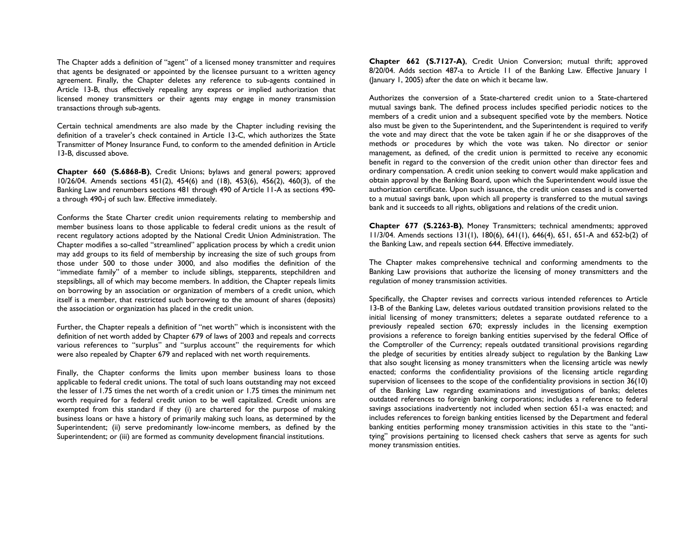The Chapter adds a definition of "agent" of a licensed money transmitter and requires that agents be designated or appointed by the licensee pursuant to a written agency agreement. Finally, the Chapter deletes any reference to sub-agents contained in Article 13-B, thus effectively repealing any express or implied authorization that licensed money transmitters or their agents may engage in money transmission transactions through sub-agents.

Certain technical amendments are also made by the Chapter including revising the definition of a traveler's check contained in Article 13-C, which authorizes the State Transmitter of Money Insurance Fund, to conform to the amended definition in Article 13-B, discussed above.

**Chapter 660 (S.6868-B)**, Credit Unions; bylaws and general powers; approved 10/26/04. Amends sections 451(2), 454(6) and (18), 453(6), 456(2), 460(3), of the Banking Law and renumbers sections 481 through 490 of Article 11-A as sections 490 a through 490-j of such law. Effective immediately.

Conforms the State Charter credit union requirements relating to membership and member business loans to those applicable to federal credit unions as the result of recent regulatory actions adopted by the National Credit Union Administration. The Chapter modifies a so-called "streamlined" application process by which a credit union may add groups to its field of membership by increasing the size of such groups from those under 500 to those under 3000, and also modifies the definition of the "immediate family" of a member to include siblings, stepparents, stepchildren and stepsiblings, all of which may become members. In addition, the Chapter repeals limits on borrowing by an association or organization of members of a credit union, which itself is a member, that restricted such borrowing to the amount of shares (deposits) the association or organization has placed in the credit union.

Further, the Chapter repeals a definition of "net worth" which is inconsistent with the definition of net worth added by Chapter 679 of laws of 2003 and repeals and corrects various references to "surplus" and "surplus account" the requirements for which were also repealed by Chapter 679 and replaced with net worth requirements.

Finally, the Chapter conforms the limits upon member business loans to those applicable to federal credit unions. The total of such loans outstanding may not exceed the lesser of 1.75 times the net worth of a credit union or 1.75 times the minimum net worth required for a federal credit union to be well capitalized. Credit unions are exempted from this standard if they (i) are chartered for the purpose of making business loans or have a history of primarily making such loans, as determined by the Superintendent; (ii) serve predominantly low-income members, as defined by the Superintendent; or (iii) are formed as community development financial institutions.

**Chapter 662 (S.7127-A)**, Credit Union Conversion; mutual thrift; approved 8/20/04. Adds section 487-a to Article 11 of the Banking Law. Effective January 1 (January 1, 2005) after the date on which it became law.

Authorizes the conversion of a State-chartered credit union to a State-chartered mutual savings bank. The defined process includes specified periodic notices to the members of a credit union and a subsequent specified vote by the members. Notice also must be given to the Superintendent, and the Superintendent is required to verify the vote and may direct that the vote be taken again if he or she disapproves of the methods or procedures by which the vote was taken. No director or senior management, as defined, of the credit union is permitted to receive any economic benefit in regard to the conversion of the credit union other than director fees and ordinary compensation. A credit union seeking to convert would make application and obtain approval by the Banking Board, upon which the Superintendent would issue the authorization certificate. Upon such issuance, the credit union ceases and is converted to a mutual savings bank, upon which all property is transferred to the mutual savings bank and it succeeds to all rights, obligations and relations of the credit union.

**Chapter 677 (S.2263-B)**, Money Transmitters; technical amendments; approved 11/3/04. Amends sections 131(1), 180(6), 641(1), 646(4), 651, 651-A and 652-b(2) of the Banking Law, and repeals section 644. Effective immediately.

The Chapter makes comprehensive technical and conforming amendments to the Banking Law provisions that authorize the licensing of money transmitters and the regulation of money transmission activities.

Specifically, the Chapter revises and corrects various intended references to Article 13-B of the Banking Law, deletes various outdated transition provisions related to the initial licensing of money transmitters; deletes a separate outdated reference to a previously repealed section 670; expressly includes in the licensing exemption provisions a reference to foreign banking entities supervised by the federal Office of the Comptroller of the Currency; repeals outdated transitional provisions regarding the pledge of securities by entities already subject to regulation by the Banking Law that also sought licensing as money transmitters when the licensing article was newly enacted; conforms the confidentiality provisions of the licensing article regarding supervision of licensees to the scope of the confidentiality provisions in section 36(10) of the Banking Law regarding examinations and investigations of banks; deletes outdated references to foreign banking corporations; includes a reference to federal savings associations inadvertently not included when section 651-a was enacted; and includes references to foreign banking entities licensed by the Department and federal banking entities performing money transmission activities in this state to the "antitying" provisions pertaining to licensed check cashers that serve as agents for such money transmission entities.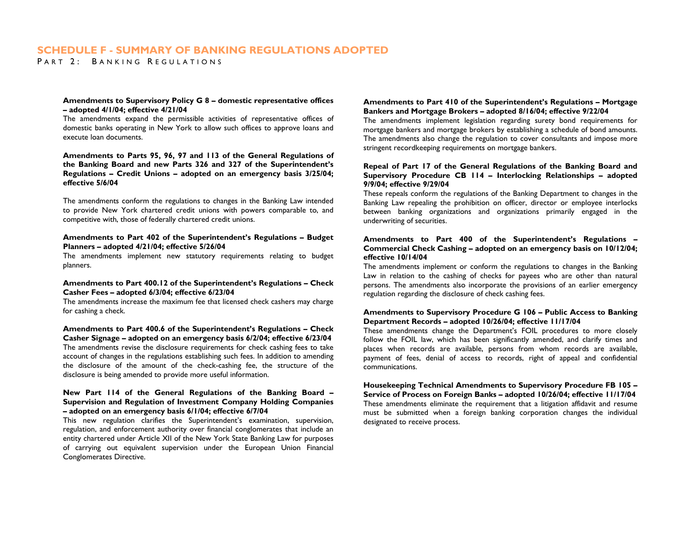## **SCHEDULE F - SUMMARY OF BANKING REGULATIONS ADOPTED**

P ART 2: B ANKING R EGULATIONS

#### **Amendments to Supervisory Policy G 8 – domestic representative offices – adopted 4/1/04; effective 4/21/04**

The amendments expand the permissible activities of representative offices of domestic banks operating in New York to allow such offices to approve loans and execute loan documents.

**Amendments to Parts 95, 96, 97 and 113 of the General Regulations of the Banking Board and new Parts 326 and 327 of the Superintendent's Regulations – Credit Unions – adopted on an emergency basis 3/25/04; effective 5/6/04** 

The amendments conform the regulations to changes in the Banking Law intended to provide New York chartered credit unions with powers comparable to, and competitive with, those of federally chartered credit unions.

#### **Amendments to Part 402 of the Superintendent's Regulations – Budget Planners – adopted 4/21/04; effective 5/26/04**

The amendments implement new statutory requirements relating to budget planners.

#### **Amendments to Part 400.12 of the Superintendent's Regulations – Check Casher Fees – adopted 6/3/04; effective 6/23/04**

The amendments increase the maximum fee that licensed check cashers may charge for cashing a check.

**Amendments to Part 400.6 of the Superintendent's Regulations – Check Casher Signage – adopted on an emergency basis 6/2/04; effective 6/23/04**  The amendments revise the disclosure requirements for check cashing fees to take

account of changes in the regulations establishing such fees. In addition to amending the disclosure of the amount of the check-cashing fee, the structure of the disclosure is being amended to provide more useful information.

#### **New Part 114 of the General Regulations of the Banking Board – Supervision and Regulation of Investment Company Holding Companies – adopted on an emergency basis 6/1/04; effective 6/7/04**

This new regulation clarifies the Superintendent's examination, supervision, regulation, and enforcement authority over financial conglomerates that include an entity chartered under Article XII of the New York State Banking Law for purposes of carrying out equivalent supervision under the European Union Financial Conglomerates Directive.

#### **Amendments to Part 410 of the Superintendent's Regulations – Mortgage Bankers and Mortgage Brokers – adopted 8/16/04; effective 9/22/04**

The amendments implement legislation regarding surety bond requirements for mortgage bankers and mortgage brokers by establishing a schedule of bond amounts. The amendments also change the regulation to cover consultants and impose more stringent recordkeeping requirements on mortgage bankers.

#### **Repeal of Part 17 of the General Regulations of the Banking Board and Supervisory Procedure CB 114 – Interlocking Relationships – adopted 9/9/04; effective 9/29/04**

These repeals conform the regulations of the Banking Department to changes in the Banking Law repealing the prohibition on officer, director or employee interlocks between banking organizations and organizations primarily engaged in the underwriting of securities.

#### **Amendments to Part 400 of the Superintendent's Regulations – Commercial Check Cashing – adopted on an emergency basis on 10/12/04; effective 10/14/04**

The amendments implement or conform the regulations to changes in the Banking Law in relation to the cashing of checks for payees who are other than natural persons. The amendments also incorporate the provisions of an earlier emergency regulation regarding the disclosure of check cashing fees.

#### **Amendments to Supervisory Procedure G 106 – Public Access to Banking Department Records – adopted 10/26/04; effective 11/17/04**

These amendments change the Department's FOIL procedures to more closely follow the FOIL law, which has been significantly amended, and clarify times and places when records are available, persons from whom records are available, payment of fees, denial of access to records, right of appeal and confidential communications.

**Housekeeping Technical Amendments to Supervisory Procedure FB 105 – Service of Process on Foreign Banks – adopted 10/26/04; effective 11/17/04**  These amendments eliminate the requirement that a litigation affidavit and resume must be submitted when a foreign banking corporation changes the individual designated to receive process.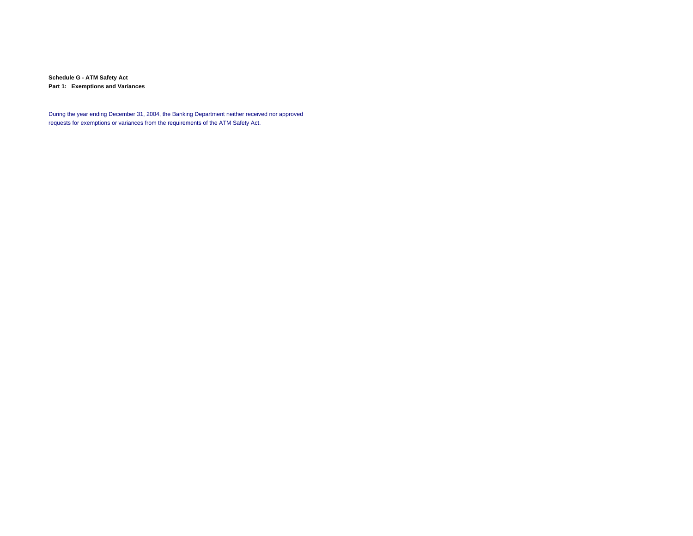**Schedule G - ATM Safety Act Part 1: Exemptions and Variances**

During the year ending December 31, 2004, the Banking Department neither received nor approved requests for exemptions or variances from the requirements of the ATM Safety Act.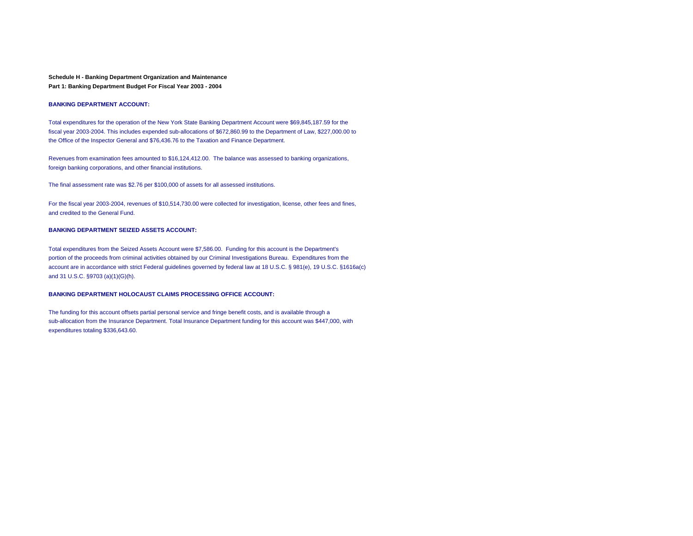#### **Schedule H - Banking Department Organization and Maintenance Part 1: Banking Department Budget For Fiscal Year 2003 - 2004**

#### **BANKING DEPARTMENT ACCOUNT:**

Total expenditures for the operation of the New York State Banking Department Account were \$69,845,187.59 for the fiscal year 2003-2004. This includes expended sub-allocations of \$672,860.99 to the Department of Law, \$227,000.00 to the Office of the Inspector General and \$76,436.76 to the Taxation and Finance Department.

Revenues from examination fees amounted to \$16,124,412.00. The balance was assessed to banking organizations, foreign banking corporations, and other financial institutions.

The final assessment rate was \$2.76 per \$100,000 of assets for all assessed institutions.

For the fiscal year 2003-2004, revenues of \$10,514,730.00 were collected for investigation, license, other fees and fines, and credited to the General Fund.

#### **BANKING DEPARTMENT SEIZED ASSETS ACCOUNT:**

Total expenditures from the Seized Assets Account were \$7,586.00. Funding for this account is the Department's portion of the proceeds from criminal activities obtained by our Criminal Investigations Bureau. Expenditures from the account are in accordance with strict Federal guidelines governed by federal law at 18 U.S.C. § 981(e), 19 U.S.C. §1616a(c) and 31 U.S.C. §9703 (a)(1)(G)(h).

#### **BANKING DEPARTMENT HOLOCAUST CLAIMS PROCESSING OFFICE ACCOUNT:**

The funding for this account offsets partial personal service and fringe benefit costs, and is available through a sub-allocation from the Insurance Department. Total Insurance Department funding for this account was \$447,000, with expenditures totaling \$336,643.60.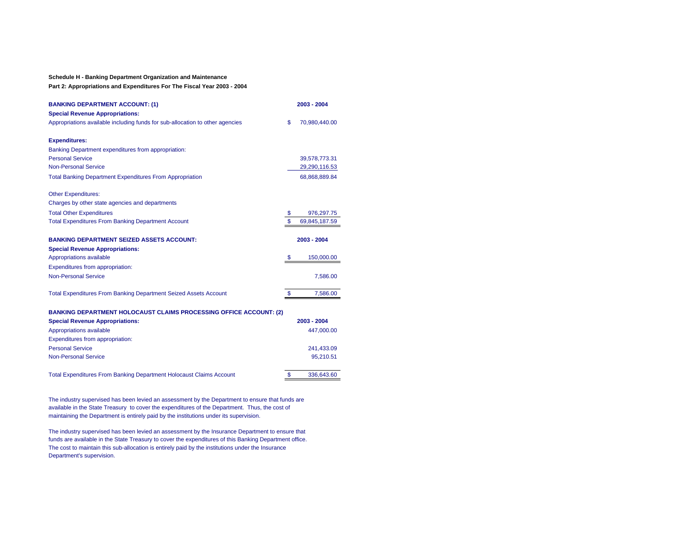#### **Schedule H - Banking Department Organization and Maintenance**

**Part 2: Appropriations and Expenditures For The Fiscal Year 2003 - 2004**

| <b>BANKING DEPARTMENT ACCOUNT: (1)</b><br><b>Special Revenue Appropriations:</b> | 2003 - 2004         |
|----------------------------------------------------------------------------------|---------------------|
| Appropriations available including funds for sub-allocation to other agencies    | \$<br>70,980,440.00 |
| <b>Expenditures:</b>                                                             |                     |
| Banking Department expenditures from appropriation:                              |                     |
| <b>Personal Service</b>                                                          | 39,578,773.31       |
| <b>Non-Personal Service</b>                                                      | 29,290,116.53       |
| <b>Total Banking Department Expenditures From Appropriation</b>                  | 68,868,889.84       |
| <b>Other Expenditures:</b>                                                       |                     |
| Charges by other state agencies and departments                                  |                     |
| <b>Total Other Expenditures</b>                                                  | \$<br>976,297.75    |
| <b>Total Expenditures From Banking Department Account</b>                        | \$<br>69,845,187.59 |
| <b>BANKING DEPARTMENT SEIZED ASSETS ACCOUNT:</b>                                 | 2003 - 2004         |
| <b>Special Revenue Appropriations:</b>                                           |                     |
| Appropriations available                                                         | \$<br>150,000.00    |
| Expenditures from appropriation:                                                 |                     |
| <b>Non-Personal Service</b>                                                      | 7,586.00            |
| <b>Total Expenditures From Banking Department Seized Assets Account</b>          | \$<br>7,586.00      |
| <b>BANKING DEPARTMENT HOLOCAUST CLAIMS PROCESSING OFFICE ACCOUNT: (2)</b>        |                     |
| <b>Special Revenue Appropriations:</b>                                           | 2003 - 2004         |
| Appropriations available                                                         | 447,000.00          |
| Expenditures from appropriation:                                                 |                     |
| <b>Personal Service</b>                                                          | 241,433.09          |
| <b>Non-Personal Service</b>                                                      | 95,210.51           |

Total Expenditures From Banking Department Holocaust Claims Account 3 336,643.60

The industry supervised has been levied an assessment by the Department to ensure that funds are available in the State Treasury to cover the expenditures of the Department. Thus, the cost of maintaining the Department is entirely paid by the institutions under its supervision.

The industry supervised has been levied an assessment by the Insurance Department to ensure that funds are available in the State Treasury to cover the expenditures of this Banking Department office. The cost to maintain this sub-allocation is entirely paid by the institutions under the Insurance Department's supervision.